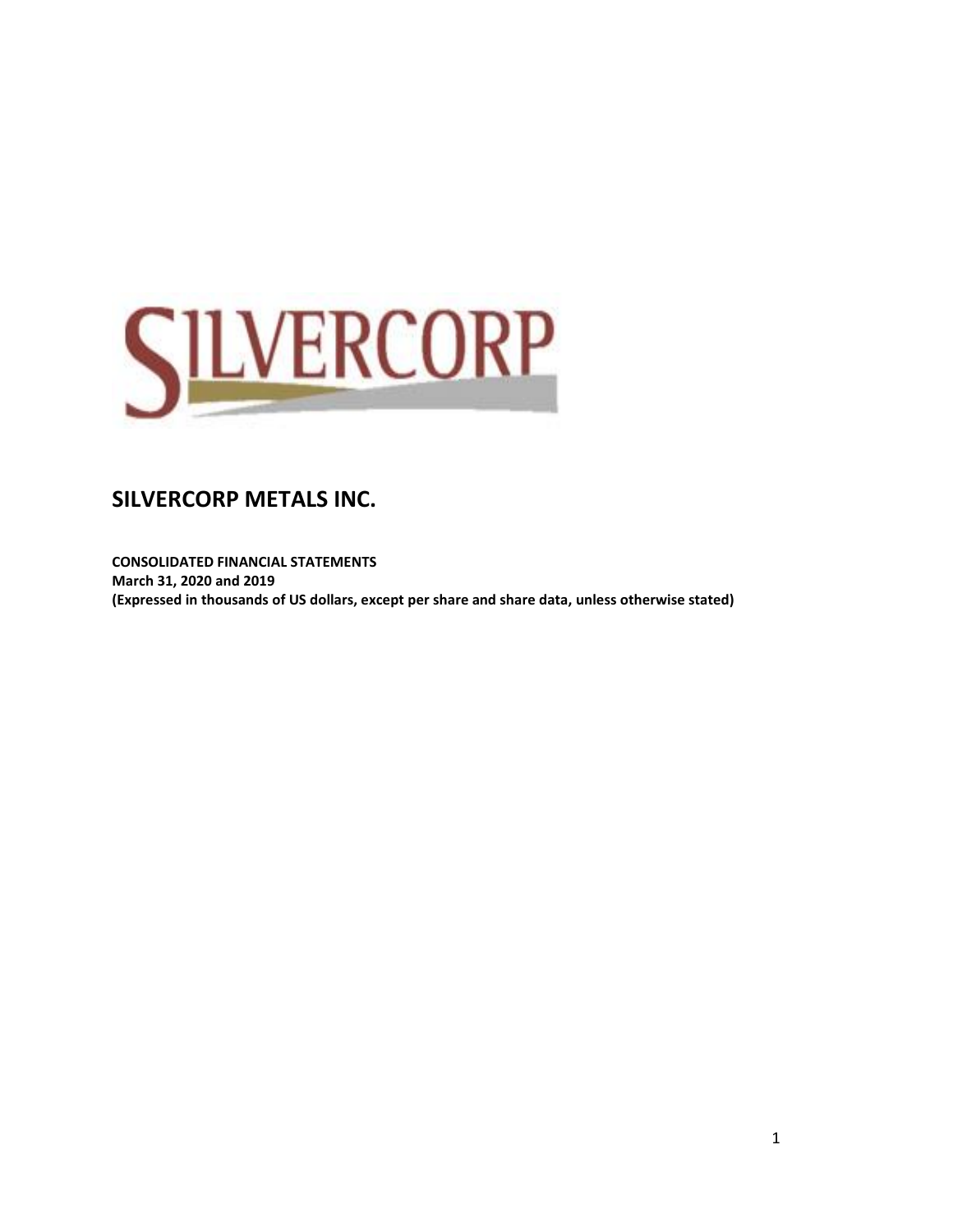

**CONSOLIDATED FINANCIAL STATEMENTS March 31, 2020 and 2019 (Expressed in thousands of US dollars, except per share and share data, unless otherwise stated)**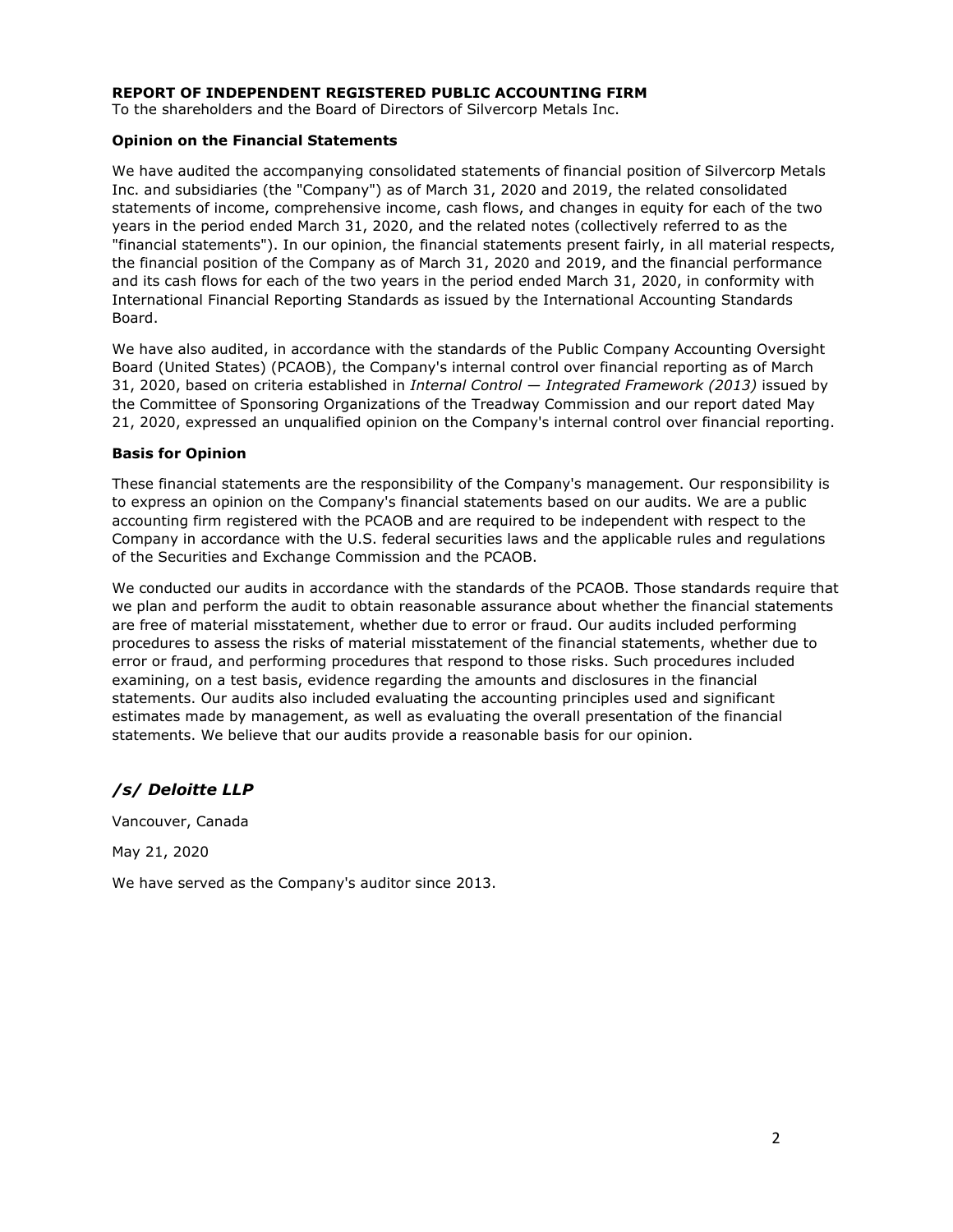#### **REPORT OF INDEPENDENT REGISTERED PUBLIC ACCOUNTING FIRM**

To the shareholders and the Board of Directors of Silvercorp Metals Inc.

#### **Opinion on the Financial Statements**

We have audited the accompanying consolidated statements of financial position of Silvercorp Metals Inc. and subsidiaries (the "Company") as of March 31, 2020 and 2019, the related consolidated statements of income, comprehensive income, cash flows, and changes in equity for each of the two years in the period ended March 31, 2020, and the related notes (collectively referred to as the "financial statements"). In our opinion, the financial statements present fairly, in all material respects, the financial position of the Company as of March 31, 2020 and 2019, and the financial performance and its cash flows for each of the two years in the period ended March 31, 2020, in conformity with International Financial Reporting Standards as issued by the International Accounting Standards Board.

We have also audited, in accordance with the standards of the Public Company Accounting Oversight Board (United States) (PCAOB), the Company's internal control over financial reporting as of March 31, 2020, based on criteria established in *Internal Control — Integrated Framework (2013)* issued by the Committee of Sponsoring Organizations of the Treadway Commission and our report dated May 21, 2020, expressed an unqualified opinion on the Company's internal control over financial reporting.

#### **Basis for Opinion**

These financial statements are the responsibility of the Company's management. Our responsibility is to express an opinion on the Company's financial statements based on our audits. We are a public accounting firm registered with the PCAOB and are required to be independent with respect to the Company in accordance with the U.S. federal securities laws and the applicable rules and regulations of the Securities and Exchange Commission and the PCAOB.

We conducted our audits in accordance with the standards of the PCAOB. Those standards require that we plan and perform the audit to obtain reasonable assurance about whether the financial statements are free of material misstatement, whether due to error or fraud. Our audits included performing procedures to assess the risks of material misstatement of the financial statements, whether due to error or fraud, and performing procedures that respond to those risks. Such procedures included examining, on a test basis, evidence regarding the amounts and disclosures in the financial statements. Our audits also included evaluating the accounting principles used and significant estimates made by management, as well as evaluating the overall presentation of the financial statements. We believe that our audits provide a reasonable basis for our opinion.

#### */s/ Deloitte LLP*

Vancouver, Canada

May 21, 2020

We have served as the Company's auditor since 2013.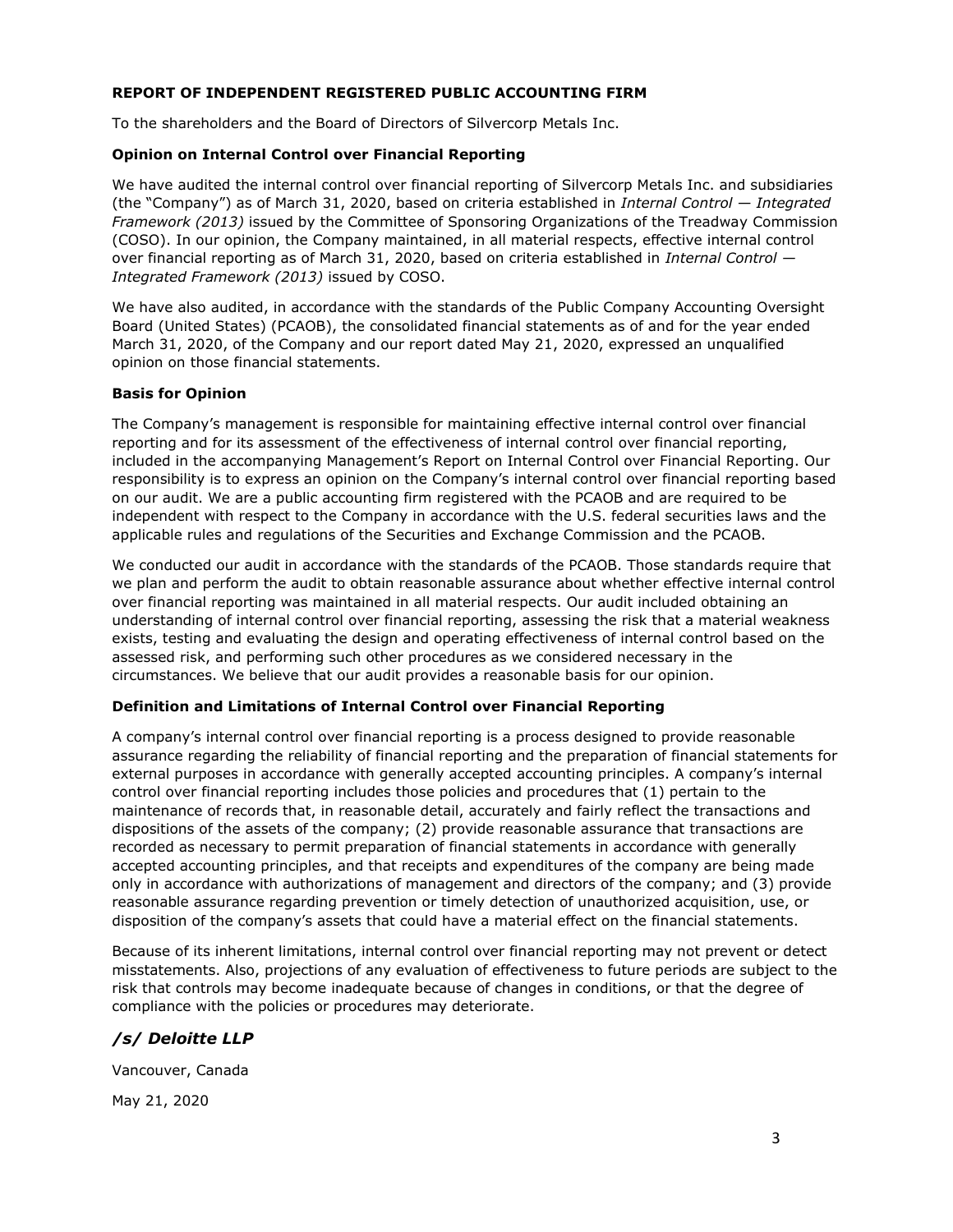#### **REPORT OF INDEPENDENT REGISTERED PUBLIC ACCOUNTING FIRM**

To the shareholders and the Board of Directors of Silvercorp Metals Inc.

#### **Opinion on Internal Control over Financial Reporting**

We have audited the internal control over financial reporting of Silvercorp Metals Inc. and subsidiaries (the "Company") as of March 31, 2020, based on criteria established in *Internal Control — Integrated Framework (2013)* issued by the Committee of Sponsoring Organizations of the Treadway Commission (COSO). In our opinion, the Company maintained, in all material respects, effective internal control over financial reporting as of March 31, 2020, based on criteria established in *Internal Control — Integrated Framework (2013)* issued by COSO.

We have also audited, in accordance with the standards of the Public Company Accounting Oversight Board (United States) (PCAOB), the consolidated financial statements as of and for the year ended March 31, 2020, of the Company and our report dated May 21, 2020, expressed an unqualified opinion on those financial statements.

#### **Basis for Opinion**

The Company's management is responsible for maintaining effective internal control over financial reporting and for its assessment of the effectiveness of internal control over financial reporting, included in the accompanying Management's Report on Internal Control over Financial Reporting. Our responsibility is to express an opinion on the Company's internal control over financial reporting based on our audit. We are a public accounting firm registered with the PCAOB and are required to be independent with respect to the Company in accordance with the U.S. federal securities laws and the applicable rules and regulations of the Securities and Exchange Commission and the PCAOB.

We conducted our audit in accordance with the standards of the PCAOB. Those standards require that we plan and perform the audit to obtain reasonable assurance about whether effective internal control over financial reporting was maintained in all material respects. Our audit included obtaining an understanding of internal control over financial reporting, assessing the risk that a material weakness exists, testing and evaluating the design and operating effectiveness of internal control based on the assessed risk, and performing such other procedures as we considered necessary in the circumstances. We believe that our audit provides a reasonable basis for our opinion.

#### **Definition and Limitations of Internal Control over Financial Reporting**

A company's internal control over financial reporting is a process designed to provide reasonable assurance regarding the reliability of financial reporting and the preparation of financial statements for external purposes in accordance with generally accepted accounting principles. A company's internal control over financial reporting includes those policies and procedures that (1) pertain to the maintenance of records that, in reasonable detail, accurately and fairly reflect the transactions and dispositions of the assets of the company; (2) provide reasonable assurance that transactions are recorded as necessary to permit preparation of financial statements in accordance with generally accepted accounting principles, and that receipts and expenditures of the company are being made only in accordance with authorizations of management and directors of the company; and (3) provide reasonable assurance regarding prevention or timely detection of unauthorized acquisition, use, or disposition of the company's assets that could have a material effect on the financial statements.

Because of its inherent limitations, internal control over financial reporting may not prevent or detect misstatements. Also, projections of any evaluation of effectiveness to future periods are subject to the risk that controls may become inadequate because of changes in conditions, or that the degree of compliance with the policies or procedures may deteriorate.

### */s/ Deloitte LLP*

Vancouver, Canada

May 21, 2020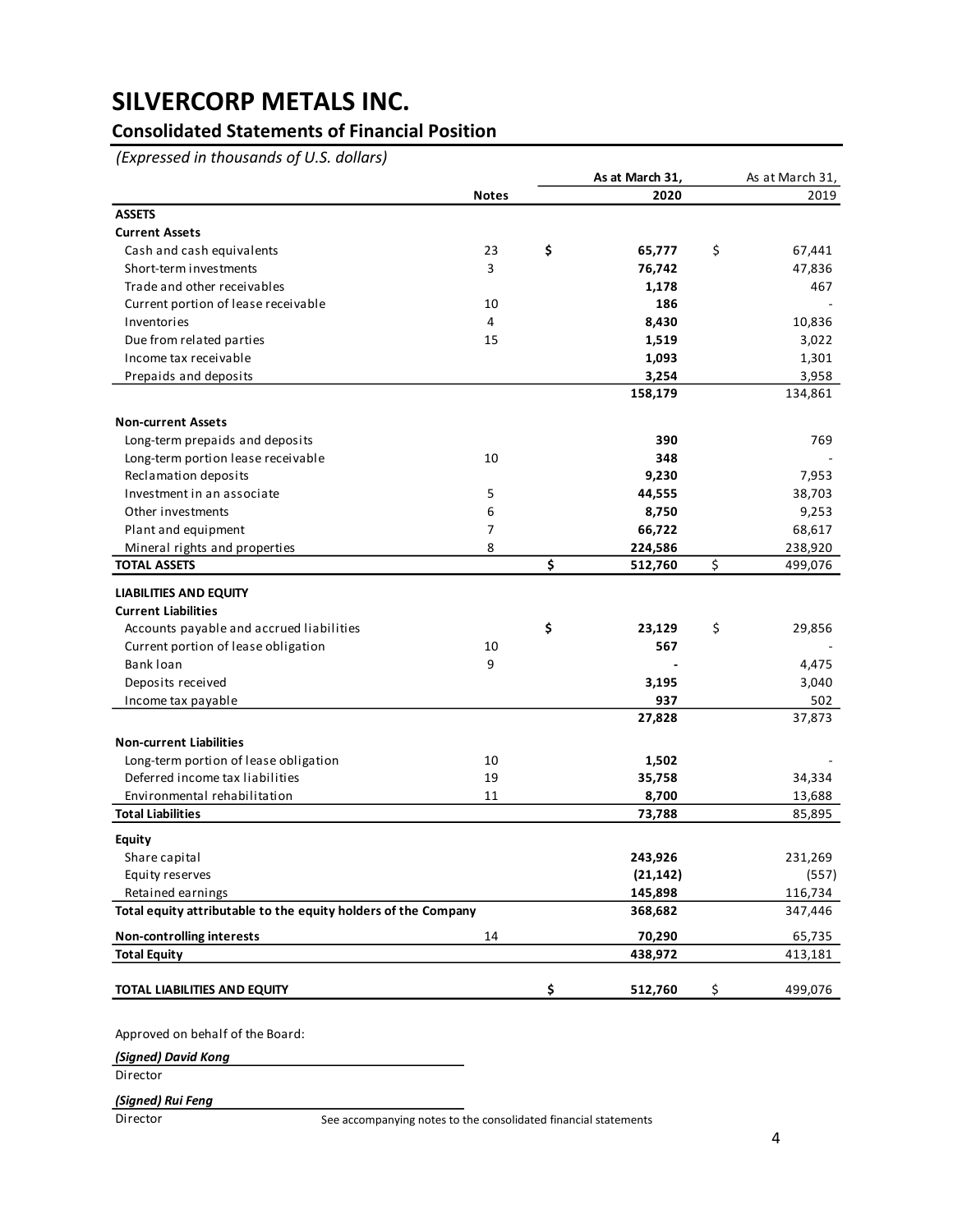### **Consolidated Statements of Financial Position**

*(Expressed in thousands of U.S. dollars)*

|                                                                |              | As at March 31, | As at March 31, |
|----------------------------------------------------------------|--------------|-----------------|-----------------|
|                                                                | <b>Notes</b> | 2020            | 2019            |
| <b>ASSETS</b>                                                  |              |                 |                 |
| <b>Current Assets</b>                                          |              |                 |                 |
| Cash and cash equivalents                                      | 23           | \$<br>65,777    | \$<br>67,441    |
| Short-term investments                                         | 3            | 76,742          | 47,836          |
| Trade and other receivables                                    |              | 1,178           | 467             |
| Current portion of lease receivable                            | 10           | 186             |                 |
| Inventories                                                    | 4            | 8,430           | 10,836          |
| Due from related parties                                       | 15           | 1,519           | 3,022           |
| Income tax receivable                                          |              | 1,093           | 1,301           |
| Prepaids and deposits                                          |              | 3,254           | 3,958           |
|                                                                |              | 158,179         | 134,861         |
| <b>Non-current Assets</b>                                      |              |                 |                 |
| Long-term prepaids and deposits                                |              | 390             | 769             |
| Long-term portion lease receivable                             | 10           | 348             |                 |
| Reclamation deposits                                           |              | 9,230           | 7,953           |
| Investment in an associate                                     | 5            | 44,555          | 38,703          |
| Other investments                                              | 6            | 8,750           | 9,253           |
| Plant and equipment                                            | 7            | 66,722          | 68,617          |
| Mineral rights and properties                                  | 8            | 224,586         | 238,920         |
| <b>TOTAL ASSETS</b>                                            |              | \$<br>512,760   | \$<br>499,076   |
| <b>LIABILITIES AND EQUITY</b>                                  |              |                 |                 |
| <b>Current Liabilities</b>                                     |              |                 |                 |
| Accounts payable and accrued liabilities                       |              | \$<br>23,129    | \$<br>29,856    |
| Current portion of lease obligation                            | 10           | 567             |                 |
| Bank loan                                                      | 9            |                 | 4,475           |
| Deposits received                                              |              | 3,195           | 3,040           |
| Income tax payable                                             |              | 937             | 502             |
|                                                                |              | 27,828          | 37,873          |
| <b>Non-current Liabilities</b>                                 |              |                 |                 |
| Long-term portion of lease obligation                          | 10           | 1,502           |                 |
| Deferred income tax liabilities                                | 19           | 35,758          | 34,334          |
| Environmental rehabilitation                                   | 11           | 8,700           | 13,688          |
| <b>Total Liabilities</b>                                       |              | 73,788          | 85,895          |
| <b>Equity</b>                                                  |              |                 |                 |
| Share capital                                                  |              | 243,926         | 231,269         |
| Equity reserves                                                |              | (21, 142)       | (557)           |
| Retained earnings                                              |              | 145,898         | 116,734         |
| Total equity attributable to the equity holders of the Company |              | 368,682         | 347,446         |
| <b>Non-controlling interests</b>                               | 14           | 70,290          | 65,735          |
| <b>Total Equity</b>                                            |              | 438,972         | 413,181         |
| <b>TOTAL LIABILITIES AND EQUITY</b>                            |              | \$<br>512,760   | \$<br>499,076   |
|                                                                |              |                 |                 |

Approved on behalf of the Board:

*(Signed) David Kong*

Director

*(Signed) Rui Feng*

See accompanying notes to the consolidated financial statements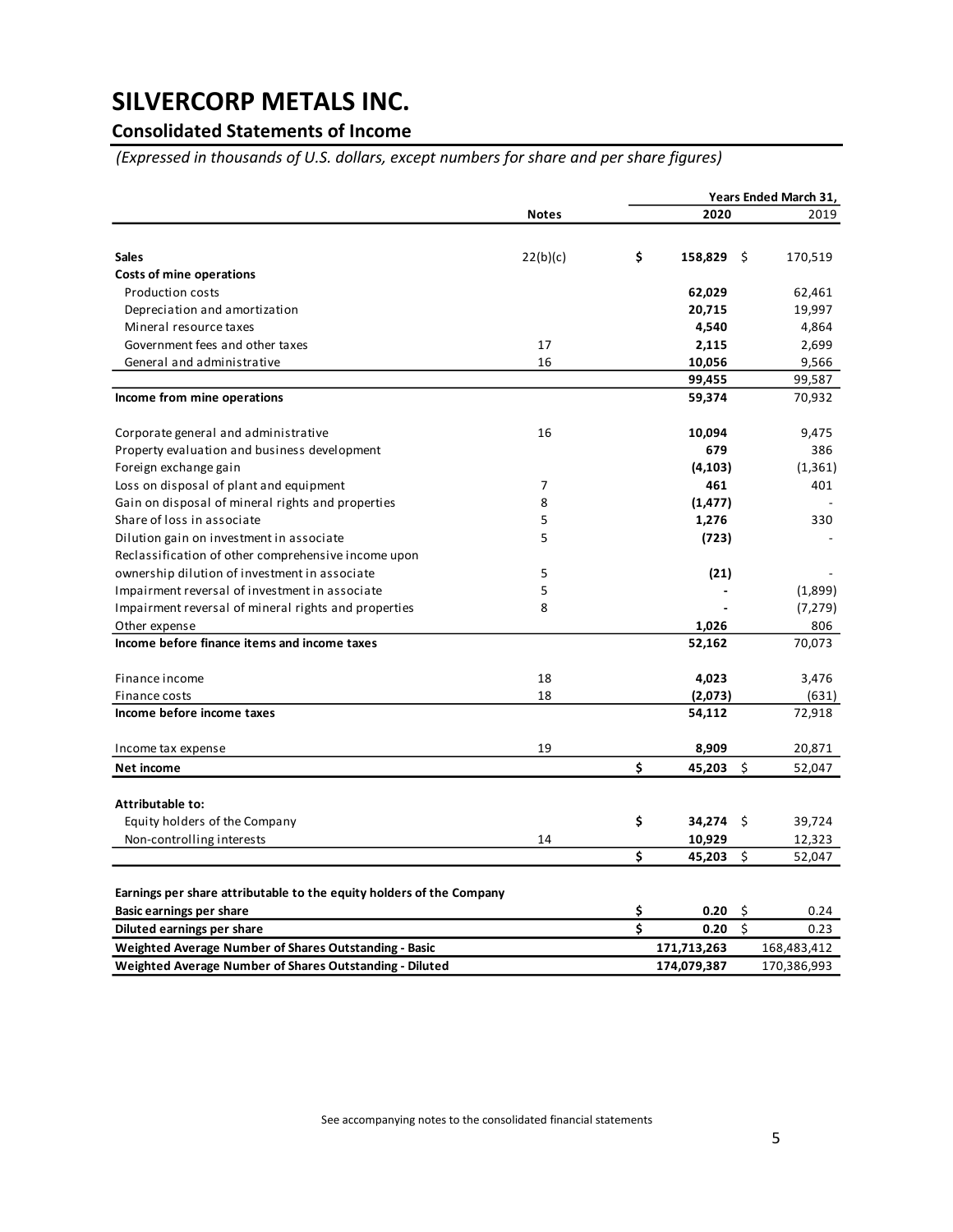## **Consolidated Statements of Income**

*(Expressed in thousands of U.S. dollars, except numbers for share and per share figures)*

|                                                                      |              |                               |                  |    | Years Ended March 31, |
|----------------------------------------------------------------------|--------------|-------------------------------|------------------|----|-----------------------|
|                                                                      | <b>Notes</b> |                               | 2020             |    | 2019                  |
|                                                                      |              |                               |                  |    |                       |
| <b>Sales</b>                                                         | 22(b)(c)     | \$                            | 158,829          | Ŝ  | 170,519               |
| Costs of mine operations                                             |              |                               |                  |    |                       |
| <b>Production costs</b>                                              |              |                               | 62,029           |    | 62,461                |
| Depreciation and amortization                                        |              |                               | 20,715           |    | 19,997                |
| Mineral resource taxes                                               |              |                               | 4,540            |    | 4,864                 |
| Government fees and other taxes                                      | 17           |                               | 2,115            |    | 2,699                 |
| General and administrative                                           | 16           |                               | 10,056           |    | 9,566                 |
|                                                                      |              |                               | 99,455           |    | 99,587                |
| Income from mine operations                                          |              |                               | 59,374           |    | 70,932                |
| Corporate general and administrative                                 | 16           |                               | 10,094           |    | 9,475                 |
| Property evaluation and business development                         |              |                               | 679              |    | 386                   |
| Foreign exchange gain                                                |              |                               | (4, 103)         |    | (1, 361)              |
| Loss on disposal of plant and equipment                              | 7            |                               | 461              |    | 401                   |
| Gain on disposal of mineral rights and properties                    | 8            |                               | (1, 477)         |    |                       |
| Share of loss in associate                                           | 5            |                               | 1,276            |    | 330                   |
| Dilution gain on investment in associate                             | 5            |                               | (723)            |    |                       |
| Reclassification of other comprehensive income upon                  |              |                               |                  |    |                       |
| ownership dilution of investment in associate                        | 5            |                               | (21)             |    |                       |
| Impairment reversal of investment in associate                       | 5            |                               |                  |    | (1,899)               |
| Impairment reversal of mineral rights and properties                 | 8            |                               |                  |    | (7, 279)              |
| Other expense                                                        |              |                               | 1,026            |    | 806                   |
| Income before finance items and income taxes                         |              |                               | 52,162           |    | 70,073                |
| Finance income                                                       | 18           |                               | 4,023            |    | 3,476                 |
| Finance costs                                                        | 18           |                               | (2,073)          |    | (631)                 |
| Income before income taxes                                           |              |                               | 54,112           |    | 72,918                |
| Income tax expense                                                   | 19           |                               | 8,909            |    | 20,871                |
| Net income                                                           |              | \$                            | 45,203           | \$ | 52,047                |
| Attributable to:                                                     |              |                               |                  |    |                       |
| Equity holders of the Company                                        |              | \$                            | $34,274$ \$      |    | 39,724                |
|                                                                      |              |                               |                  |    |                       |
| Non-controlling interests                                            | 14           | \$                            | 10,929<br>45,203 | \$ | 12,323                |
|                                                                      |              |                               |                  |    | 52,047                |
| Earnings per share attributable to the equity holders of the Company |              |                               |                  |    |                       |
| <b>Basic earnings per share</b>                                      |              | \$<br>$\overline{\mathsf{s}}$ | 0.20             | Ŝ  | 0.24                  |
| Diluted earnings per share                                           |              |                               | 0.20             | Ś  | 0.23                  |
| Weighted Average Number of Shares Outstanding - Basic                |              |                               | 171,713,263      |    | 168,483,412           |
| Weighted Average Number of Shares Outstanding - Diluted              |              |                               | 174,079,387      |    | 170,386,993           |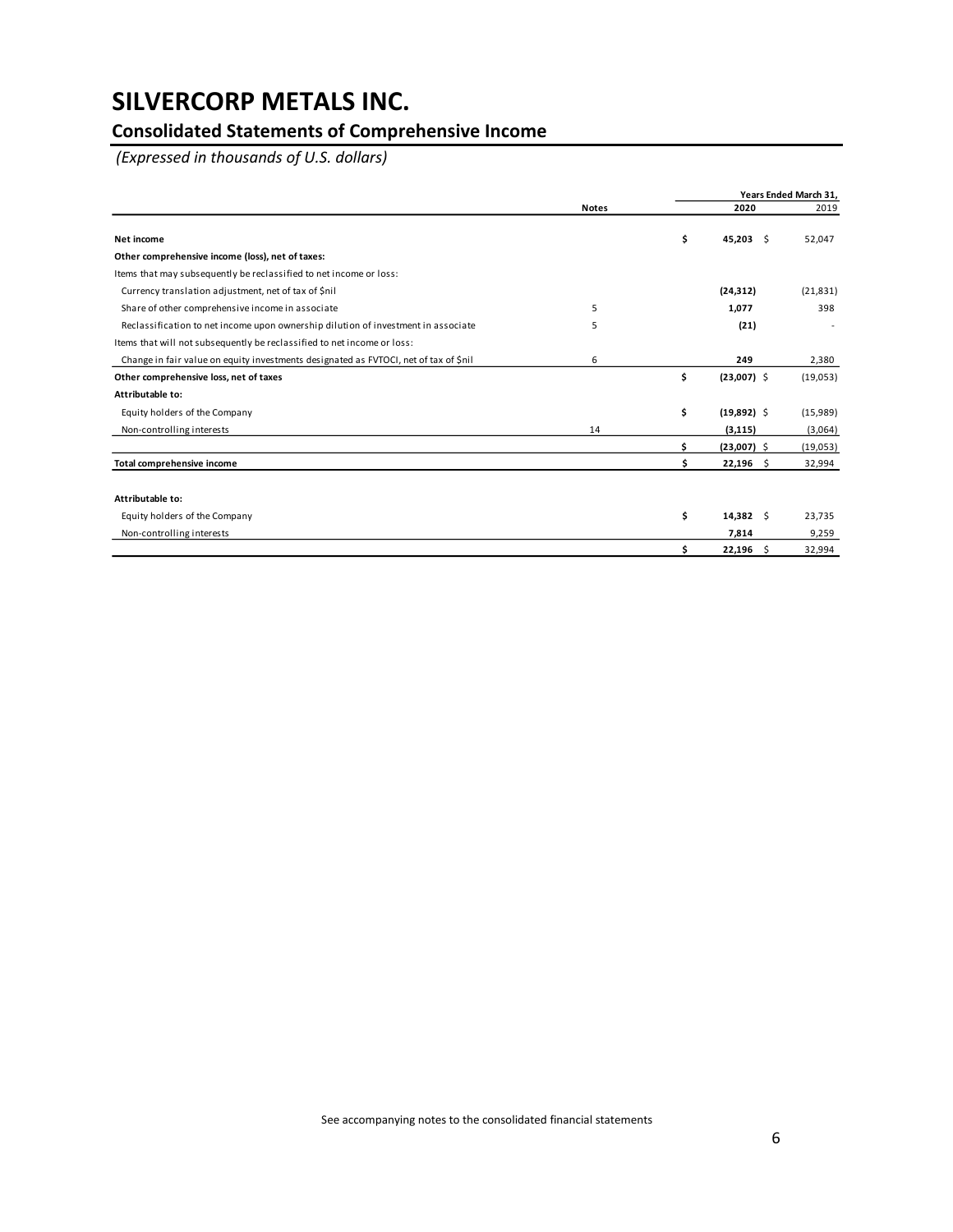### **Consolidated Statements of Comprehensive Income**

*(Expressed in thousands of U.S. dollars)*

|                                                                                      |              |    |                   | Years Ended March 31, |
|--------------------------------------------------------------------------------------|--------------|----|-------------------|-----------------------|
|                                                                                      | <b>Notes</b> |    | 2020              | 2019                  |
| Net income                                                                           |              | \$ | 45,203 \$         | 52,047                |
| Other comprehensive income (loss), net of taxes:                                     |              |    |                   |                       |
| Items that may subsequently be reclassified to net income or loss:                   |              |    |                   |                       |
| Currency translation adjustment, net of tax of \$nil                                 |              |    | (24, 312)         | (21, 831)             |
| Share of other comprehensive income in associate                                     | 5            |    | 1,077             | 398                   |
| Reclassification to net income upon ownership dilution of investment in associate    | 5            |    | (21)              |                       |
| Items that will not subsequently be reclassified to net income or loss:              |              |    |                   |                       |
| Change in fair value on equity investments designated as FVTOCI, net of tax of \$nil | 6            |    | 249               | 2,380                 |
| Other comprehensive loss, net of taxes                                               |              | \$ | $(23,007)$ \$     | (19,053)              |
| Attributable to:                                                                     |              |    |                   |                       |
| Equity holders of the Company                                                        |              | \$ | $(19,892)$ \$     | (15,989)              |
| Non-controlling interests                                                            | 14           |    | (3, 115)          | (3,064)               |
|                                                                                      |              | Ś  | $(23,007)$ \$     | (19,053)              |
| Total comprehensive income                                                           |              | Ś. | 22,196<br>-\$     | 32,994                |
|                                                                                      |              |    |                   |                       |
| Attributable to:                                                                     |              |    |                   |                       |
| Equity holders of the Company                                                        |              | \$ | $14,382 \quad$ \$ | 23,735                |
| Non-controlling interests                                                            |              |    | 7,814             | 9,259                 |
|                                                                                      |              | \$ | \$<br>22,196      | 32.994                |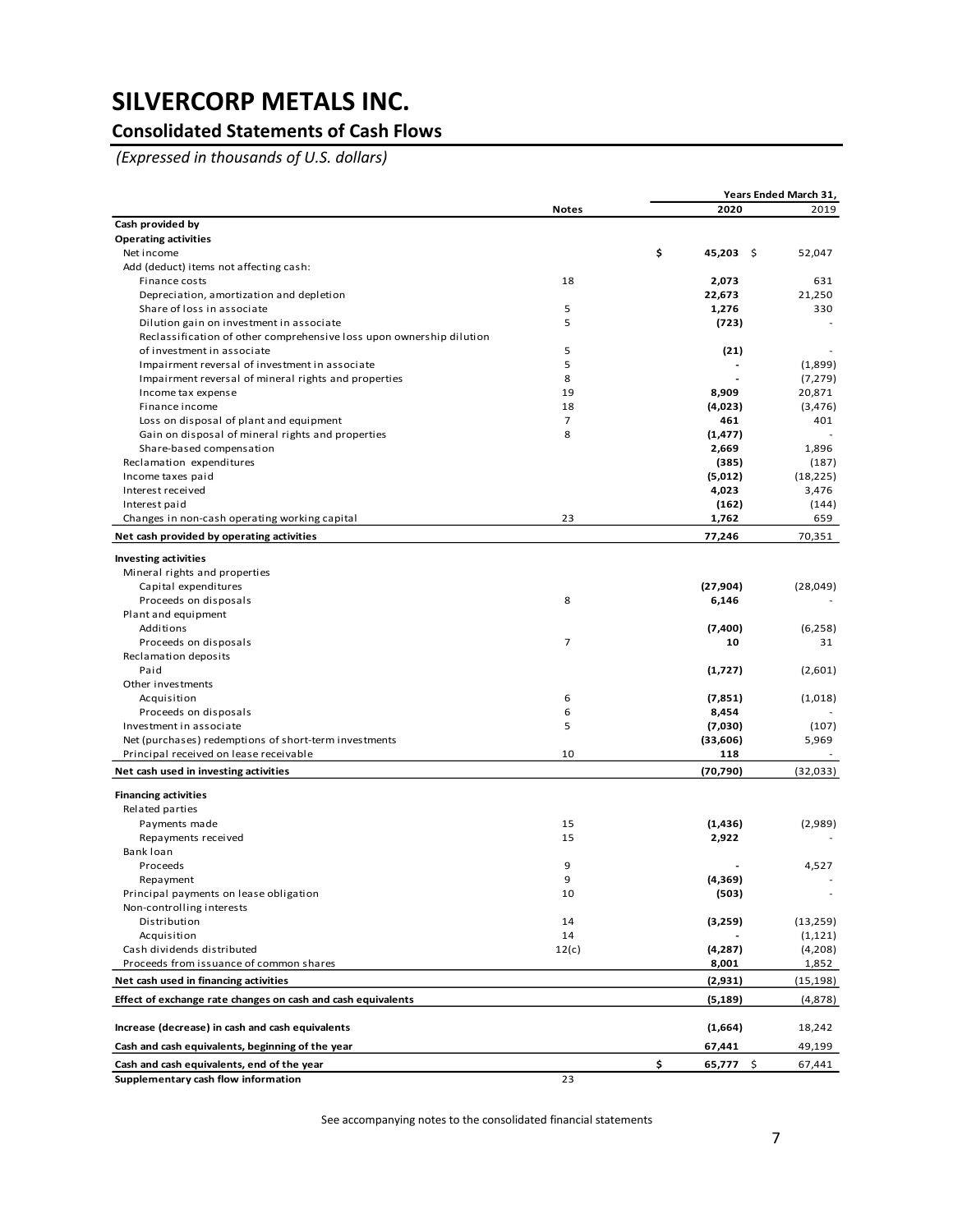### **Consolidated Statements of Cash Flows**

*(Expressed in thousands of U.S. dollars)*

|                                                                      |              |                   | Years Ended March 31, |
|----------------------------------------------------------------------|--------------|-------------------|-----------------------|
|                                                                      | <b>Notes</b> | 2020              | 2019                  |
| Cash provided by                                                     |              |                   |                       |
| <b>Operating activities</b>                                          |              |                   |                       |
| Net income                                                           |              | \$<br>$45,203$ \$ | 52,047                |
| Add (deduct) items not affecting cash:                               |              |                   |                       |
| Finance costs                                                        | 18           | 2,073             | 631                   |
| Depreciation, amortization and depletion                             |              | 22,673            | 21,250                |
| Share of loss in associate                                           | 5            | 1,276             | 330                   |
| Dilution gain on investment in associate                             | 5            | (723)             |                       |
| Reclassification of other comprehensive loss upon ownership dilution |              |                   |                       |
| of investment in associate                                           | 5            | (21)              |                       |
| Impairment reversal of investment in associate                       | 5            |                   | (1,899)               |
| Impairment reversal of mineral rights and properties                 | 8            |                   | (7, 279)              |
| Income tax expense                                                   | 19           | 8,909             | 20,871                |
| Finance income                                                       | 18           | (4,023)           | (3, 476)              |
| Loss on disposal of plant and equipment                              | 7            | 461               | 401                   |
| Gain on disposal of mineral rights and properties                    | 8            | (1, 477)          |                       |
| Share-based compensation                                             |              | 2,669             | 1,896                 |
| Reclamation expenditures                                             |              | (385)             | (187)                 |
| Income taxes paid                                                    |              | (5,012)           | (18, 225)             |
| Interest received                                                    |              | 4,023             | 3,476                 |
| Interest paid                                                        |              | (162)             | (144)                 |
| Changes in non-cash operating working capital                        | 23           | 1,762             | 659                   |
| Net cash provided by operating activities                            |              | 77,246            | 70,351                |
| <b>Investing activities</b>                                          |              |                   |                       |
| Mineral rights and properties                                        |              |                   |                       |
| Capital expenditures                                                 |              | (27, 904)         | (28,049)              |
| Proceeds on disposals                                                | 8            | 6,146             |                       |
| Plant and equipment                                                  |              |                   |                       |
| Additions                                                            |              | (7,400)           | (6, 258)              |
| Proceeds on disposals                                                | 7            | 10                | 31                    |
| Reclamation deposits                                                 |              |                   |                       |
| Paid                                                                 |              | (1,727)           | (2,601)               |
| Other investments                                                    |              |                   |                       |
| Acquisition                                                          | 6            | (7, 851)          | (1,018)               |
| Proceeds on disposals                                                | 6            | 8,454             |                       |
| Investment in associate                                              | 5            | (7,030)           | (107)                 |
| Net (purchases) redemptions of short-term investments                |              | (33,606)          | 5,969                 |
| Principal received on lease receivable                               | 10           | 118               |                       |
| Net cash used in investing activities                                |              | (70, 790)         | (32,033)              |
| <b>Financing activities</b>                                          |              |                   |                       |
| Related parties                                                      |              |                   |                       |
| Payments made                                                        | 15           | (1, 436)          | (2,989)               |
| Repayments received                                                  | 15           | 2,922             |                       |
| Bank loan                                                            |              |                   |                       |
| Proceeds                                                             | 9            |                   | 4,527                 |
| Repayment                                                            | 9            | (4, 369)          |                       |
| Principal payments on lease obligation                               | 10           | (503)             |                       |
| Non-controlling interests                                            |              |                   |                       |
| Distribution                                                         | 14           | (3,259)           | (13, 259)             |
| Acquisition                                                          | 14           |                   | (1, 121)              |
| Cash dividends distributed                                           | 12(c)        | (4, 287)          | (4,208)               |
| Proceeds from issuance of common shares                              |              | 8,001             | 1,852                 |
| Net cash used in financing activities                                |              |                   |                       |
|                                                                      |              | (2,931)           | (15, 198)             |
| Effect of exchange rate changes on cash and cash equivalents         |              | (5, 189)          | (4,878)               |
| Increase (decrease) in cash and cash equivalents                     |              | (1,664)           | 18,242                |
| Cash and cash equivalents, beginning of the year                     |              | 67,441            | 49,199                |
| Cash and cash equivalents, end of the year                           |              | \$<br>$65,777$ \$ | 67,441                |
| Supplementary cash flow information                                  | 23           |                   |                       |

See accompanying notes to the consolidated financial statements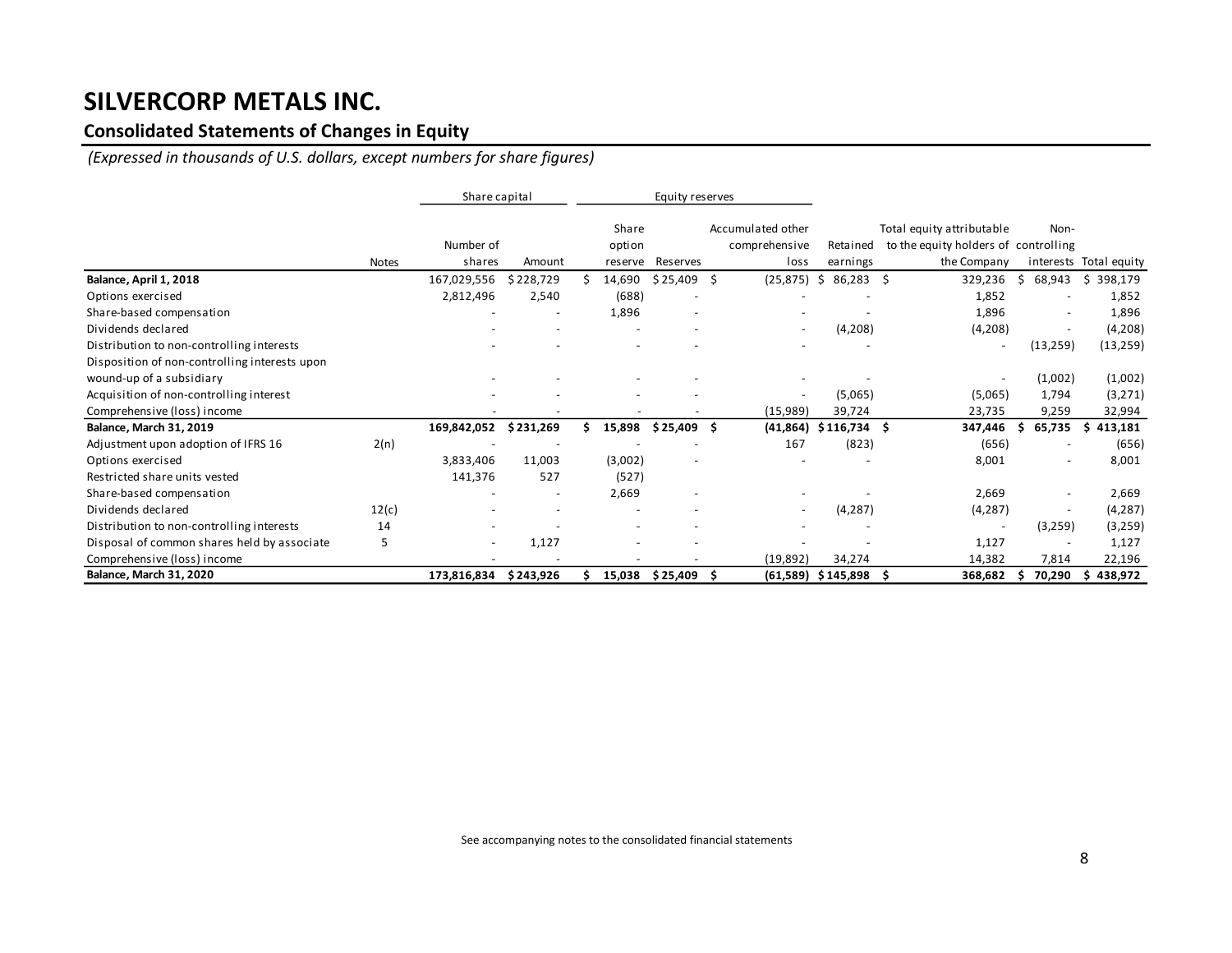### **Consolidated Statements of Changes in Equity**

*(Expressed in thousands of U.S. dollars, except numbers for share figures)*

|                                               |              | Share capital            |           | Equity reserves |                 |           |     |                                    |                      |     |                                                                   |                          |                        |
|-----------------------------------------------|--------------|--------------------------|-----------|-----------------|-----------------|-----------|-----|------------------------------------|----------------------|-----|-------------------------------------------------------------------|--------------------------|------------------------|
|                                               |              | Number of                |           |                 | Share<br>option |           |     | Accumulated other<br>comprehensive | Retained             |     | Total equity attributable<br>to the equity holders of controlling | Non-                     |                        |
|                                               | <b>Notes</b> | shares                   | Amount    |                 | reserve         | Reserves  |     | loss                               | earnings             |     | the Company                                                       |                          | interests Total equity |
| Balance, April 1, 2018                        |              | 167,029,556              | \$228,729 |                 | 14,690          | \$25,409  | \$. | (25, 875)                          | 86,283<br>-\$        | -\$ | 329,236                                                           | 68,943                   | 398,179<br>Ŝ           |
| Options exercised                             |              | 2,812,496                | 2,540     |                 | (688)           |           |     |                                    |                      |     | 1,852                                                             |                          | 1,852                  |
| Share-based compensation                      |              |                          |           |                 | 1,896           |           |     |                                    |                      |     | 1,896                                                             |                          | 1,896                  |
| Dividends declared                            |              |                          |           |                 |                 |           |     | $\overline{\phantom{a}}$           | (4,208)              |     | (4,208)                                                           |                          | (4,208)                |
| Distribution to non-controlling interests     |              |                          |           |                 |                 |           |     |                                    |                      |     | $\overline{\phantom{a}}$                                          | (13, 259)                | (13, 259)              |
| Disposition of non-controlling interests upon |              |                          |           |                 |                 |           |     |                                    |                      |     |                                                                   |                          |                        |
| wound-up of a subsidiary                      |              |                          |           |                 |                 |           |     |                                    |                      |     | $\overline{\phantom{a}}$                                          | (1,002)                  | (1,002)                |
| Acquisition of non-controlling interest       |              |                          |           |                 |                 |           |     | $\overline{\phantom{a}}$           | (5,065)              |     | (5,065)                                                           | 1,794                    | (3,271)                |
| Comprehensive (loss) income                   |              |                          |           |                 |                 |           |     | (15,989)                           | 39,724               |     | 23,735                                                            | 9,259                    | 32,994                 |
| Balance, March 31, 2019                       |              | 169,842,052              | \$231,269 |                 | 15,898          | \$ 25,409 | S   | (41, 864)                          | $$116,734$ \$        |     | 347,446                                                           | 65,735                   | 413,181                |
| Adjustment upon adoption of IFRS 16           | 2(n)         |                          |           |                 |                 |           |     | 167                                | (823)                |     | (656)                                                             |                          | (656)                  |
| Options exercised                             |              | 3,833,406                | 11,003    |                 | (3,002)         |           |     |                                    |                      |     | 8,001                                                             |                          | 8,001                  |
| Restricted share units vested                 |              | 141,376                  | 527       |                 | (527)           |           |     |                                    |                      |     |                                                                   |                          |                        |
| Share-based compensation                      |              |                          |           |                 | 2,669           |           |     |                                    |                      |     | 2,669                                                             |                          | 2,669                  |
| Dividends declared                            | 12(c)        |                          |           |                 |                 |           |     | $\overline{\phantom{a}}$           | (4, 287)             |     | (4, 287)                                                          | $\overline{\phantom{a}}$ | (4, 287)               |
| Distribution to non-controlling interests     | 14           |                          |           |                 |                 |           |     |                                    |                      |     | $\overline{\phantom{a}}$                                          | (3,259)                  | (3,259)                |
| Disposal of common shares held by associate   | 5            | $\overline{\phantom{a}}$ | 1,127     |                 |                 |           |     |                                    |                      |     | 1,127                                                             |                          | 1,127                  |
| Comprehensive (loss) income                   |              |                          |           |                 |                 |           |     | (19, 892)                          | 34,274               |     | 14,382                                                            | 7,814                    | 22,196                 |
| Balance, March 31, 2020                       |              | 173.816.834              | \$243,926 |                 | 15,038          | \$25,409  | Ŝ.  |                                    | $(61,589)$ \$145,898 | -S  | 368,682                                                           | 70,290                   | 438,972                |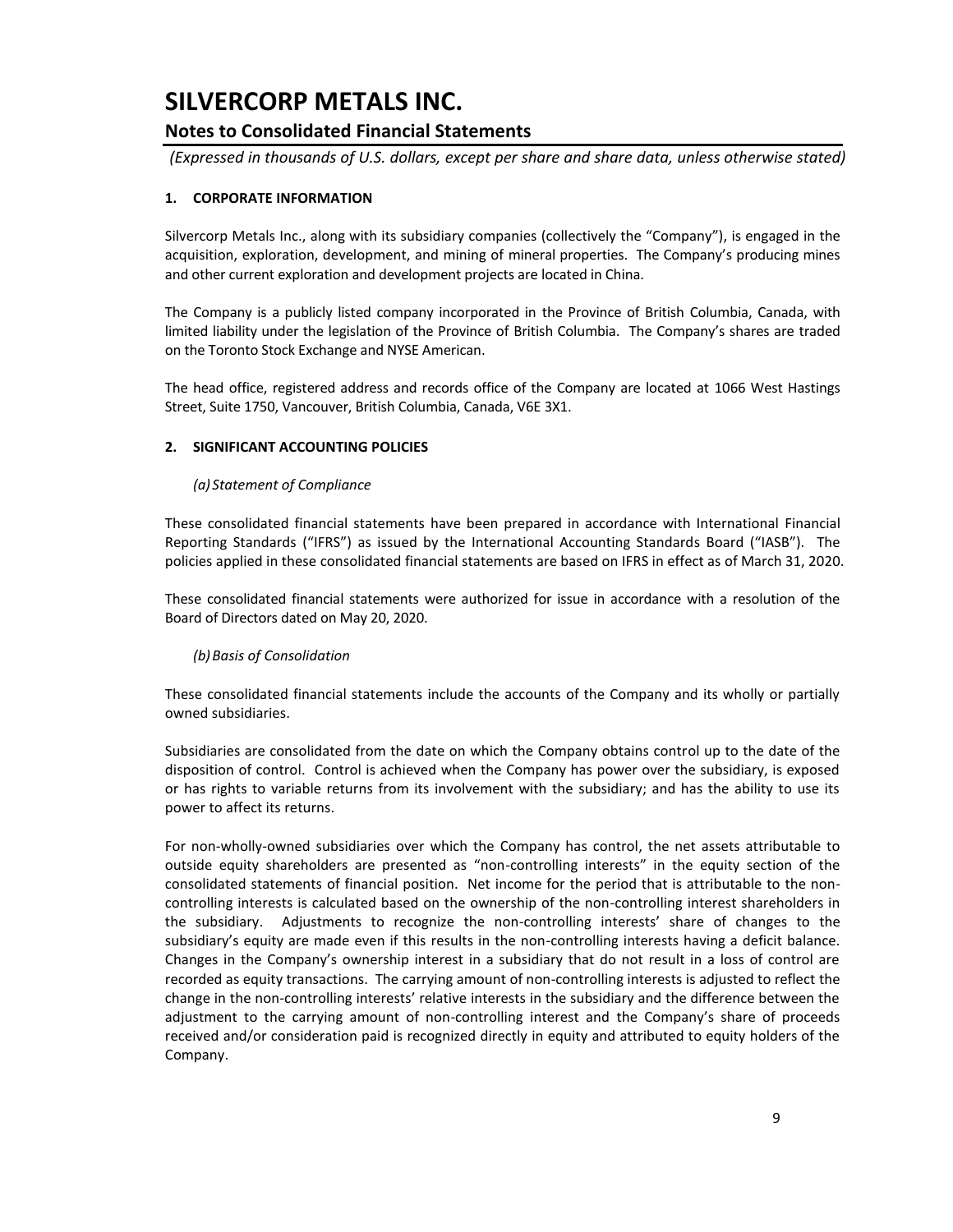### **Notes to Consolidated Financial Statements**

*(Expressed in thousands of U.S. dollars, except per share and share data, unless otherwise stated)*

#### **1. CORPORATE INFORMATION**

Silvercorp Metals Inc., along with its subsidiary companies (collectively the "Company"), is engaged in the acquisition, exploration, development, and mining of mineral properties. The Company's producing mines and other current exploration and development projects are located in China.

The Company is a publicly listed company incorporated in the Province of British Columbia, Canada, with limited liability under the legislation of the Province of British Columbia. The Company's shares are traded on the Toronto Stock Exchange and NYSE American.

The head office, registered address and records office of the Company are located at 1066 West Hastings Street, Suite 1750, Vancouver, British Columbia, Canada, V6E 3X1.

#### **2. SIGNIFICANT ACCOUNTING POLICIES**

#### *(a) Statement of Compliance*

These consolidated financial statements have been prepared in accordance with International Financial Reporting Standards ("IFRS") as issued by the International Accounting Standards Board ("IASB"). The policies applied in these consolidated financial statements are based on IFRS in effect as of March 31, 2020.

These consolidated financial statements were authorized for issue in accordance with a resolution of the Board of Directors dated on May 20, 2020.

#### *(b)Basis of Consolidation*

These consolidated financial statements include the accounts of the Company and its wholly or partially owned subsidiaries.

Subsidiaries are consolidated from the date on which the Company obtains control up to the date of the disposition of control. Control is achieved when the Company has power over the subsidiary, is exposed or has rights to variable returns from its involvement with the subsidiary; and has the ability to use its power to affect its returns.

For non-wholly-owned subsidiaries over which the Company has control, the net assets attributable to outside equity shareholders are presented as "non-controlling interests" in the equity section of the consolidated statements of financial position. Net income for the period that is attributable to the noncontrolling interests is calculated based on the ownership of the non-controlling interest shareholders in the subsidiary. Adjustments to recognize the non-controlling interests' share of changes to the subsidiary's equity are made even if this results in the non-controlling interests having a deficit balance. Changes in the Company's ownership interest in a subsidiary that do not result in a loss of control are recorded as equity transactions. The carrying amount of non-controlling interests is adjusted to reflect the change in the non-controlling interests' relative interests in the subsidiary and the difference between the adjustment to the carrying amount of non-controlling interest and the Company's share of proceeds received and/or consideration paid is recognized directly in equity and attributed to equity holders of the Company.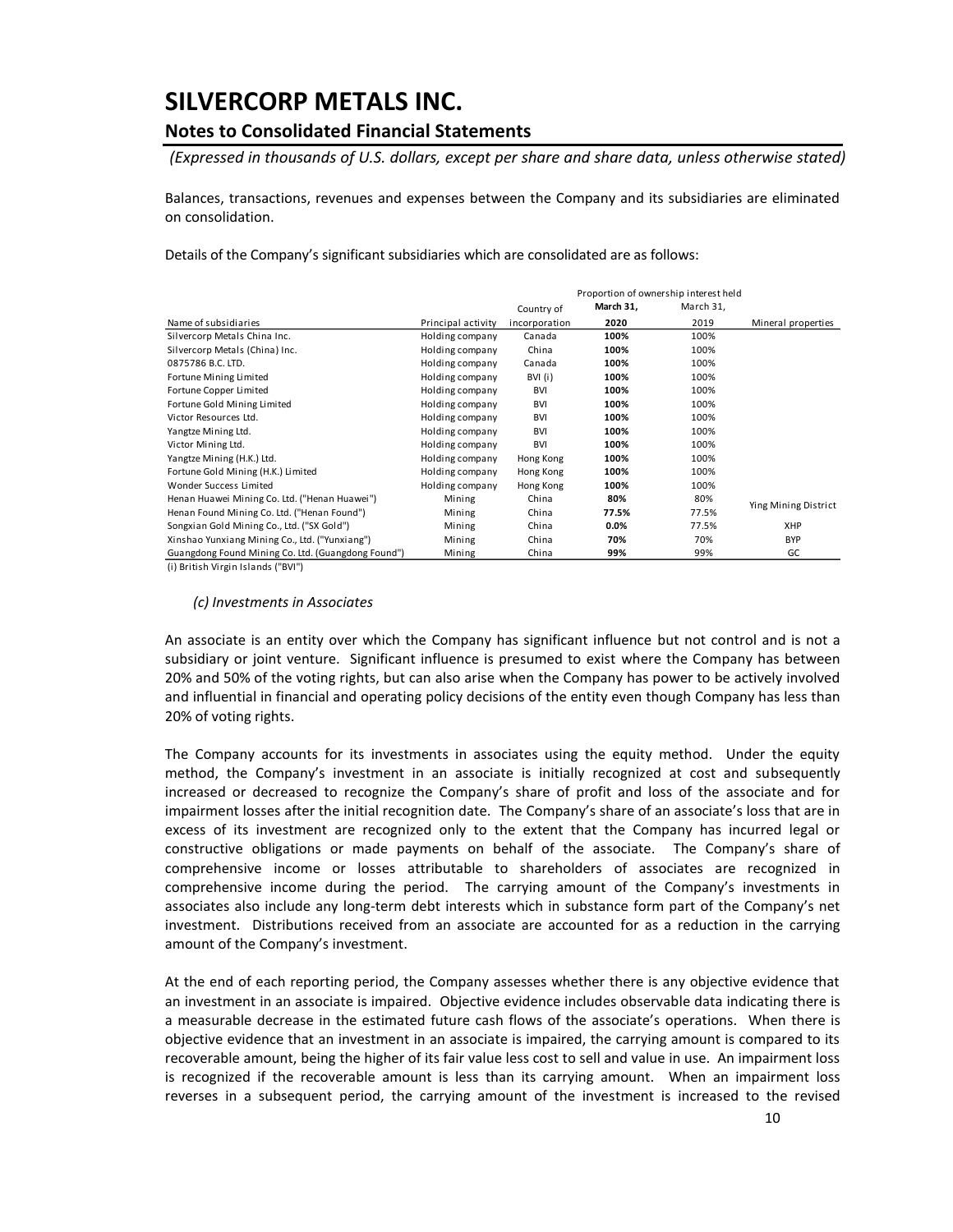*(Expressed in thousands of U.S. dollars, except per share and share data, unless otherwise stated)*

Balances, transactions, revenues and expenses between the Company and its subsidiaries are eliminated on consolidation.

Details of the Company's significant subsidiaries which are consolidated are as follows:

|                                                    |                    | Proportion of ownership interest held |           |           |                      |
|----------------------------------------------------|--------------------|---------------------------------------|-----------|-----------|----------------------|
|                                                    |                    | Country of                            | March 31, | March 31, |                      |
| Name of subsidiaries                               | Principal activity | incorporation                         | 2020      | 2019      | Mineral properties   |
| Silvercorp Metals China Inc.                       | Holding company    | Canada                                | 100%      | 100%      |                      |
| Silvercorp Metals (China) Inc.                     | Holding company    | China                                 | 100%      | 100%      |                      |
| 0875786 B.C. LTD.                                  | Holding company    | Canada                                | 100%      | 100%      |                      |
| Fortune Mining Limited                             | Holding company    | BVI (i)                               | 100%      | 100%      |                      |
| Fortune Copper Limited                             | Holding company    | <b>BVI</b>                            | 100%      | 100%      |                      |
| Fortune Gold Mining Limited                        | Holding company    | <b>BVI</b>                            | 100%      | 100%      |                      |
| Victor Resources Ltd.                              | Holding company    | <b>BVI</b>                            | 100%      | 100%      |                      |
| Yangtze Mining Ltd.                                | Holding company    | <b>BVI</b>                            | 100%      | 100%      |                      |
| Victor Mining Ltd.                                 | Holding company    | <b>BVI</b>                            | 100%      | 100%      |                      |
| Yangtze Mining (H.K.) Ltd.                         | Holding company    | Hong Kong                             | 100%      | 100%      |                      |
| Fortune Gold Mining (H.K.) Limited                 | Holding company    | Hong Kong                             | 100%      | 100%      |                      |
| Wonder Success Limited                             | Holding company    | Hong Kong                             | 100%      | 100%      |                      |
| Henan Huawei Mining Co. Ltd. ("Henan Huawei")      | Mining             | China                                 | 80%       | 80%       | Ying Mining District |
| Henan Found Mining Co. Ltd. ("Henan Found")        | Mining             | China                                 | 77.5%     | 77.5%     |                      |
| Songxian Gold Mining Co., Ltd. ("SX Gold")         | Mining             | China                                 | $0.0\%$   | 77.5%     | <b>XHP</b>           |
| Xinshao Yunxiang Mining Co., Ltd. ("Yunxiang")     | Mining             | China                                 | 70%       | 70%       | <b>BYP</b>           |
| Guangdong Found Mining Co. Ltd. (Guangdong Found") | Mining             | China                                 | 99%       | 99%       | GC                   |

(i) British Virgin Islands ("BVI")

#### *(c) Investments in Associates*

An associate is an entity over which the Company has significant influence but not control and is not a subsidiary or joint venture. Significant influence is presumed to exist where the Company has between 20% and 50% of the voting rights, but can also arise when the Company has power to be actively involved and influential in financial and operating policy decisions of the entity even though Company has less than 20% of voting rights.

The Company accounts for its investments in associates using the equity method. Under the equity method, the Company's investment in an associate is initially recognized at cost and subsequently increased or decreased to recognize the Company's share of profit and loss of the associate and for impairment losses after the initial recognition date. The Company's share of an associate's loss that are in excess of its investment are recognized only to the extent that the Company has incurred legal or constructive obligations or made payments on behalf of the associate. The Company's share of comprehensive income or losses attributable to shareholders of associates are recognized in comprehensive income during the period. The carrying amount of the Company's investments in associates also include any long-term debt interests which in substance form part of the Company's net investment. Distributions received from an associate are accounted for as a reduction in the carrying amount of the Company's investment.

At the end of each reporting period, the Company assesses whether there is any objective evidence that an investment in an associate is impaired. Objective evidence includes observable data indicating there is a measurable decrease in the estimated future cash flows of the associate's operations. When there is objective evidence that an investment in an associate is impaired, the carrying amount is compared to its recoverable amount, being the higher of its fair value less cost to sell and value in use. An impairment loss is recognized if the recoverable amount is less than its carrying amount. When an impairment loss reverses in a subsequent period, the carrying amount of the investment is increased to the revised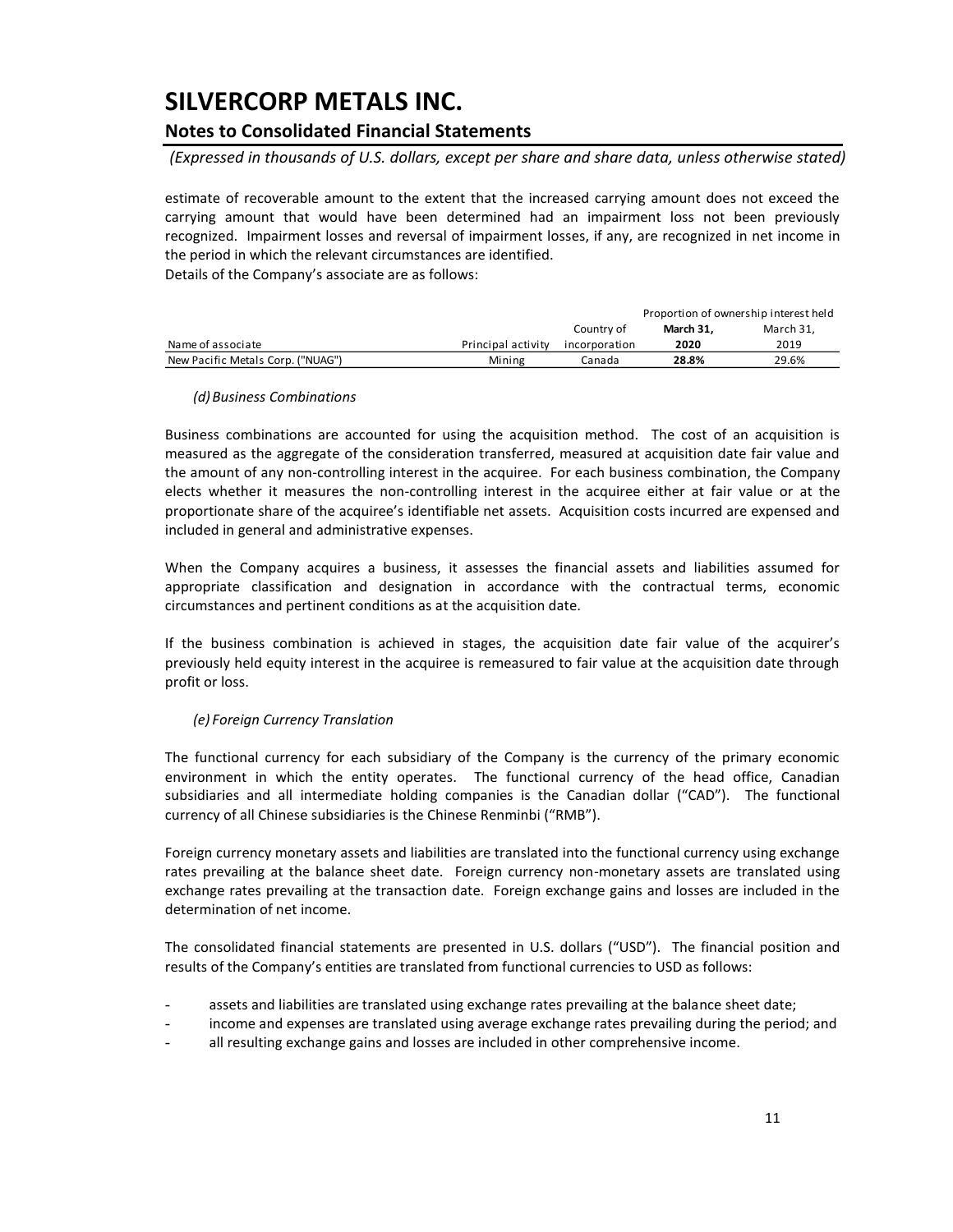### **Notes to Consolidated Financial Statements**

*(Expressed in thousands of U.S. dollars, except per share and share data, unless otherwise stated)*

estimate of recoverable amount to the extent that the increased carrying amount does not exceed the carrying amount that would have been determined had an impairment loss not been previously recognized. Impairment losses and reversal of impairment losses, if any, are recognized in net income in the period in which the relevant circumstances are identified.

Details of the Company's associate are as follows:

|                                   |                    |               | Proportion of ownership interest held |           |
|-----------------------------------|--------------------|---------------|---------------------------------------|-----------|
|                                   |                    | Country of    | March 31.                             | March 31. |
| Name of associate                 | Principal activity | incorporation | 2020                                  | 2019      |
| New Pacific Metals Corp. ("NUAG") | Mining             | Canada        | 28.8%                                 | 29.6%     |

#### *(d)Business Combinations*

Business combinations are accounted for using the acquisition method. The cost of an acquisition is measured as the aggregate of the consideration transferred, measured at acquisition date fair value and the amount of any non-controlling interest in the acquiree. For each business combination, the Company elects whether it measures the non-controlling interest in the acquiree either at fair value or at the proportionate share of the acquiree's identifiable net assets. Acquisition costs incurred are expensed and included in general and administrative expenses.

When the Company acquires a business, it assesses the financial assets and liabilities assumed for appropriate classification and designation in accordance with the contractual terms, economic circumstances and pertinent conditions as at the acquisition date.

If the business combination is achieved in stages, the acquisition date fair value of the acquirer's previously held equity interest in the acquiree is remeasured to fair value at the acquisition date through profit or loss.

#### *(e) Foreign Currency Translation*

The functional currency for each subsidiary of the Company is the currency of the primary economic environment in which the entity operates. The functional currency of the head office, Canadian subsidiaries and all intermediate holding companies is the Canadian dollar ("CAD"). The functional currency of all Chinese subsidiaries is the Chinese Renminbi ("RMB").

Foreign currency monetary assets and liabilities are translated into the functional currency using exchange rates prevailing at the balance sheet date. Foreign currency non-monetary assets are translated using exchange rates prevailing at the transaction date. Foreign exchange gains and losses are included in the determination of net income.

The consolidated financial statements are presented in U.S. dollars ("USD"). The financial position and results of the Company's entities are translated from functional currencies to USD as follows:

- assets and liabilities are translated using exchange rates prevailing at the balance sheet date;
- income and expenses are translated using average exchange rates prevailing during the period; and
- all resulting exchange gains and losses are included in other comprehensive income.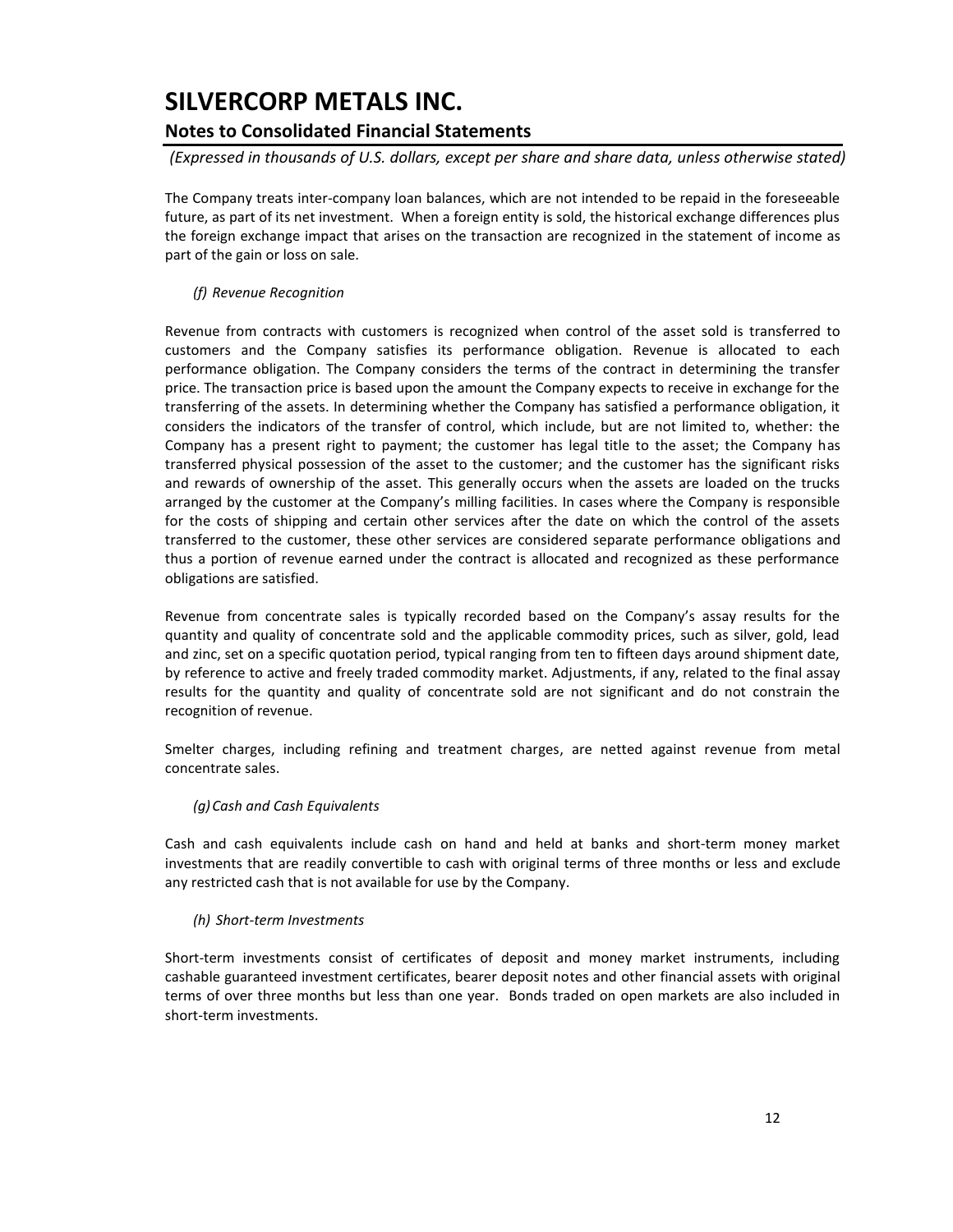*(Expressed in thousands of U.S. dollars, except per share and share data, unless otherwise stated)*

The Company treats inter-company loan balances, which are not intended to be repaid in the foreseeable future, as part of its net investment. When a foreign entity is sold, the historical exchange differences plus the foreign exchange impact that arises on the transaction are recognized in the statement of income as part of the gain or loss on sale.

#### *(f) Revenue Recognition*

Revenue from contracts with customers is recognized when control of the asset sold is transferred to customers and the Company satisfies its performance obligation. Revenue is allocated to each performance obligation. The Company considers the terms of the contract in determining the transfer price. The transaction price is based upon the amount the Company expects to receive in exchange for the transferring of the assets. In determining whether the Company has satisfied a performance obligation, it considers the indicators of the transfer of control, which include, but are not limited to, whether: the Company has a present right to payment; the customer has legal title to the asset; the Company has transferred physical possession of the asset to the customer; and the customer has the significant risks and rewards of ownership of the asset. This generally occurs when the assets are loaded on the trucks arranged by the customer at the Company's milling facilities. In cases where the Company is responsible for the costs of shipping and certain other services after the date on which the control of the assets transferred to the customer, these other services are considered separate performance obligations and thus a portion of revenue earned under the contract is allocated and recognized as these performance obligations are satisfied.

Revenue from concentrate sales is typically recorded based on the Company's assay results for the quantity and quality of concentrate sold and the applicable commodity prices, such as silver, gold, lead and zinc, set on a specific quotation period, typical ranging from ten to fifteen days around shipment date, by reference to active and freely traded commodity market. Adjustments, if any, related to the final assay results for the quantity and quality of concentrate sold are not significant and do not constrain the recognition of revenue.

Smelter charges, including refining and treatment charges, are netted against revenue from metal concentrate sales.

#### *(g)Cash and Cash Equivalents*

Cash and cash equivalents include cash on hand and held at banks and short-term money market investments that are readily convertible to cash with original terms of three months or less and exclude any restricted cash that is not available for use by the Company.

#### *(h) Short-term Investments*

Short-term investments consist of certificates of deposit and money market instruments, including cashable guaranteed investment certificates, bearer deposit notes and other financial assets with original terms of over three months but less than one year. Bonds traded on open markets are also included in short-term investments.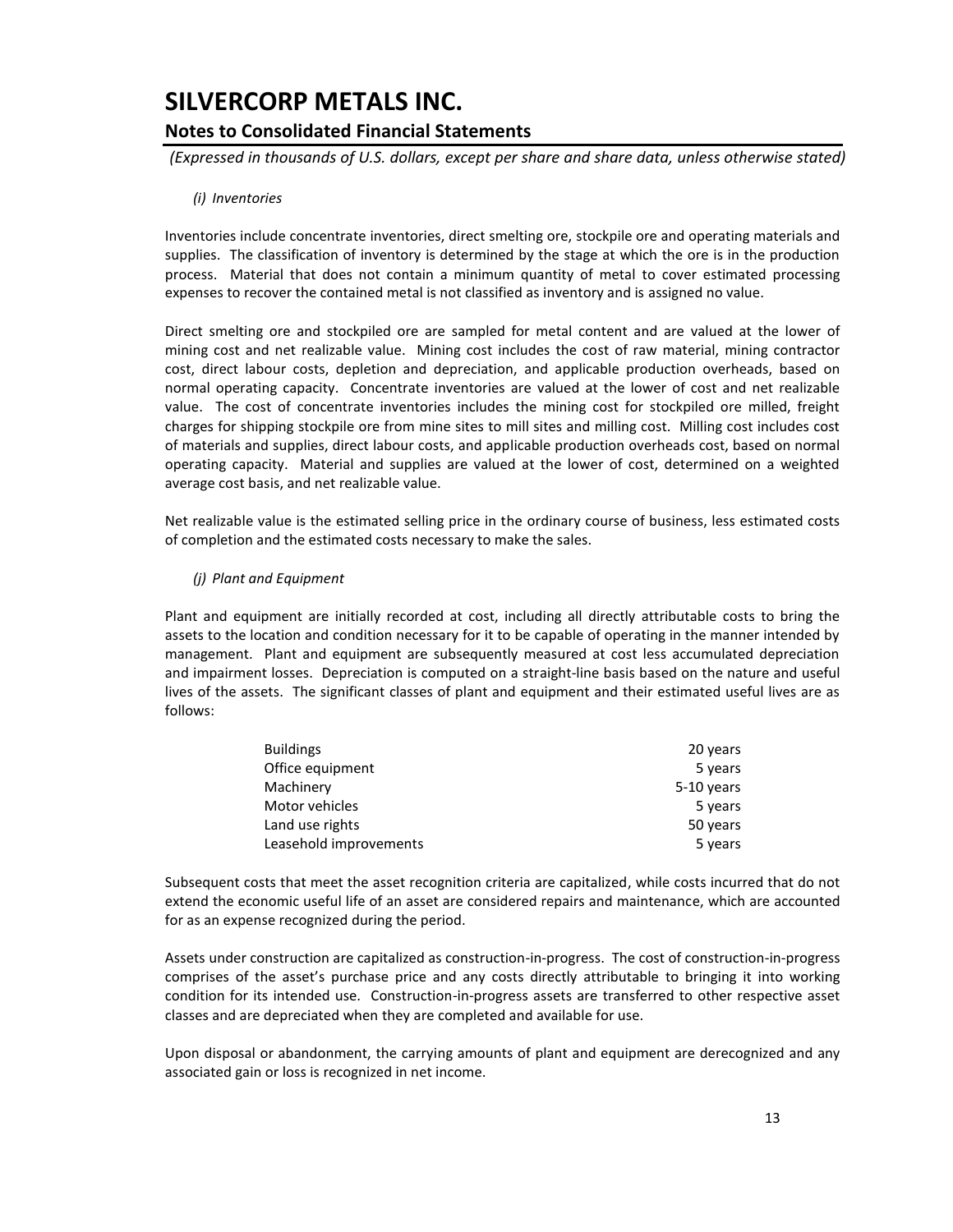*(Expressed in thousands of U.S. dollars, except per share and share data, unless otherwise stated)*

#### *(i) Inventories*

Inventories include concentrate inventories, direct smelting ore, stockpile ore and operating materials and supplies. The classification of inventory is determined by the stage at which the ore is in the production process. Material that does not contain a minimum quantity of metal to cover estimated processing expenses to recover the contained metal is not classified as inventory and is assigned no value.

Direct smelting ore and stockpiled ore are sampled for metal content and are valued at the lower of mining cost and net realizable value. Mining cost includes the cost of raw material, mining contractor cost, direct labour costs, depletion and depreciation, and applicable production overheads, based on normal operating capacity. Concentrate inventories are valued at the lower of cost and net realizable value. The cost of concentrate inventories includes the mining cost for stockpiled ore milled, freight charges for shipping stockpile ore from mine sites to mill sites and milling cost. Milling cost includes cost of materials and supplies, direct labour costs, and applicable production overheads cost, based on normal operating capacity. Material and supplies are valued at the lower of cost, determined on a weighted average cost basis, and net realizable value.

Net realizable value is the estimated selling price in the ordinary course of business, less estimated costs of completion and the estimated costs necessary to make the sales.

#### *(j) Plant and Equipment*

Plant and equipment are initially recorded at cost, including all directly attributable costs to bring the assets to the location and condition necessary for it to be capable of operating in the manner intended by management. Plant and equipment are subsequently measured at cost less accumulated depreciation and impairment losses. Depreciation is computed on a straight-line basis based on the nature and useful lives of the assets. The significant classes of plant and equipment and their estimated useful lives are as follows:

| <b>Buildings</b>       | 20 years   |
|------------------------|------------|
| Office equipment       | 5 years    |
| Machinery              | 5-10 years |
| Motor vehicles         | 5 years    |
| Land use rights        | 50 years   |
| Leasehold improvements | 5 years    |

Subsequent costs that meet the asset recognition criteria are capitalized, while costs incurred that do not extend the economic useful life of an asset are considered repairs and maintenance, which are accounted for as an expense recognized during the period.

Assets under construction are capitalized as construction-in-progress. The cost of construction-in-progress comprises of the asset's purchase price and any costs directly attributable to bringing it into working condition for its intended use. Construction-in-progress assets are transferred to other respective asset classes and are depreciated when they are completed and available for use.

Upon disposal or abandonment, the carrying amounts of plant and equipment are derecognized and any associated gain or loss is recognized in net income.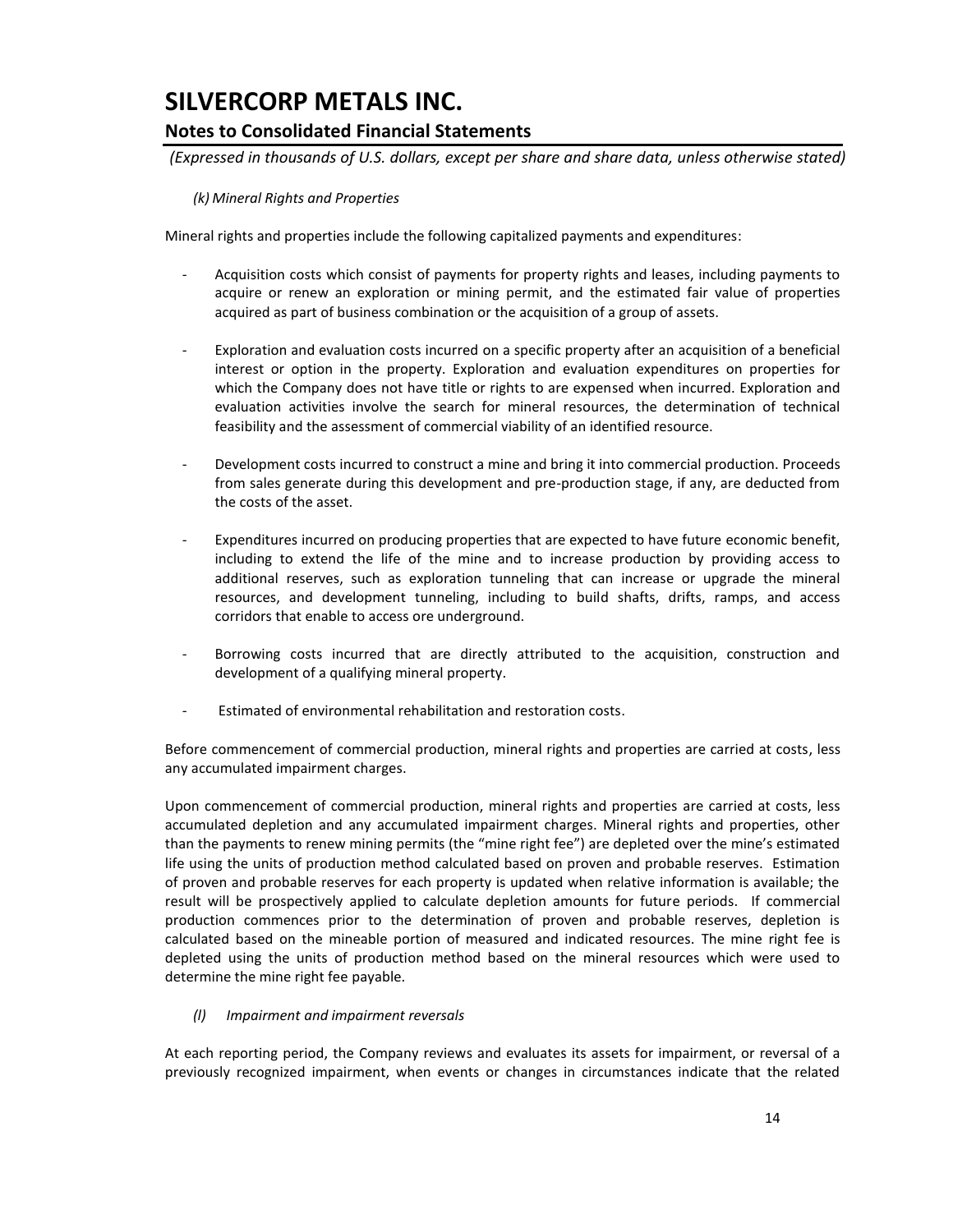*(Expressed in thousands of U.S. dollars, except per share and share data, unless otherwise stated)*

#### *(k) Mineral Rights and Properties*

Mineral rights and properties include the following capitalized payments and expenditures:

- Acquisition costs which consist of payments for property rights and leases, including payments to acquire or renew an exploration or mining permit, and the estimated fair value of properties acquired as part of business combination or the acquisition of a group of assets.
- Exploration and evaluation costs incurred on a specific property after an acquisition of a beneficial interest or option in the property. Exploration and evaluation expenditures on properties for which the Company does not have title or rights to are expensed when incurred. Exploration and evaluation activities involve the search for mineral resources, the determination of technical feasibility and the assessment of commercial viability of an identified resource.
- Development costs incurred to construct a mine and bring it into commercial production. Proceeds from sales generate during this development and pre-production stage, if any, are deducted from the costs of the asset.
- Expenditures incurred on producing properties that are expected to have future economic benefit, including to extend the life of the mine and to increase production by providing access to additional reserves, such as exploration tunneling that can increase or upgrade the mineral resources, and development tunneling, including to build shafts, drifts, ramps, and access corridors that enable to access ore underground.
- Borrowing costs incurred that are directly attributed to the acquisition, construction and development of a qualifying mineral property.
- Estimated of environmental rehabilitation and restoration costs.

Before commencement of commercial production, mineral rights and properties are carried at costs, less any accumulated impairment charges.

Upon commencement of commercial production, mineral rights and properties are carried at costs, less accumulated depletion and any accumulated impairment charges. Mineral rights and properties, other than the payments to renew mining permits (the "mine right fee") are depleted over the mine's estimated life using the units of production method calculated based on proven and probable reserves. Estimation of proven and probable reserves for each property is updated when relative information is available; the result will be prospectively applied to calculate depletion amounts for future periods. If commercial production commences prior to the determination of proven and probable reserves, depletion is calculated based on the mineable portion of measured and indicated resources. The mine right fee is depleted using the units of production method based on the mineral resources which were used to determine the mine right fee payable.

#### *(l) Impairment and impairment reversals*

At each reporting period, the Company reviews and evaluates its assets for impairment, or reversal of a previously recognized impairment, when events or changes in circumstances indicate that the related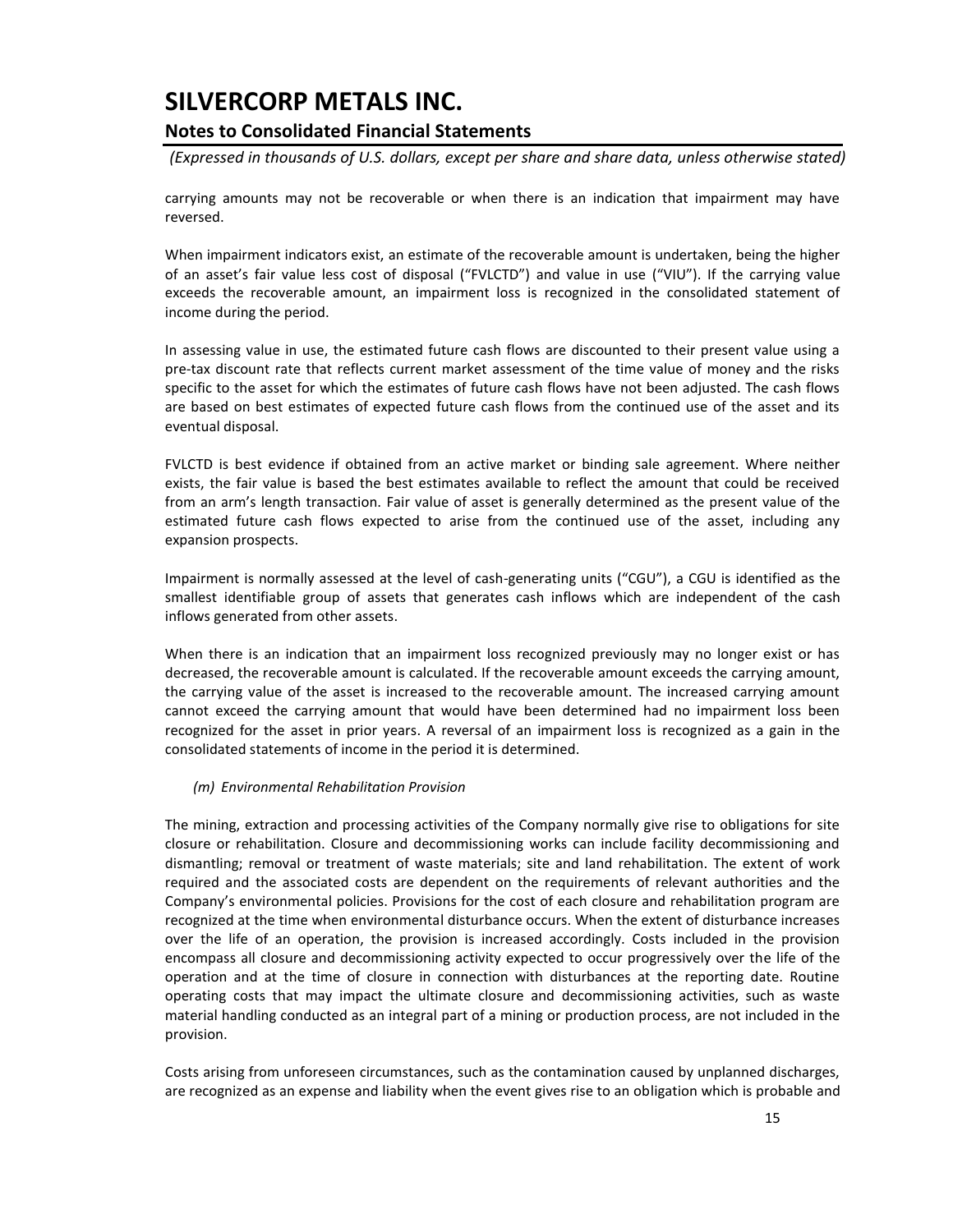*(Expressed in thousands of U.S. dollars, except per share and share data, unless otherwise stated)*

carrying amounts may not be recoverable or when there is an indication that impairment may have reversed.

When impairment indicators exist, an estimate of the recoverable amount is undertaken, being the higher of an asset's fair value less cost of disposal ("FVLCTD") and value in use ("VIU"). If the carrying value exceeds the recoverable amount, an impairment loss is recognized in the consolidated statement of income during the period.

In assessing value in use, the estimated future cash flows are discounted to their present value using a pre-tax discount rate that reflects current market assessment of the time value of money and the risks specific to the asset for which the estimates of future cash flows have not been adjusted. The cash flows are based on best estimates of expected future cash flows from the continued use of the asset and its eventual disposal.

FVLCTD is best evidence if obtained from an active market or binding sale agreement. Where neither exists, the fair value is based the best estimates available to reflect the amount that could be received from an arm's length transaction. Fair value of asset is generally determined as the present value of the estimated future cash flows expected to arise from the continued use of the asset, including any expansion prospects.

Impairment is normally assessed at the level of cash-generating units ("CGU"), a CGU is identified as the smallest identifiable group of assets that generates cash inflows which are independent of the cash inflows generated from other assets.

When there is an indication that an impairment loss recognized previously may no longer exist or has decreased, the recoverable amount is calculated. If the recoverable amount exceeds the carrying amount, the carrying value of the asset is increased to the recoverable amount. The increased carrying amount cannot exceed the carrying amount that would have been determined had no impairment loss been recognized for the asset in prior years. A reversal of an impairment loss is recognized as a gain in the consolidated statements of income in the period it is determined.

#### *(m) Environmental Rehabilitation Provision*

The mining, extraction and processing activities of the Company normally give rise to obligations for site closure or rehabilitation. Closure and decommissioning works can include facility decommissioning and dismantling; removal or treatment of waste materials; site and land rehabilitation. The extent of work required and the associated costs are dependent on the requirements of relevant authorities and the Company's environmental policies. Provisions for the cost of each closure and rehabilitation program are recognized at the time when environmental disturbance occurs. When the extent of disturbance increases over the life of an operation, the provision is increased accordingly. Costs included in the provision encompass all closure and decommissioning activity expected to occur progressively over the life of the operation and at the time of closure in connection with disturbances at the reporting date. Routine operating costs that may impact the ultimate closure and decommissioning activities, such as waste material handling conducted as an integral part of a mining or production process, are not included in the provision.

Costs arising from unforeseen circumstances, such as the contamination caused by unplanned discharges, are recognized as an expense and liability when the event gives rise to an obligation which is probable and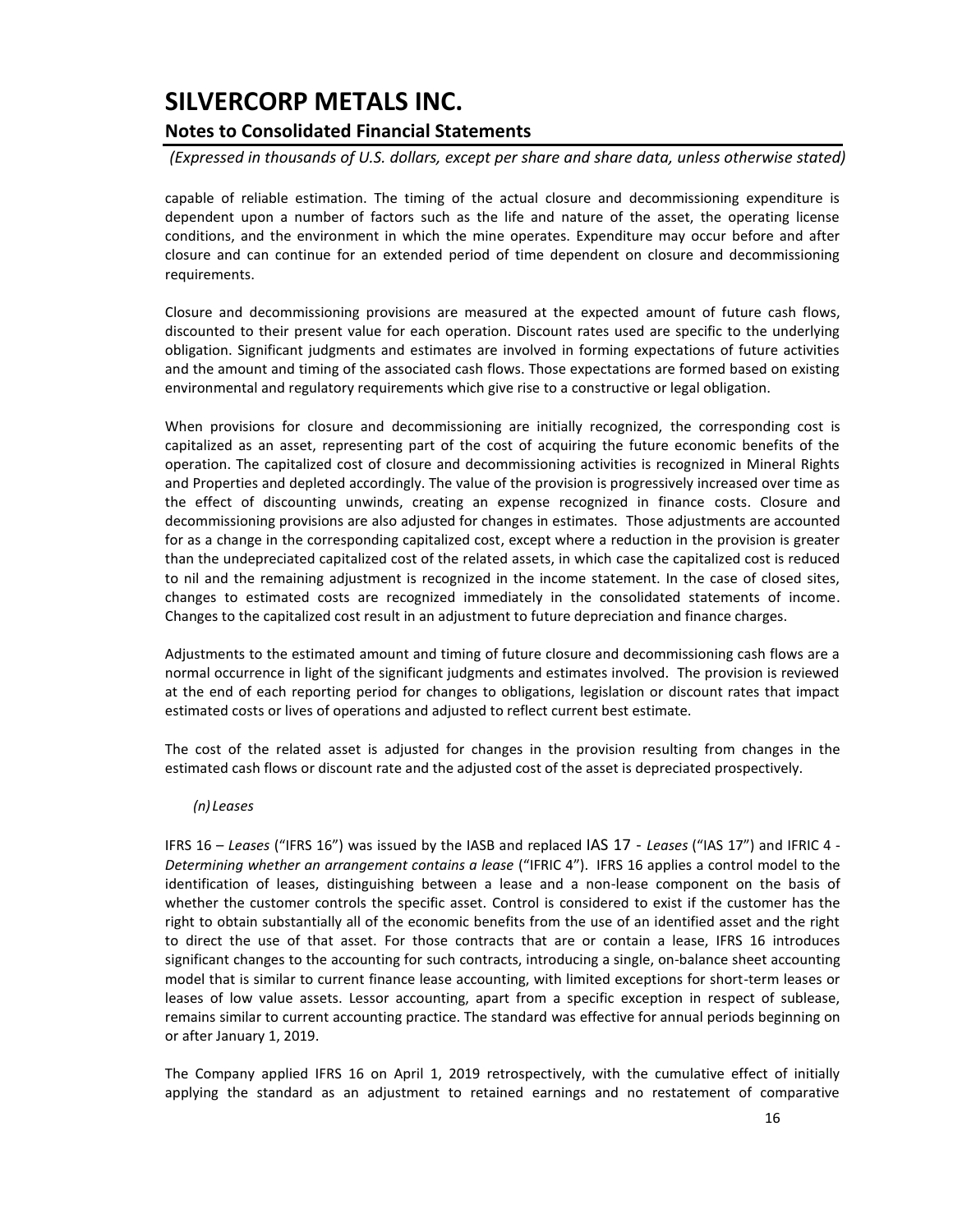*(Expressed in thousands of U.S. dollars, except per share and share data, unless otherwise stated)*

capable of reliable estimation. The timing of the actual closure and decommissioning expenditure is dependent upon a number of factors such as the life and nature of the asset, the operating license conditions, and the environment in which the mine operates. Expenditure may occur before and after closure and can continue for an extended period of time dependent on closure and decommissioning requirements.

Closure and decommissioning provisions are measured at the expected amount of future cash flows, discounted to their present value for each operation. Discount rates used are specific to the underlying obligation. Significant judgments and estimates are involved in forming expectations of future activities and the amount and timing of the associated cash flows. Those expectations are formed based on existing environmental and regulatory requirements which give rise to a constructive or legal obligation.

When provisions for closure and decommissioning are initially recognized, the corresponding cost is capitalized as an asset, representing part of the cost of acquiring the future economic benefits of the operation. The capitalized cost of closure and decommissioning activities is recognized in Mineral Rights and Properties and depleted accordingly. The value of the provision is progressively increased over time as the effect of discounting unwinds, creating an expense recognized in finance costs. Closure and decommissioning provisions are also adjusted for changes in estimates. Those adjustments are accounted for as a change in the corresponding capitalized cost, except where a reduction in the provision is greater than the undepreciated capitalized cost of the related assets, in which case the capitalized cost is reduced to nil and the remaining adjustment is recognized in the income statement. In the case of closed sites, changes to estimated costs are recognized immediately in the consolidated statements of income. Changes to the capitalized cost result in an adjustment to future depreciation and finance charges.

Adjustments to the estimated amount and timing of future closure and decommissioning cash flows are a normal occurrence in light of the significant judgments and estimates involved. The provision is reviewed at the end of each reporting period for changes to obligations, legislation or discount rates that impact estimated costs or lives of operations and adjusted to reflect current best estimate.

The cost of the related asset is adjusted for changes in the provision resulting from changes in the estimated cash flows or discount rate and the adjusted cost of the asset is depreciated prospectively.

#### *(n) Leases*

IFRS 16 – *Leases* ("IFRS 16") was issued by the IASB and replaced IAS 17 - *Leases* ("IAS 17") and IFRIC 4 - *Determining whether an arrangement contains a lease* ("IFRIC 4"). IFRS 16 applies a control model to the identification of leases, distinguishing between a lease and a non-lease component on the basis of whether the customer controls the specific asset. Control is considered to exist if the customer has the right to obtain substantially all of the economic benefits from the use of an identified asset and the right to direct the use of that asset. For those contracts that are or contain a lease, IFRS 16 introduces significant changes to the accounting for such contracts, introducing a single, on-balance sheet accounting model that is similar to current finance lease accounting, with limited exceptions for short-term leases or leases of low value assets. Lessor accounting, apart from a specific exception in respect of sublease, remains similar to current accounting practice. The standard was effective for annual periods beginning on or after January 1, 2019.

The Company applied IFRS 16 on April 1, 2019 retrospectively, with the cumulative effect of initially applying the standard as an adjustment to retained earnings and no restatement of comparative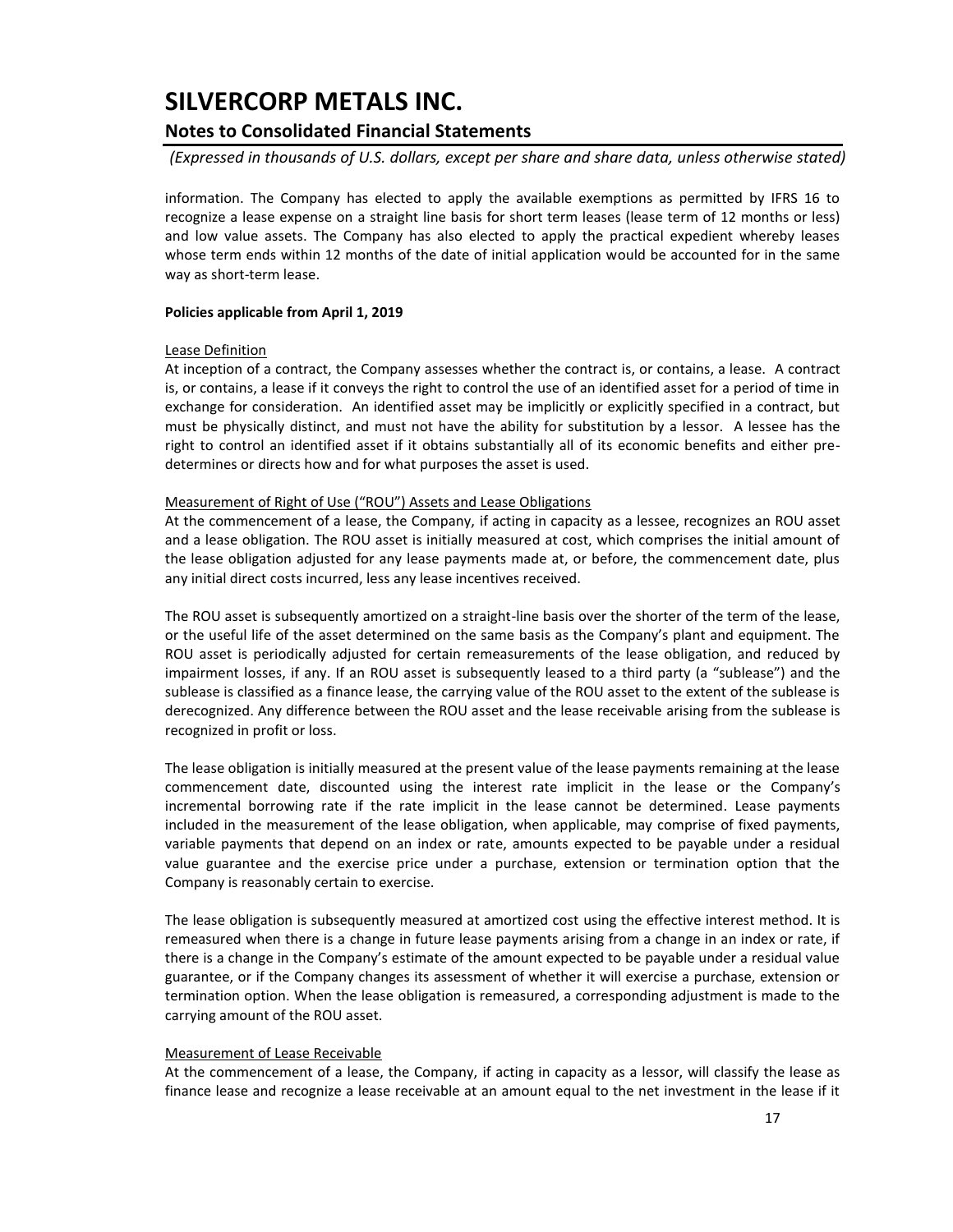### **Notes to Consolidated Financial Statements**

*(Expressed in thousands of U.S. dollars, except per share and share data, unless otherwise stated)*

information. The Company has elected to apply the available exemptions as permitted by IFRS 16 to recognize a lease expense on a straight line basis for short term leases (lease term of 12 months or less) and low value assets. The Company has also elected to apply the practical expedient whereby leases whose term ends within 12 months of the date of initial application would be accounted for in the same way as short-term lease.

#### **Policies applicable from April 1, 2019**

#### Lease Definition

At inception of a contract, the Company assesses whether the contract is, or contains, a lease. A contract is, or contains, a lease if it conveys the right to control the use of an identified asset for a period of time in exchange for consideration. An identified asset may be implicitly or explicitly specified in a contract, but must be physically distinct, and must not have the ability for substitution by a lessor. A lessee has the right to control an identified asset if it obtains substantially all of its economic benefits and either predetermines or directs how and for what purposes the asset is used.

#### Measurement of Right of Use ("ROU") Assets and Lease Obligations

At the commencement of a lease, the Company, if acting in capacity as a lessee, recognizes an ROU asset and a lease obligation. The ROU asset is initially measured at cost, which comprises the initial amount of the lease obligation adjusted for any lease payments made at, or before, the commencement date, plus any initial direct costs incurred, less any lease incentives received.

The ROU asset is subsequently amortized on a straight-line basis over the shorter of the term of the lease, or the useful life of the asset determined on the same basis as the Company's plant and equipment. The ROU asset is periodically adjusted for certain remeasurements of the lease obligation, and reduced by impairment losses, if any. If an ROU asset is subsequently leased to a third party (a "sublease") and the sublease is classified as a finance lease, the carrying value of the ROU asset to the extent of the sublease is derecognized. Any difference between the ROU asset and the lease receivable arising from the sublease is recognized in profit or loss.

The lease obligation is initially measured at the present value of the lease payments remaining at the lease commencement date, discounted using the interest rate implicit in the lease or the Company's incremental borrowing rate if the rate implicit in the lease cannot be determined. Lease payments included in the measurement of the lease obligation, when applicable, may comprise of fixed payments, variable payments that depend on an index or rate, amounts expected to be payable under a residual value guarantee and the exercise price under a purchase, extension or termination option that the Company is reasonably certain to exercise.

The lease obligation is subsequently measured at amortized cost using the effective interest method. It is remeasured when there is a change in future lease payments arising from a change in an index or rate, if there is a change in the Company's estimate of the amount expected to be payable under a residual value guarantee, or if the Company changes its assessment of whether it will exercise a purchase, extension or termination option. When the lease obligation is remeasured, a corresponding adjustment is made to the carrying amount of the ROU asset.

#### Measurement of Lease Receivable

At the commencement of a lease, the Company, if acting in capacity as a lessor, will classify the lease as finance lease and recognize a lease receivable at an amount equal to the net investment in the lease if it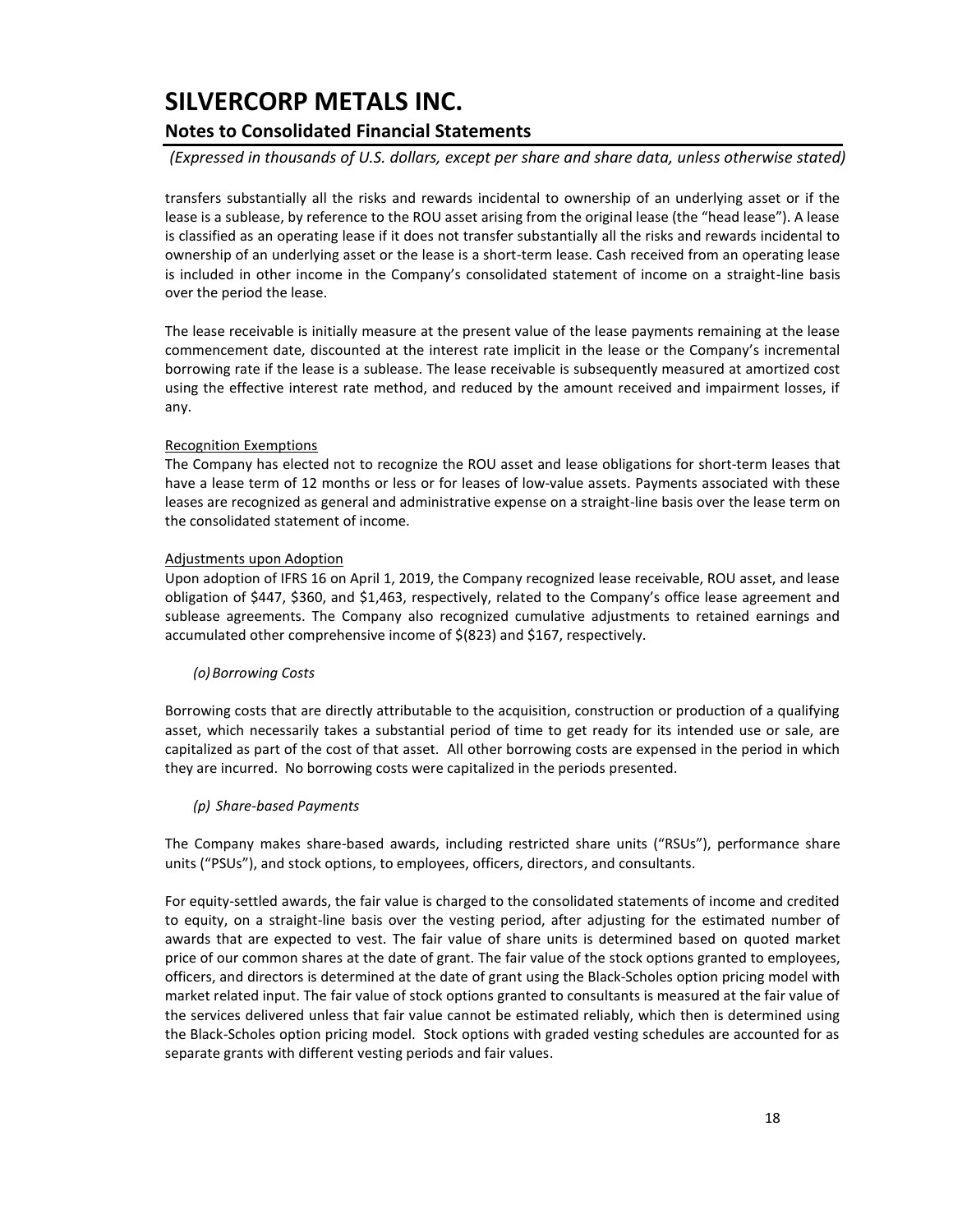### **Notes to Consolidated Financial Statements**

*(Expressed in thousands of U.S. dollars, except per share and share data, unless otherwise stated)*

transfers substantially all the risks and rewards incidental to ownership of an underlying asset or if the lease is a sublease, by reference to the ROU asset arising from the original lease (the "head lease"). A lease is classified as an operating lease if it does not transfer substantially all the risks and rewards incidental to ownership of an underlying asset or the lease is a short-term lease. Cash received from an operating lease is included in other income in the Company's consolidated statement of income on a straight-line basis over the period the lease.

The lease receivable is initially measure at the present value of the lease payments remaining at the lease commencement date, discounted at the interest rate implicit in the lease or the Company's incremental borrowing rate if the lease is a sublease. The lease receivable is subsequently measured at amortized cost using the effective interest rate method, and reduced by the amount received and impairment losses, if any.

#### Recognition Exemptions

The Company has elected not to recognize the ROU asset and lease obligations for short-term leases that have a lease term of 12 months or less or for leases of low-value assets. Payments associated with these leases are recognized as general and administrative expense on a straight-line basis over the lease term on the consolidated statement of income.

#### Adjustments upon Adoption

Upon adoption of IFRS 16 on April 1, 2019, the Company recognized lease receivable, ROU asset, and lease obligation of \$447, \$360, and \$1,463, respectively, related to the Company's office lease agreement and sublease agreements. The Company also recognized cumulative adjustments to retained earnings and accumulated other comprehensive income of \$(823) and \$167, respectively.

#### *(o)Borrowing Costs*

Borrowing costs that are directly attributable to the acquisition, construction or production of a qualifying asset, which necessarily takes a substantial period of time to get ready for its intended use or sale, are capitalized as part of the cost of that asset. All other borrowing costs are expensed in the period in which they are incurred. No borrowing costs were capitalized in the periods presented.

#### *(p) Share-based Payments*

The Company makes share-based awards, including restricted share units ("RSUs"), performance share units ("PSUs"), and stock options, to employees, officers, directors, and consultants.

For equity-settled awards, the fair value is charged to the consolidated statements of income and credited to equity, on a straight-line basis over the vesting period, after adjusting for the estimated number of awards that are expected to vest. The fair value of share units is determined based on quoted market price of our common shares at the date of grant. The fair value of the stock options granted to employees, officers, and directors is determined at the date of grant using the Black-Scholes option pricing model with market related input. The fair value of stock options granted to consultants is measured at the fair value of the services delivered unless that fair value cannot be estimated reliably, which then is determined using the Black-Scholes option pricing model. Stock options with graded vesting schedules are accounted for as separate grants with different vesting periods and fair values.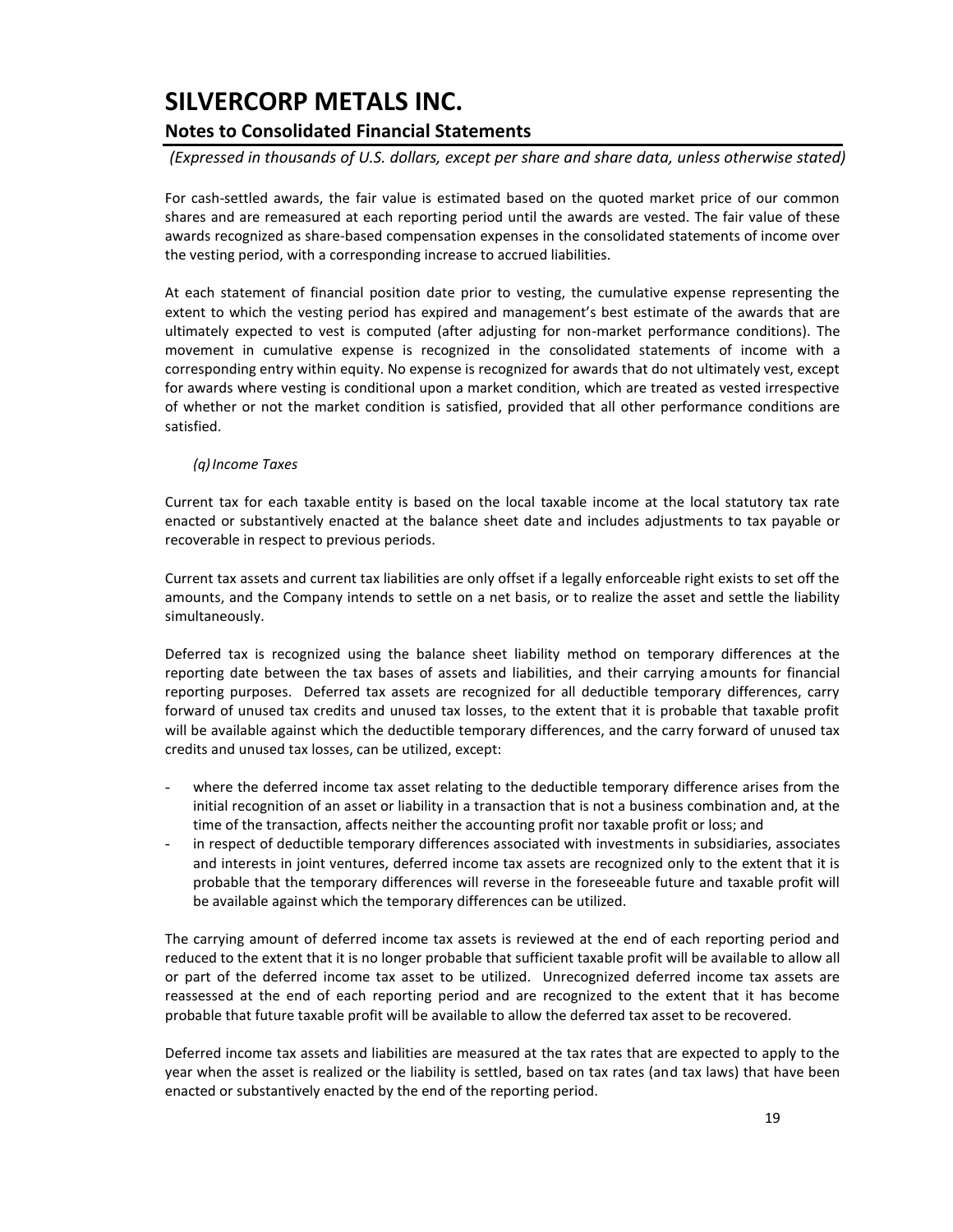*(Expressed in thousands of U.S. dollars, except per share and share data, unless otherwise stated)*

For cash-settled awards, the fair value is estimated based on the quoted market price of our common shares and are remeasured at each reporting period until the awards are vested. The fair value of these awards recognized as share-based compensation expenses in the consolidated statements of income over the vesting period, with a corresponding increase to accrued liabilities.

At each statement of financial position date prior to vesting, the cumulative expense representing the extent to which the vesting period has expired and management's best estimate of the awards that are ultimately expected to vest is computed (after adjusting for non-market performance conditions). The movement in cumulative expense is recognized in the consolidated statements of income with a corresponding entry within equity. No expense is recognized for awards that do not ultimately vest, except for awards where vesting is conditional upon a market condition, which are treated as vested irrespective of whether or not the market condition is satisfied, provided that all other performance conditions are satisfied.

#### *(q)Income Taxes*

Current tax for each taxable entity is based on the local taxable income at the local statutory tax rate enacted or substantively enacted at the balance sheet date and includes adjustments to tax payable or recoverable in respect to previous periods.

Current tax assets and current tax liabilities are only offset if a legally enforceable right exists to set off the amounts, and the Company intends to settle on a net basis, or to realize the asset and settle the liability simultaneously.

Deferred tax is recognized using the balance sheet liability method on temporary differences at the reporting date between the tax bases of assets and liabilities, and their carrying amounts for financial reporting purposes. Deferred tax assets are recognized for all deductible temporary differences, carry forward of unused tax credits and unused tax losses, to the extent that it is probable that taxable profit will be available against which the deductible temporary differences, and the carry forward of unused tax credits and unused tax losses, can be utilized, except:

- where the deferred income tax asset relating to the deductible temporary difference arises from the initial recognition of an asset or liability in a transaction that is not a business combination and, at the time of the transaction, affects neither the accounting profit nor taxable profit or loss; and
- in respect of deductible temporary differences associated with investments in subsidiaries, associates and interests in joint ventures, deferred income tax assets are recognized only to the extent that it is probable that the temporary differences will reverse in the foreseeable future and taxable profit will be available against which the temporary differences can be utilized.

The carrying amount of deferred income tax assets is reviewed at the end of each reporting period and reduced to the extent that it is no longer probable that sufficient taxable profit will be available to allow all or part of the deferred income tax asset to be utilized. Unrecognized deferred income tax assets are reassessed at the end of each reporting period and are recognized to the extent that it has become probable that future taxable profit will be available to allow the deferred tax asset to be recovered.

Deferred income tax assets and liabilities are measured at the tax rates that are expected to apply to the year when the asset is realized or the liability is settled, based on tax rates (and tax laws) that have been enacted or substantively enacted by the end of the reporting period.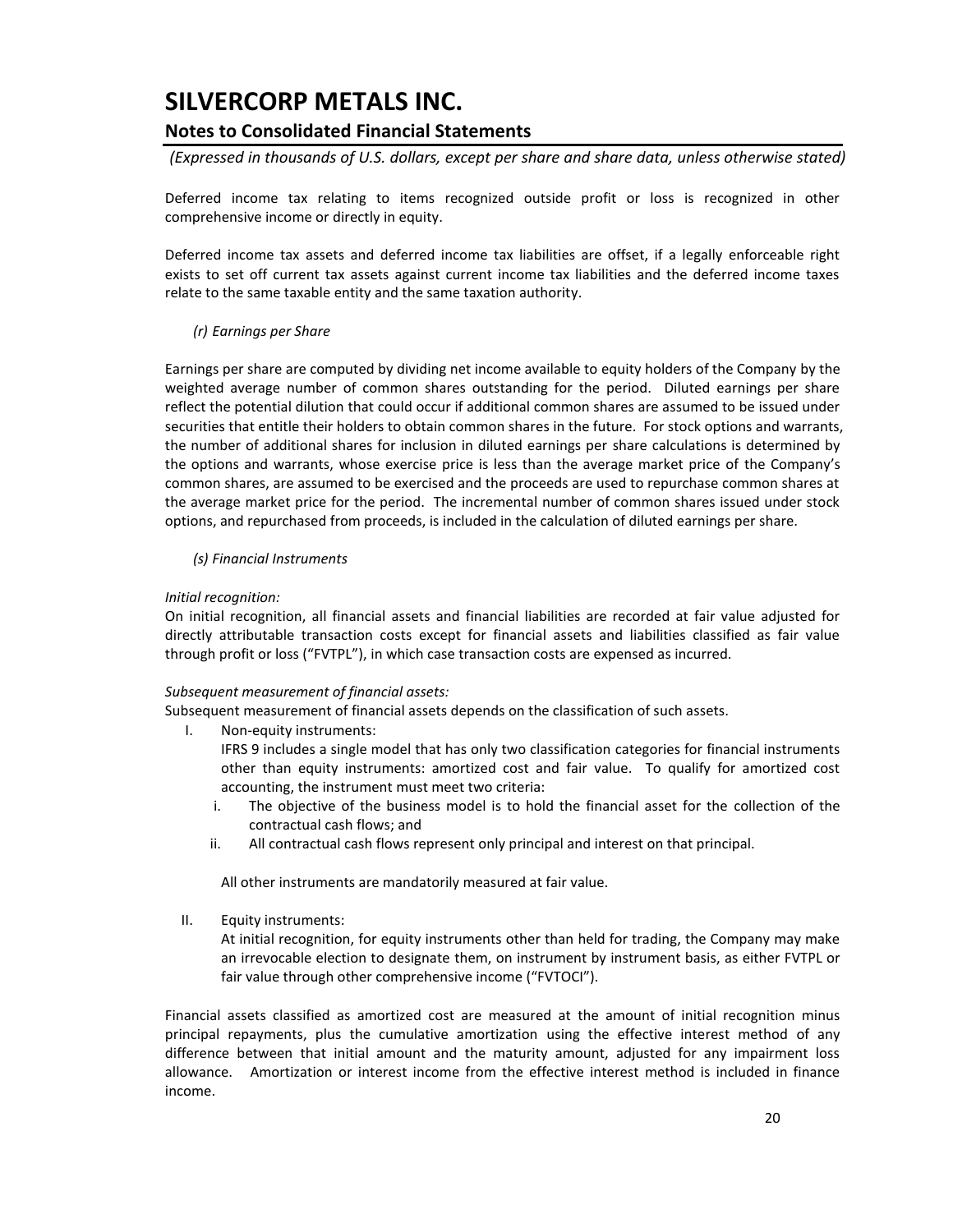*(Expressed in thousands of U.S. dollars, except per share and share data, unless otherwise stated)*

Deferred income tax relating to items recognized outside profit or loss is recognized in other comprehensive income or directly in equity.

Deferred income tax assets and deferred income tax liabilities are offset, if a legally enforceable right exists to set off current tax assets against current income tax liabilities and the deferred income taxes relate to the same taxable entity and the same taxation authority.

#### *(r) Earnings per Share*

Earnings per share are computed by dividing net income available to equity holders of the Company by the weighted average number of common shares outstanding for the period. Diluted earnings per share reflect the potential dilution that could occur if additional common shares are assumed to be issued under securities that entitle their holders to obtain common shares in the future. For stock options and warrants, the number of additional shares for inclusion in diluted earnings per share calculations is determined by the options and warrants, whose exercise price is less than the average market price of the Company's common shares, are assumed to be exercised and the proceeds are used to repurchase common shares at the average market price for the period. The incremental number of common shares issued under stock options, and repurchased from proceeds, is included in the calculation of diluted earnings per share.

#### *(s) Financial Instruments*

#### *Initial recognition:*

On initial recognition, all financial assets and financial liabilities are recorded at fair value adjusted for directly attributable transaction costs except for financial assets and liabilities classified as fair value through profit or loss ("FVTPL"), in which case transaction costs are expensed as incurred.

#### *Subsequent measurement of financial assets:*

Subsequent measurement of financial assets depends on the classification of such assets.

- I. Non-equity instruments:
	- IFRS 9 includes a single model that has only two classification categories for financial instruments other than equity instruments: amortized cost and fair value. To qualify for amortized cost accounting, the instrument must meet two criteria:
	- i. The objective of the business model is to hold the financial asset for the collection of the contractual cash flows; and
	- ii. All contractual cash flows represent only principal and interest on that principal.

All other instruments are mandatorily measured at fair value.

II. Equity instruments:

At initial recognition, for equity instruments other than held for trading, the Company may make an irrevocable election to designate them, on instrument by instrument basis, as either FVTPL or fair value through other comprehensive income ("FVTOCI").

Financial assets classified as amortized cost are measured at the amount of initial recognition minus principal repayments, plus the cumulative amortization using the effective interest method of any difference between that initial amount and the maturity amount, adjusted for any impairment loss allowance. Amortization or interest income from the effective interest method is included in finance income.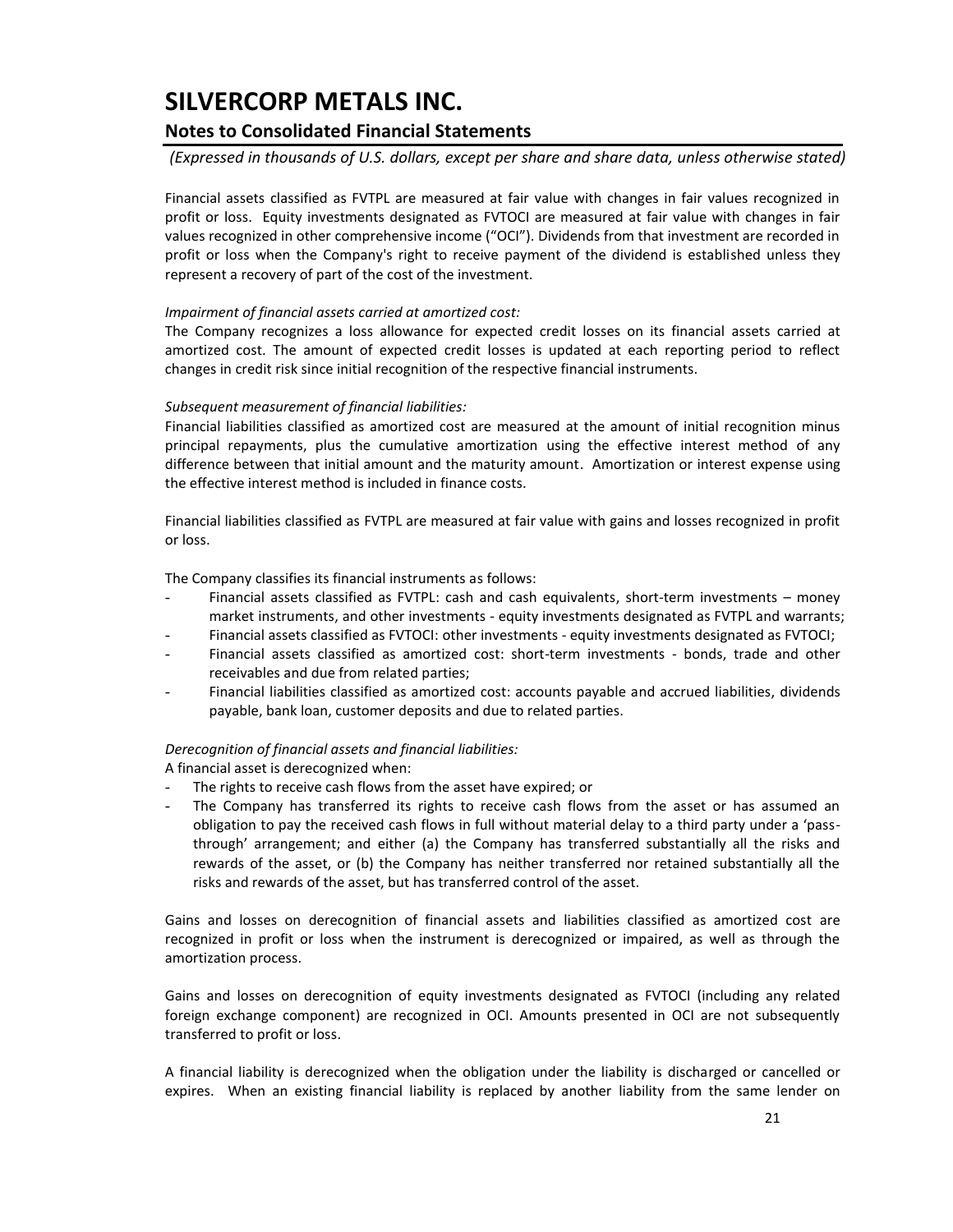### **Notes to Consolidated Financial Statements**

*(Expressed in thousands of U.S. dollars, except per share and share data, unless otherwise stated)*

Financial assets classified as FVTPL are measured at fair value with changes in fair values recognized in profit or loss. Equity investments designated as FVTOCI are measured at fair value with changes in fair values recognized in other comprehensive income ("OCI"). Dividends from that investment are recorded in profit or loss when the Company's right to receive payment of the dividend is established unless they represent a recovery of part of the cost of the investment.

#### *Impairment of financial assets carried at amortized cost:*

The Company recognizes a loss allowance for expected credit losses on its financial assets carried at amortized cost. The amount of expected credit losses is updated at each reporting period to reflect changes in credit risk since initial recognition of the respective financial instruments.

#### *Subsequent measurement of financial liabilities:*

Financial liabilities classified as amortized cost are measured at the amount of initial recognition minus principal repayments, plus the cumulative amortization using the effective interest method of any difference between that initial amount and the maturity amount. Amortization or interest expense using the effective interest method is included in finance costs.

Financial liabilities classified as FVTPL are measured at fair value with gains and losses recognized in profit or loss.

The Company classifies its financial instruments as follows:

- Financial assets classified as FVTPL: cash and cash equivalents, short-term investments money market instruments, and other investments - equity investments designated as FVTPL and warrants;
- Financial assets classified as FVTOCI: other investments equity investments designated as FVTOCI;
- Financial assets classified as amortized cost: short-term investments bonds, trade and other receivables and due from related parties;
- Financial liabilities classified as amortized cost: accounts payable and accrued liabilities, dividends payable, bank loan, customer deposits and due to related parties.

#### *Derecognition of financial assets and financial liabilities:*

A financial asset is derecognized when:

- The rights to receive cash flows from the asset have expired; or
- The Company has transferred its rights to receive cash flows from the asset or has assumed an obligation to pay the received cash flows in full without material delay to a third party under a 'passthrough' arrangement; and either (a) the Company has transferred substantially all the risks and rewards of the asset, or (b) the Company has neither transferred nor retained substantially all the risks and rewards of the asset, but has transferred control of the asset.

Gains and losses on derecognition of financial assets and liabilities classified as amortized cost are recognized in profit or loss when the instrument is derecognized or impaired, as well as through the amortization process.

Gains and losses on derecognition of equity investments designated as FVTOCI (including any related foreign exchange component) are recognized in OCI. Amounts presented in OCI are not subsequently transferred to profit or loss.

A financial liability is derecognized when the obligation under the liability is discharged or cancelled or expires. When an existing financial liability is replaced by another liability from the same lender on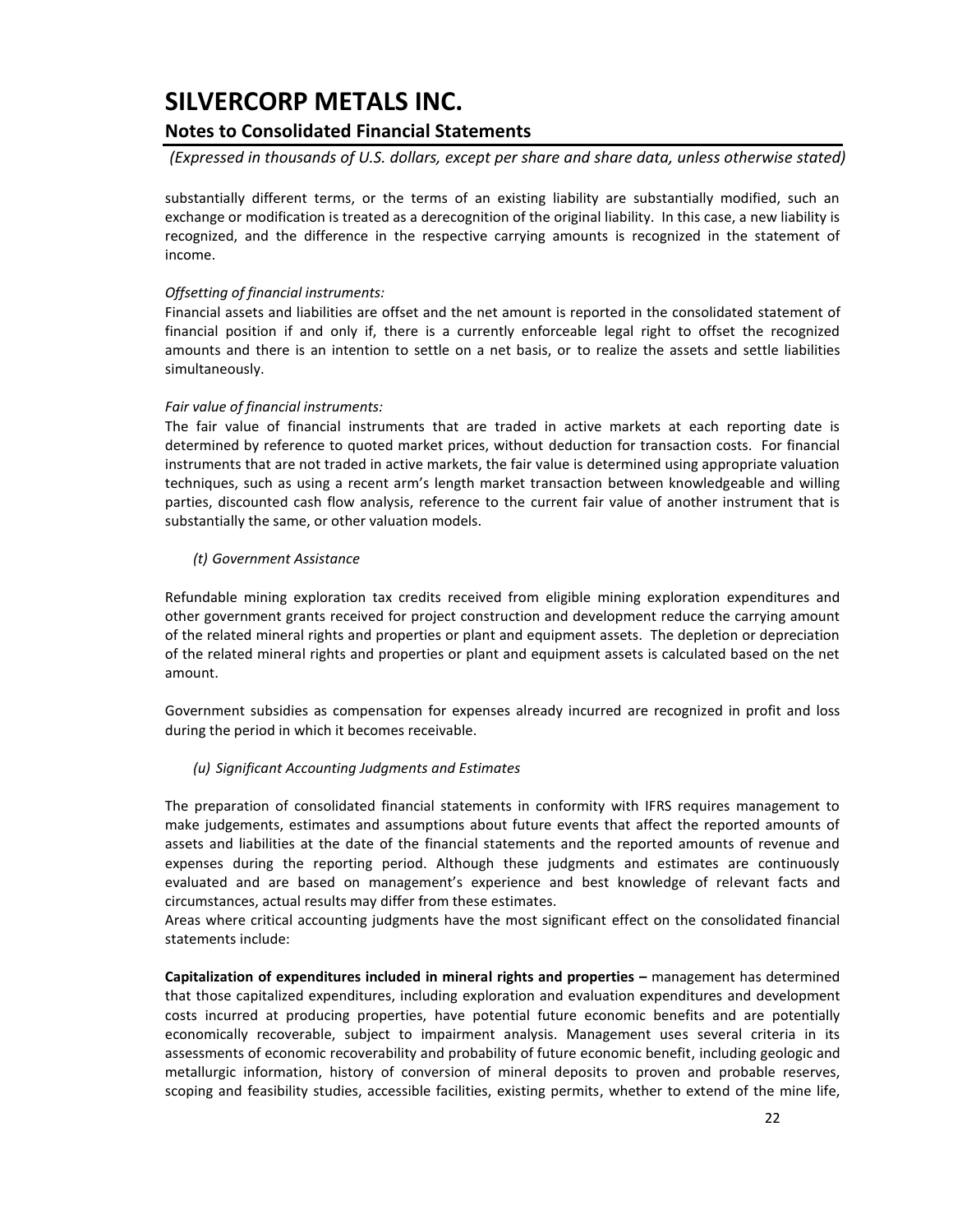### **Notes to Consolidated Financial Statements**

*(Expressed in thousands of U.S. dollars, except per share and share data, unless otherwise stated)*

substantially different terms, or the terms of an existing liability are substantially modified, such an exchange or modification is treated as a derecognition of the original liability. In this case, a new liability is recognized, and the difference in the respective carrying amounts is recognized in the statement of income.

#### *Offsetting of financial instruments:*

Financial assets and liabilities are offset and the net amount is reported in the consolidated statement of financial position if and only if, there is a currently enforceable legal right to offset the recognized amounts and there is an intention to settle on a net basis, or to realize the assets and settle liabilities simultaneously.

#### *Fair value of financial instruments:*

The fair value of financial instruments that are traded in active markets at each reporting date is determined by reference to quoted market prices, without deduction for transaction costs. For financial instruments that are not traded in active markets, the fair value is determined using appropriate valuation techniques, such as using a recent arm's length market transaction between knowledgeable and willing parties, discounted cash flow analysis, reference to the current fair value of another instrument that is substantially the same, or other valuation models.

#### *(t) Government Assistance*

Refundable mining exploration tax credits received from eligible mining exploration expenditures and other government grants received for project construction and development reduce the carrying amount of the related mineral rights and properties or plant and equipment assets. The depletion or depreciation of the related mineral rights and properties or plant and equipment assets is calculated based on the net amount.

Government subsidies as compensation for expenses already incurred are recognized in profit and loss during the period in which it becomes receivable.

#### *(u) Significant Accounting Judgments and Estimates*

The preparation of consolidated financial statements in conformity with IFRS requires management to make judgements, estimates and assumptions about future events that affect the reported amounts of assets and liabilities at the date of the financial statements and the reported amounts of revenue and expenses during the reporting period. Although these judgments and estimates are continuously evaluated and are based on management's experience and best knowledge of relevant facts and circumstances, actual results may differ from these estimates.

Areas where critical accounting judgments have the most significant effect on the consolidated financial statements include:

**Capitalization of expenditures included in mineral rights and properties –** management has determined that those capitalized expenditures, including exploration and evaluation expenditures and development costs incurred at producing properties, have potential future economic benefits and are potentially economically recoverable, subject to impairment analysis. Management uses several criteria in its assessments of economic recoverability and probability of future economic benefit, including geologic and metallurgic information, history of conversion of mineral deposits to proven and probable reserves, scoping and feasibility studies, accessible facilities, existing permits, whether to extend of the mine life,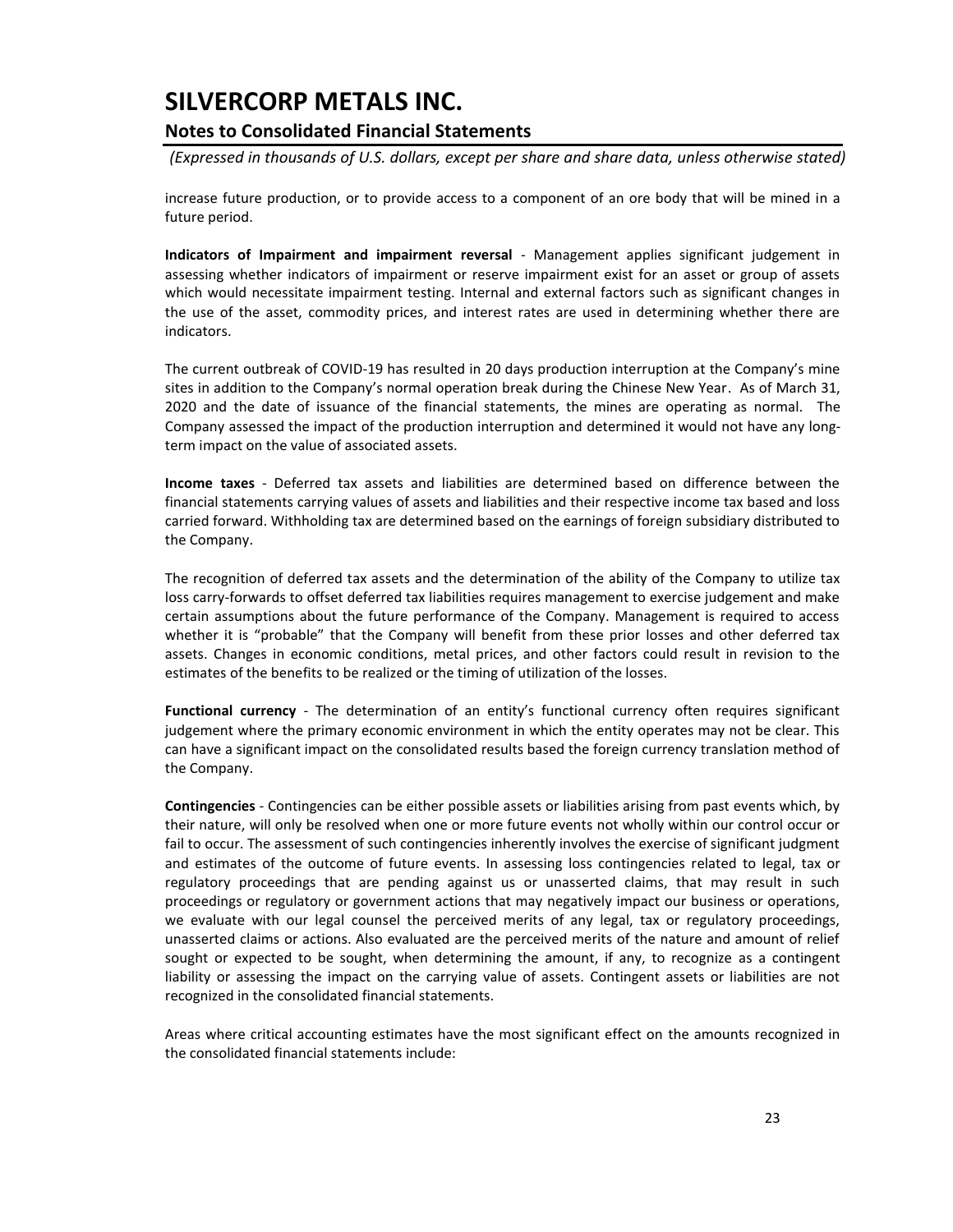*(Expressed in thousands of U.S. dollars, except per share and share data, unless otherwise stated)*

increase future production, or to provide access to a component of an ore body that will be mined in a future period.

**Indicators of Impairment and impairment reversal** - Management applies significant judgement in assessing whether indicators of impairment or reserve impairment exist for an asset or group of assets which would necessitate impairment testing. Internal and external factors such as significant changes in the use of the asset, commodity prices, and interest rates are used in determining whether there are indicators.

The current outbreak of COVID-19 has resulted in 20 days production interruption at the Company's mine sites in addition to the Company's normal operation break during the Chinese New Year. As of March 31, 2020 and the date of issuance of the financial statements, the mines are operating as normal. The Company assessed the impact of the production interruption and determined it would not have any longterm impact on the value of associated assets.

**Income taxes** - Deferred tax assets and liabilities are determined based on difference between the financial statements carrying values of assets and liabilities and their respective income tax based and loss carried forward. Withholding tax are determined based on the earnings of foreign subsidiary distributed to the Company.

The recognition of deferred tax assets and the determination of the ability of the Company to utilize tax loss carry-forwards to offset deferred tax liabilities requires management to exercise judgement and make certain assumptions about the future performance of the Company. Management is required to access whether it is "probable" that the Company will benefit from these prior losses and other deferred tax assets. Changes in economic conditions, metal prices, and other factors could result in revision to the estimates of the benefits to be realized or the timing of utilization of the losses.

**Functional currency** - The determination of an entity's functional currency often requires significant judgement where the primary economic environment in which the entity operates may not be clear. This can have a significant impact on the consolidated results based the foreign currency translation method of the Company.

**Contingencies** - Contingencies can be either possible assets or liabilities arising from past events which, by their nature, will only be resolved when one or more future events not wholly within our control occur or fail to occur. The assessment of such contingencies inherently involves the exercise of significant judgment and estimates of the outcome of future events. In assessing loss contingencies related to legal, tax or regulatory proceedings that are pending against us or unasserted claims, that may result in such proceedings or regulatory or government actions that may negatively impact our business or operations, we evaluate with our legal counsel the perceived merits of any legal, tax or regulatory proceedings, unasserted claims or actions. Also evaluated are the perceived merits of the nature and amount of relief sought or expected to be sought, when determining the amount, if any, to recognize as a contingent liability or assessing the impact on the carrying value of assets. Contingent assets or liabilities are not recognized in the consolidated financial statements.

Areas where critical accounting estimates have the most significant effect on the amounts recognized in the consolidated financial statements include: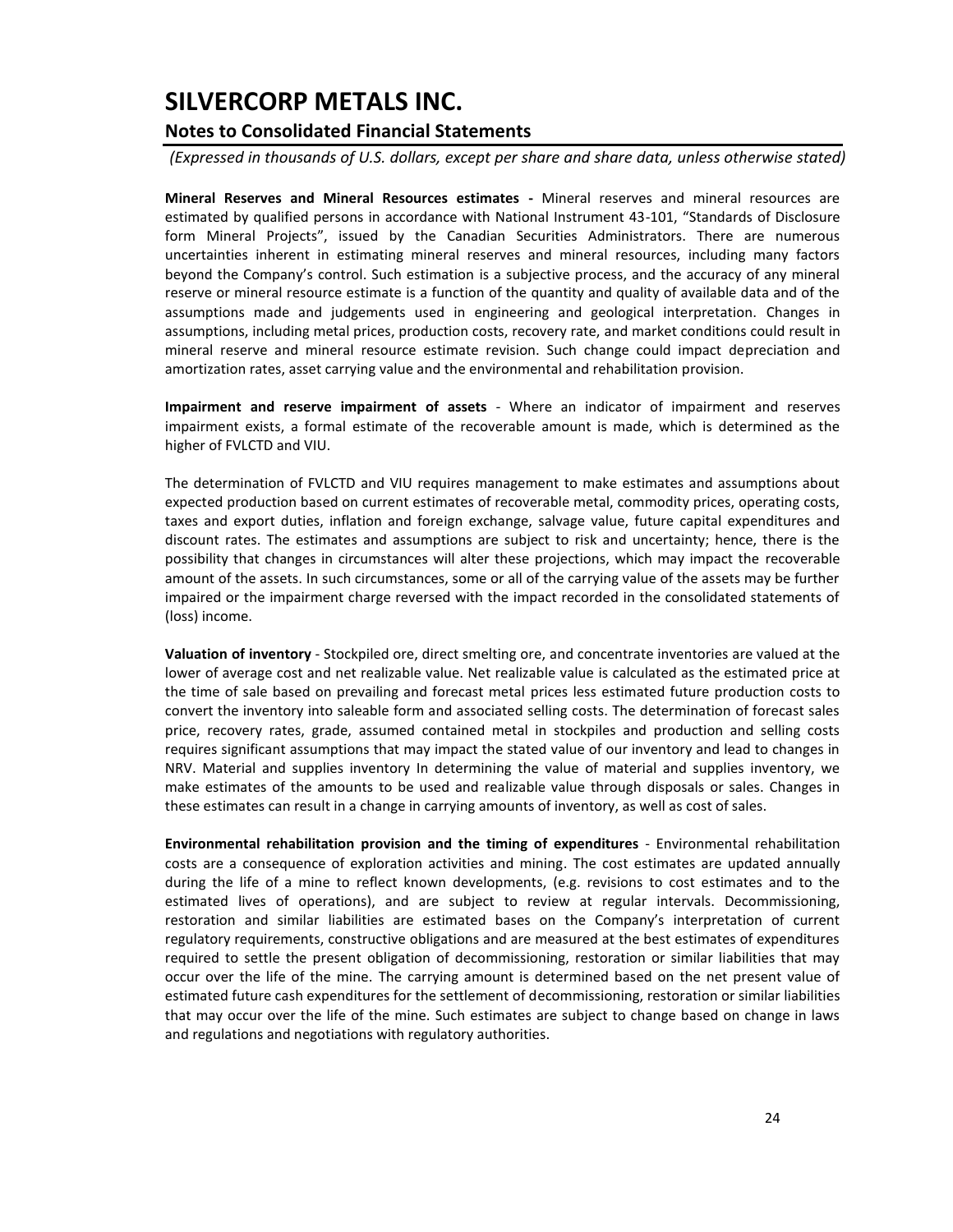*(Expressed in thousands of U.S. dollars, except per share and share data, unless otherwise stated)*

**Mineral Reserves and Mineral Resources estimates -** Mineral reserves and mineral resources are estimated by qualified persons in accordance with National Instrument 43-101, "Standards of Disclosure form Mineral Projects", issued by the Canadian Securities Administrators. There are numerous uncertainties inherent in estimating mineral reserves and mineral resources, including many factors beyond the Company's control. Such estimation is a subjective process, and the accuracy of any mineral reserve or mineral resource estimate is a function of the quantity and quality of available data and of the assumptions made and judgements used in engineering and geological interpretation. Changes in assumptions, including metal prices, production costs, recovery rate, and market conditions could result in mineral reserve and mineral resource estimate revision. Such change could impact depreciation and amortization rates, asset carrying value and the environmental and rehabilitation provision.

**Impairment and reserve impairment of assets** *-* Where an indicator of impairment and reserves impairment exists, a formal estimate of the recoverable amount is made, which is determined as the higher of FVLCTD and VIU.

The determination of FVLCTD and VIU requires management to make estimates and assumptions about expected production based on current estimates of recoverable metal, commodity prices, operating costs, taxes and export duties, inflation and foreign exchange, salvage value, future capital expenditures and discount rates. The estimates and assumptions are subject to risk and uncertainty; hence, there is the possibility that changes in circumstances will alter these projections, which may impact the recoverable amount of the assets. In such circumstances, some or all of the carrying value of the assets may be further impaired or the impairment charge reversed with the impact recorded in the consolidated statements of (loss) income.

**Valuation of inventory** - Stockpiled ore, direct smelting ore, and concentrate inventories are valued at the lower of average cost and net realizable value. Net realizable value is calculated as the estimated price at the time of sale based on prevailing and forecast metal prices less estimated future production costs to convert the inventory into saleable form and associated selling costs. The determination of forecast sales price, recovery rates, grade, assumed contained metal in stockpiles and production and selling costs requires significant assumptions that may impact the stated value of our inventory and lead to changes in NRV. Material and supplies inventory In determining the value of material and supplies inventory, we make estimates of the amounts to be used and realizable value through disposals or sales. Changes in these estimates can result in a change in carrying amounts of inventory, as well as cost of sales.

**Environmental rehabilitation provision and the timing of expenditures** - Environmental rehabilitation costs are a consequence of exploration activities and mining. The cost estimates are updated annually during the life of a mine to reflect known developments, (e.g. revisions to cost estimates and to the estimated lives of operations), and are subject to review at regular intervals. Decommissioning, restoration and similar liabilities are estimated bases on the Company's interpretation of current regulatory requirements, constructive obligations and are measured at the best estimates of expenditures required to settle the present obligation of decommissioning, restoration or similar liabilities that may occur over the life of the mine. The carrying amount is determined based on the net present value of estimated future cash expenditures for the settlement of decommissioning, restoration or similar liabilities that may occur over the life of the mine. Such estimates are subject to change based on change in laws and regulations and negotiations with regulatory authorities.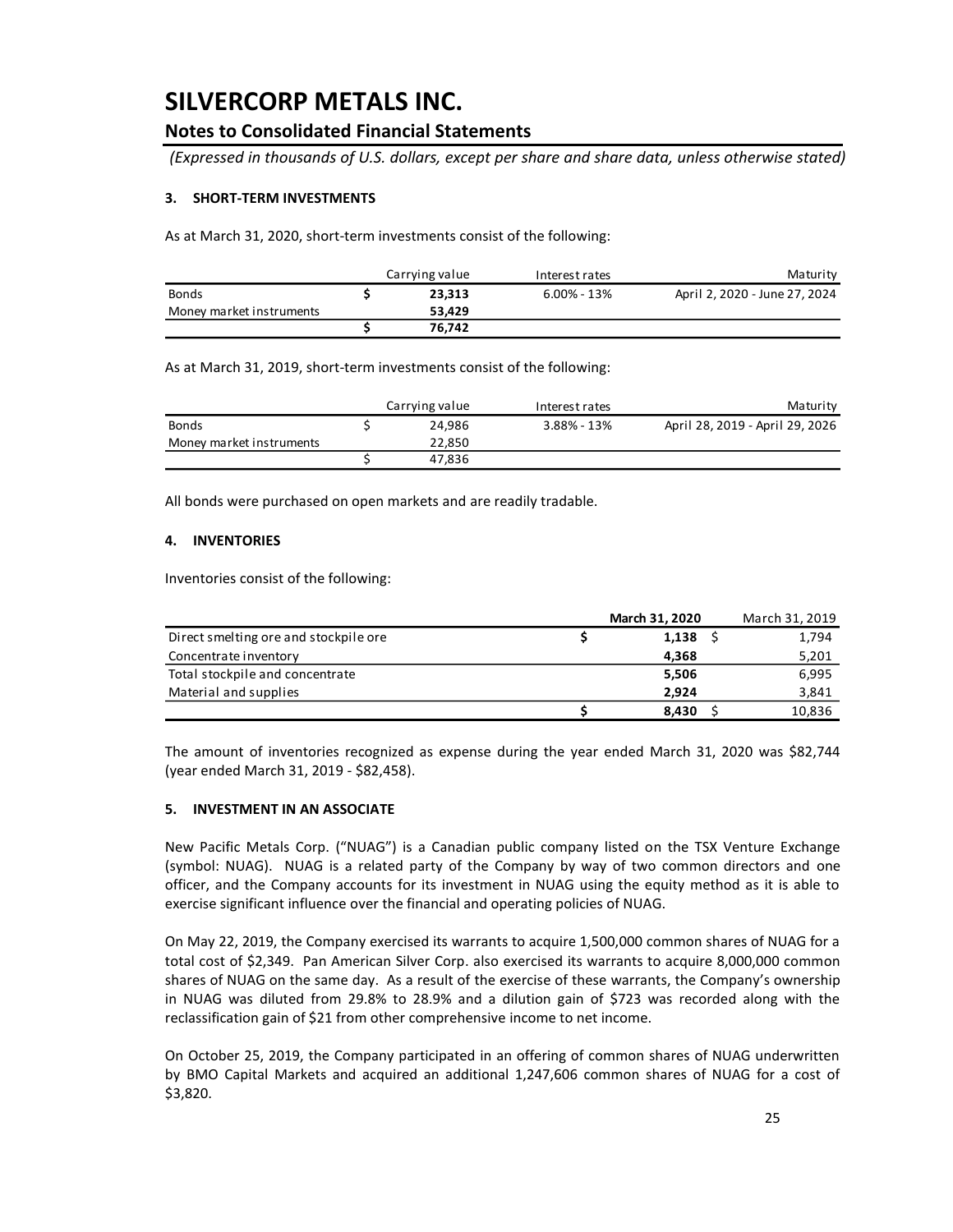### **Notes to Consolidated Financial Statements**

*(Expressed in thousands of U.S. dollars, except per share and share data, unless otherwise stated)*

#### **3. SHORT-TERM INVESTMENTS**

As at March 31, 2020, short-term investments consist of the following:

|                          | Carrying value | Interest rates  | Maturity                      |
|--------------------------|----------------|-----------------|-------------------------------|
| <b>Bonds</b>             | 23.313         | $6.00\% - 13\%$ | April 2, 2020 - June 27, 2024 |
| Money market instruments | 53.429         |                 |                               |
|                          | 76.742         |                 |                               |

As at March 31, 2019, short-term investments consist of the following:

|                          | Carrying value | Interest rates  | Maturity                        |
|--------------------------|----------------|-----------------|---------------------------------|
| <b>Bonds</b>             | 24.986         | $3.88\% - 13\%$ | April 28, 2019 - April 29, 2026 |
| Money market instruments | 22.850         |                 |                                 |
|                          | 47.836         |                 |                                 |

All bonds were purchased on open markets and are readily tradable.

#### **4. INVENTORIES**

Inventories consist of the following:

|                                       | March 31, 2020 | March 31, 2019 |
|---------------------------------------|----------------|----------------|
| Direct smelting ore and stockpile ore | 1,138          | 1,794          |
| Concentrate inventory                 | 4.368          | 5,201          |
| Total stockpile and concentrate       | 5,506          | 6,995          |
| Material and supplies                 | 2.924          | 3,841          |
|                                       | 8.430          | 10,836         |

The amount of inventories recognized as expense during the year ended March 31, 2020 was \$82,744 (year ended March 31, 2019 - \$82,458).

#### **5. INVESTMENT IN AN ASSOCIATE**

New Pacific Metals Corp. ("NUAG") is a Canadian public company listed on the TSX Venture Exchange (symbol: NUAG). NUAG is a related party of the Company by way of two common directors and one officer, and the Company accounts for its investment in NUAG using the equity method as it is able to exercise significant influence over the financial and operating policies of NUAG.

On May 22, 2019, the Company exercised its warrants to acquire 1,500,000 common shares of NUAG for a total cost of \$2,349. Pan American Silver Corp. also exercised its warrants to acquire 8,000,000 common shares of NUAG on the same day. As a result of the exercise of these warrants, the Company's ownership in NUAG was diluted from 29.8% to 28.9% and a dilution gain of \$723 was recorded along with the reclassification gain of \$21 from other comprehensive income to net income.

On October 25, 2019, the Company participated in an offering of common shares of NUAG underwritten by BMO Capital Markets and acquired an additional 1,247,606 common shares of NUAG for a cost of \$3,820.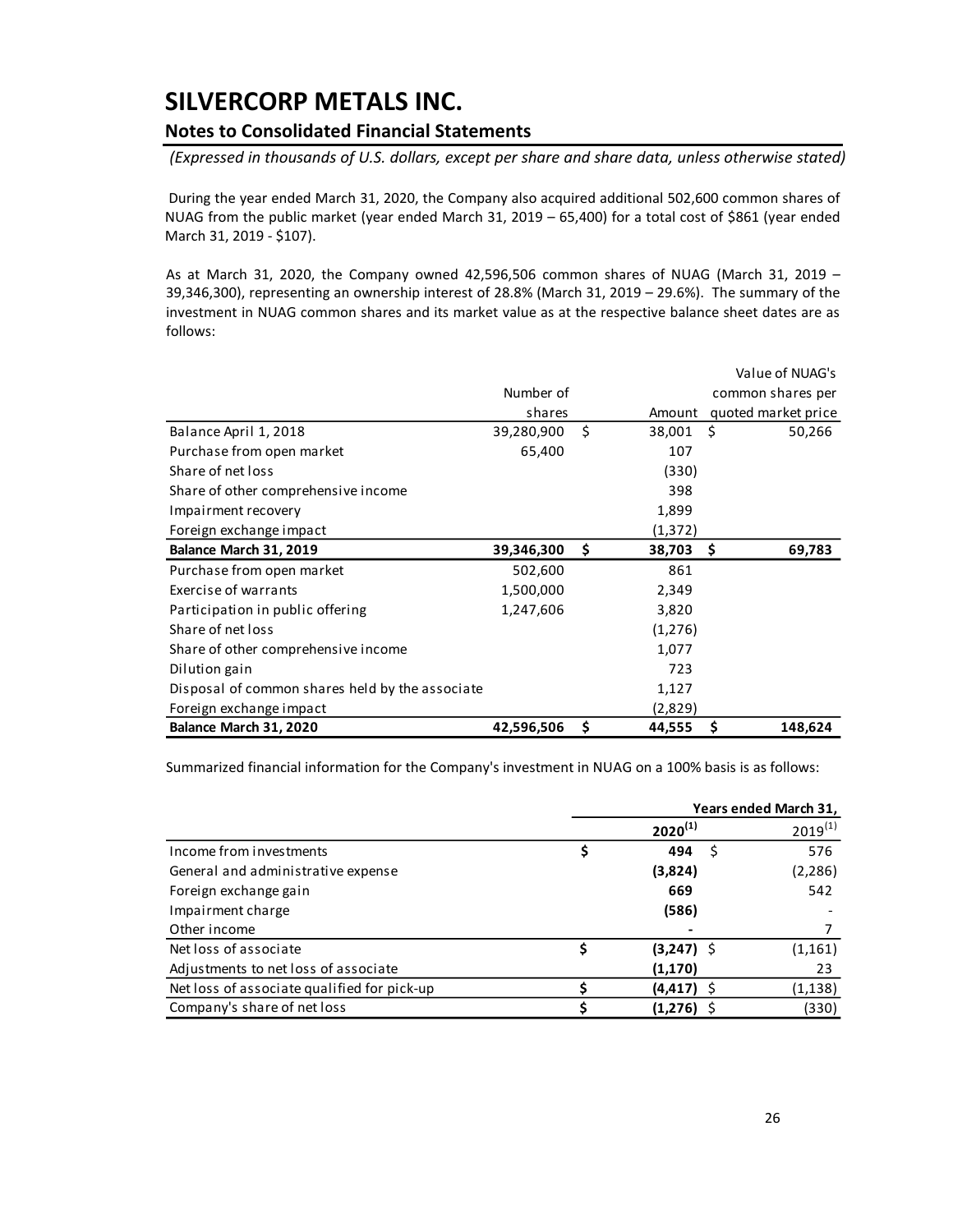### **Notes to Consolidated Financial Statements**

*(Expressed in thousands of U.S. dollars, except per share and share data, unless otherwise stated)*

During the year ended March 31, 2020, the Company also acquired additional 502,600 common shares of NUAG from the public market (year ended March 31, 2019 – 65,400) for a total cost of \$861 (year ended March 31, 2019 - \$107).

As at March 31, 2020, the Company owned 42,596,506 common shares of NUAG (March 31, 2019 – 39,346,300), representing an ownership interest of 28.8% (March 31, 2019 – 29.6%). The summary of the investment in NUAG common shares and its market value as at the respective balance sheet dates are as follows:

|                                                 |            |    |          | Value of NUAG's     |
|-------------------------------------------------|------------|----|----------|---------------------|
|                                                 | Number of  |    |          | common shares per   |
|                                                 | shares     |    | Amount   | quoted market price |
| Balance April 1, 2018                           | 39,280,900 | Ŝ. | 38,001   | - \$<br>50,266      |
| Purchase from open market                       | 65,400     |    | 107      |                     |
| Share of net loss                               |            |    | (330)    |                     |
| Share of other comprehensive income             |            |    | 398      |                     |
| Impairment recovery                             |            |    | 1,899    |                     |
| Foreign exchange impact                         |            |    | (1, 372) |                     |
| Balance March 31, 2019                          | 39,346,300 | \$ | 38,703\$ | 69,783              |
| Purchase from open market                       | 502,600    |    | 861      |                     |
| <b>Exercise of warrants</b>                     | 1,500,000  |    | 2,349    |                     |
| Participation in public offering                | 1,247,606  |    | 3,820    |                     |
| Share of net loss                               |            |    | (1,276)  |                     |
| Share of other comprehensive income             |            |    | 1,077    |                     |
| Dilution gain                                   |            |    | 723      |                     |
| Disposal of common shares held by the associate |            |    | 1,127    |                     |
| Foreign exchange impact                         |            |    | (2,829)  |                     |
| Balance March 31, 2020                          | 42,596,506 | \$ | 44,555   | \$<br>148,624       |

Summarized financial information for the Company's investment in NUAG on a 100% basis is as follows:

|                                             | Years ended March 31, |               |   |              |  |
|---------------------------------------------|-----------------------|---------------|---|--------------|--|
|                                             |                       | $2020^{(1)}$  |   | $2019^{(1)}$ |  |
| Income from investments                     | \$                    | 494           | S | 576          |  |
| General and administrative expense          |                       | (3,824)       |   | (2, 286)     |  |
| Foreign exchange gain                       |                       | 669           |   | 542          |  |
| Impairment charge                           |                       | (586)         |   |              |  |
| Other income                                |                       |               |   |              |  |
| Net loss of associate                       | \$                    | $(3,247)$ \$  |   | (1, 161)     |  |
| Adjustments to net loss of associate        |                       | (1, 170)      |   | 23           |  |
| Net loss of associate qualified for pick-up |                       | $(4, 417)$ \$ |   | (1,138)      |  |
| Company's share of net loss                 |                       | $(1,276)$ \$  |   | (330)        |  |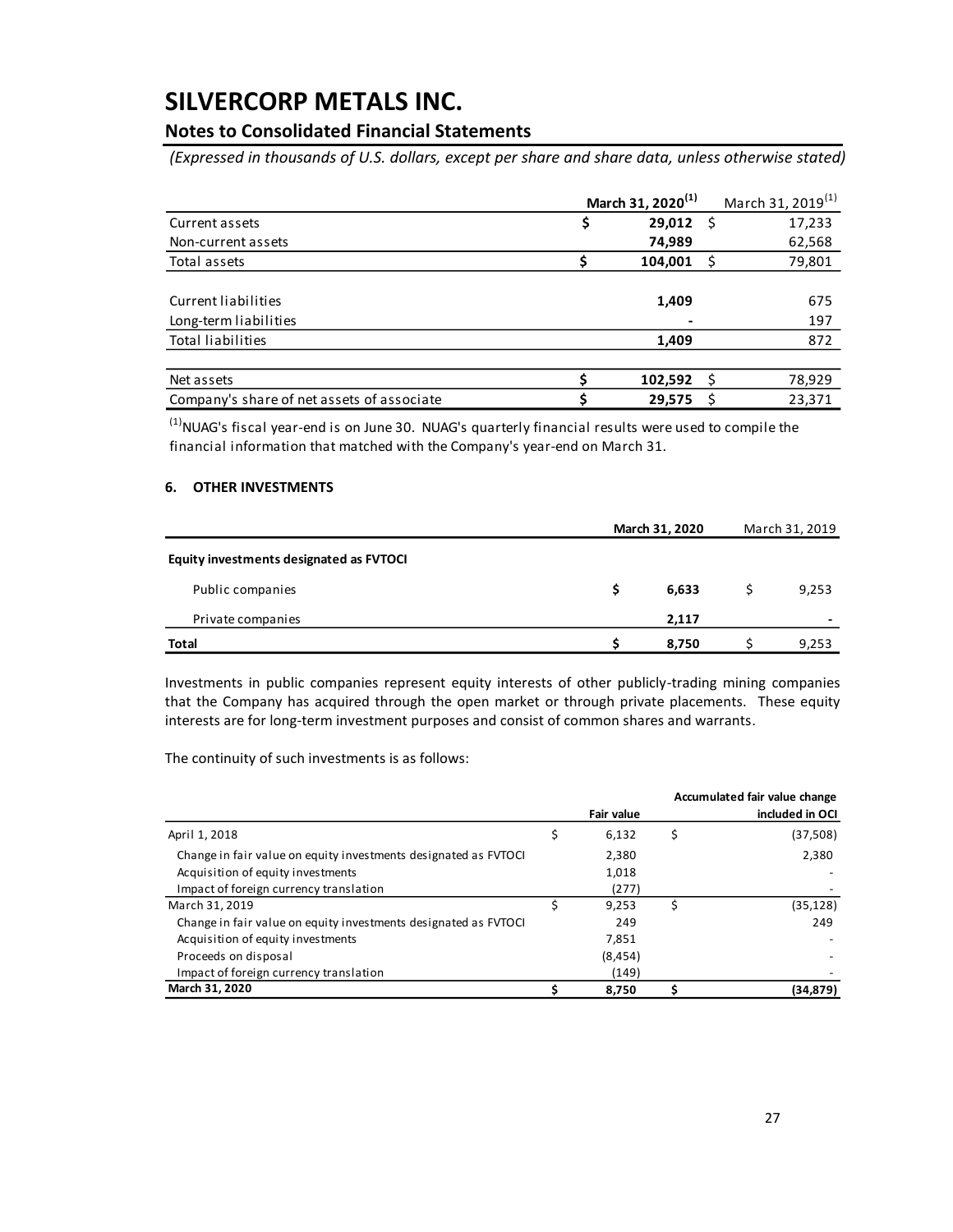### **Notes to Consolidated Financial Statements**

*(Expressed in thousands of U.S. dollars, except per share and share data, unless otherwise stated)*

|                                            | March 31, 2020 <sup>(1)</sup> |      | March 31, 2019 <sup>(1)</sup> |
|--------------------------------------------|-------------------------------|------|-------------------------------|
| Current assets                             | $29,012 \quad$                |      | 17,233                        |
| Non-current assets                         | 74,989                        |      | 62,568                        |
| Total assets                               | 104,001                       | - \$ | 79,801                        |
|                                            |                               |      |                               |
| Current liabilities                        | 1,409                         |      | 675                           |
| Long-term liabilities                      |                               |      | 197                           |
| <b>Total liabilities</b>                   | 1,409                         |      | 872                           |
|                                            |                               |      |                               |
| Net assets                                 | 102,592                       |      | 78,929                        |
| Company's share of net assets of associate | 29,575                        | S    | 23,371                        |

 $<sup>(1)</sup>NUAG's fiscal year-end is on June 30. NUAG's quarterly financial results were used to compile the$ </sup> financial information that matched with the Company's year-end on March 31.

#### **6. OTHER INVESTMENTS**

|                                         |   | March 31, 2020 | March 31, 2019 |
|-----------------------------------------|---|----------------|----------------|
| Equity investments designated as FVTOCI |   |                |                |
| Public companies                        | S | 6,633          | 9,253          |
| Private companies                       |   | 2,117          | -              |
| Total                                   |   | 8,750          | 9,253          |

Investments in public companies represent equity interests of other publicly-trading mining companies that the Company has acquired through the open market or through private placements. These equity interests are for long-term investment purposes and consist of common shares and warrants.

The continuity of such investments is as follows:

|                                                                 |                   | Accumulated fair value change |
|-----------------------------------------------------------------|-------------------|-------------------------------|
|                                                                 | <b>Fair value</b> | included in OCI               |
| April 1, 2018                                                   | 6,132             | (37,508)                      |
| Change in fair value on equity investments designated as FVTOCI | 2,380             | 2,380                         |
| Acquisition of equity investments                               | 1,018             |                               |
| Impact of foreign currency translation                          | (277)             |                               |
| March 31, 2019                                                  | 9.253             | (35, 128)                     |
| Change in fair value on equity investments designated as FVTOCI | 249               | 249                           |
| Acquisition of equity investments                               | 7,851             |                               |
| Proceeds on disposal                                            | (8, 454)          |                               |
| Impact of foreign currency translation                          | (149)             |                               |
| March 31, 2020                                                  | 8,750             | (34, 879)                     |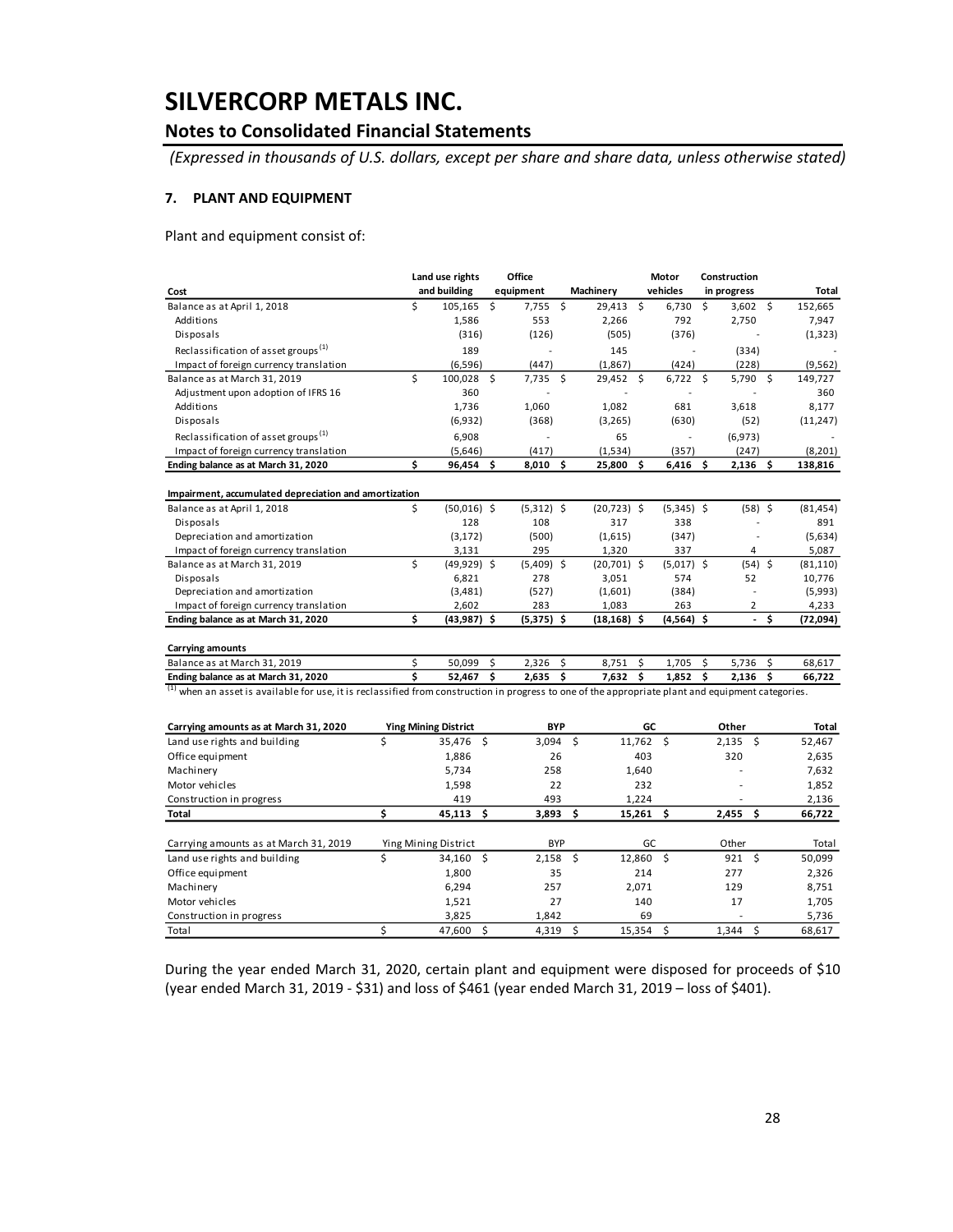### **Notes to Consolidated Financial Statements**

*(Expressed in thousands of U.S. dollars, except per share and share data, unless otherwise stated)*

#### **7. PLANT AND EQUIPMENT**

Plant and equipment consist of:

|                                                                                                                                                               |    | Land use rights             |    | Office       |            |                |        | Motor        |    | Construction   |                |
|---------------------------------------------------------------------------------------------------------------------------------------------------------------|----|-----------------------------|----|--------------|------------|----------------|--------|--------------|----|----------------|----------------|
| Cost                                                                                                                                                          |    | and building                |    | equipment    |            | Machinery      |        | vehicles     |    | in progress    | <b>Total</b>   |
| Balance as at April 1, 2018                                                                                                                                   |    | \$<br>105,165               | \$ | 7,755 \$     |            | 29,413 \$      |        | 6,730        | Ŝ. | $3,602$ \$     | 152,665        |
| Additions                                                                                                                                                     |    | 1,586                       |    | 553          |            | 2,266          |        | 792          |    | 2,750          | 7,947          |
| Disposals                                                                                                                                                     |    | (316)                       |    | (126)        |            | (505)          |        | (376)        |    |                | (1, 323)       |
| Reclassification of asset groups <sup>(1)</sup>                                                                                                               |    | 189                         |    |              |            | 145            |        |              |    | (334)          |                |
| Impact of foreign currency translation                                                                                                                        |    | (6, 596)                    |    | (447)        |            | (1,867)        |        | (424)        |    | (228)          | (9,562)        |
| Balance as at March 31, 2019                                                                                                                                  |    | \$<br>100,028               | \$ | 7,735        | -\$        | 29,452 \$      |        | $6,722$ \$   |    | 5,790 \$       | 149,727        |
| Adjustment upon adoption of IFRS 16                                                                                                                           |    | 360                         |    |              |            |                |        |              |    |                | 360            |
| Additions                                                                                                                                                     |    | 1,736                       |    | 1,060        |            | 1,082          |        | 681          |    | 3,618          | 8,177          |
| Disposals                                                                                                                                                     |    | (6,932)                     |    | (368)        |            | (3, 265)       |        | (630)        |    | (52)           | (11, 247)      |
| Reclassification of asset groups <sup>(1)</sup>                                                                                                               |    | 6,908                       |    |              |            | 65             |        |              |    | (6,973)        |                |
| Impact of foreign currency translation                                                                                                                        |    | (5,646)                     |    | (417)        |            | (1,534)        |        | (357)        |    | (247)          | (8, 201)       |
| Ending balance as at March 31, 2020                                                                                                                           |    | \$<br>96,454                | \$ | 8,010        | \$.        | 25,800         | Ś      | 6,416        | Ś  | 2,136          | \$<br>138,816  |
|                                                                                                                                                               |    |                             |    |              |            |                |        |              |    |                |                |
| Impairment, accumulated depreciation and amortization                                                                                                         |    |                             |    |              |            |                |        |              |    |                |                |
| Balance as at April 1, 2018                                                                                                                                   |    | \$<br>$(50,016)$ \$         |    | $(5,312)$ \$ |            | $(20, 723)$ \$ |        | $(5,345)$ \$ |    | $(58)$ \$      | (81, 454)      |
| Disposals                                                                                                                                                     |    | 128                         |    | 108          |            | 317            |        | 338          |    |                | 891            |
| Depreciation and amortization                                                                                                                                 |    | (3, 172)                    |    | (500)        |            | (1,615)        |        | (347)        |    | $\overline{a}$ | (5,634)        |
| Impact of foreign currency translation                                                                                                                        |    | 3,131                       |    | 295          |            | 1,320          |        | 337          |    | 4              | 5,087          |
| Balance as at March 31, 2019                                                                                                                                  |    | Ś<br>(49,929) \$            |    | $(5,409)$ \$ |            | $(20, 701)$ \$ |        | $(5,017)$ \$ |    | $(54)$ \$      | (81, 110)      |
| Disposals                                                                                                                                                     |    | 6,821                       |    | 278          |            | 3,051          |        | 574          |    | 52             | 10,776         |
| Depreciation and amortization                                                                                                                                 |    | (3,481)                     |    | (527)        |            | (1,601)        |        | (384)        |    |                | (5,993)        |
| Impact of foreign currency translation                                                                                                                        |    | 2,602                       |    | 283          |            | 1,083          |        | 263          |    | 2              | 4,233          |
| Ending balance as at March 31, 2020                                                                                                                           |    | \$<br>(43,987) \$           |    | (5,375) \$   |            | (18,168) \$    |        | (4,564) \$   |    | $\overline{a}$ | \$<br>(72,094) |
| <b>Carrying amounts</b>                                                                                                                                       |    |                             |    |              |            |                |        |              |    |                |                |
| Balance as at March 31, 2019                                                                                                                                  |    | \$<br>50,099                | \$ | $2,326$ \$   |            | 8,751          | \$     | 1,705        | \$ | 5,736          | \$<br>68,617   |
| Ending balance as at March 31, 2020                                                                                                                           |    | \$<br>52,467                | \$ | 2,635        | \$         | 7,632          | \$     | 1,852        | \$ | 2,136          | \$<br>66,722   |
| <sup>(1)</sup> when an asset is available for use, it is reclassified from construction in progress to one of the appropriate plant and equipment categories. |    |                             |    |              |            |                |        |              |    |                |                |
|                                                                                                                                                               |    |                             |    |              |            |                |        |              |    |                |                |
| Carrying amounts as at March 31, 2020                                                                                                                         |    | <b>Ying Mining District</b> |    |              | <b>BYP</b> |                | GC     |              |    | Other          | Total          |
| Land use rights and building                                                                                                                                  | Ś  | 35,476                      | \$ | 3,094        |            | Ś              | 11,762 | Ś.           |    | Ś.<br>2,135    | 52,467         |
| Office equipment                                                                                                                                              |    | 1,886                       |    |              | 26         |                | 403    |              |    | 320            | 2,635          |
| Machinery                                                                                                                                                     |    | 5,734                       |    | 258          |            |                | 1,640  |              |    |                | 7,632          |
| Motor vehicles                                                                                                                                                |    | 1,598                       |    |              | 22         |                | 232    |              |    |                | 1,852          |
| Construction in progress                                                                                                                                      |    | 419                         |    | 493          |            |                | 1,224  |              |    |                | 2,136          |
| <b>Total</b>                                                                                                                                                  | \$ | 45,113                      | Ś  | 3,893        |            | Ś              | 15,261 | Ś            |    | 2,455<br>Ś.    | 66,722         |
|                                                                                                                                                               |    |                             |    |              |            |                |        |              |    |                |                |
| Carrying amounts as at March 31, 2019                                                                                                                         |    | Ying Mining District        |    |              | <b>BYP</b> |                | GC.    |              |    | Other          | Total          |
| Land use rights and building                                                                                                                                  | Ś  | 34,160                      | Ŝ. | 2,158        |            | \$             | 12,860 | Ś.           |    | 921<br>Ŝ.      | 50,099         |
| Office equipment                                                                                                                                              |    | 1,800                       |    |              | 35         |                | 214    |              |    | 277            | 2,326          |
| Machinery                                                                                                                                                     |    | 6,294                       |    | 257          |            |                | 2,071  |              |    | 129            | 8,751          |
| Motor vehicles                                                                                                                                                |    | 1,521                       |    |              | 27         |                | 140    |              |    | 17             | 1,705          |
| Construction in progress                                                                                                                                      |    | 3,825                       |    | 1,842        |            |                | 69     |              |    |                | 5,736          |
| Total                                                                                                                                                         | \$ | 47,600                      | Ś  | 4,319        |            | \$             | 15,354 | Ś            |    | 1,344<br>Ś.    | 68,617         |
|                                                                                                                                                               |    |                             |    |              |            |                |        |              |    |                |                |

During the year ended March 31, 2020, certain plant and equipment were disposed for proceeds of \$10 (year ended March 31, 2019 - \$31) and loss of \$461 (year ended March 31, 2019 – loss of \$401).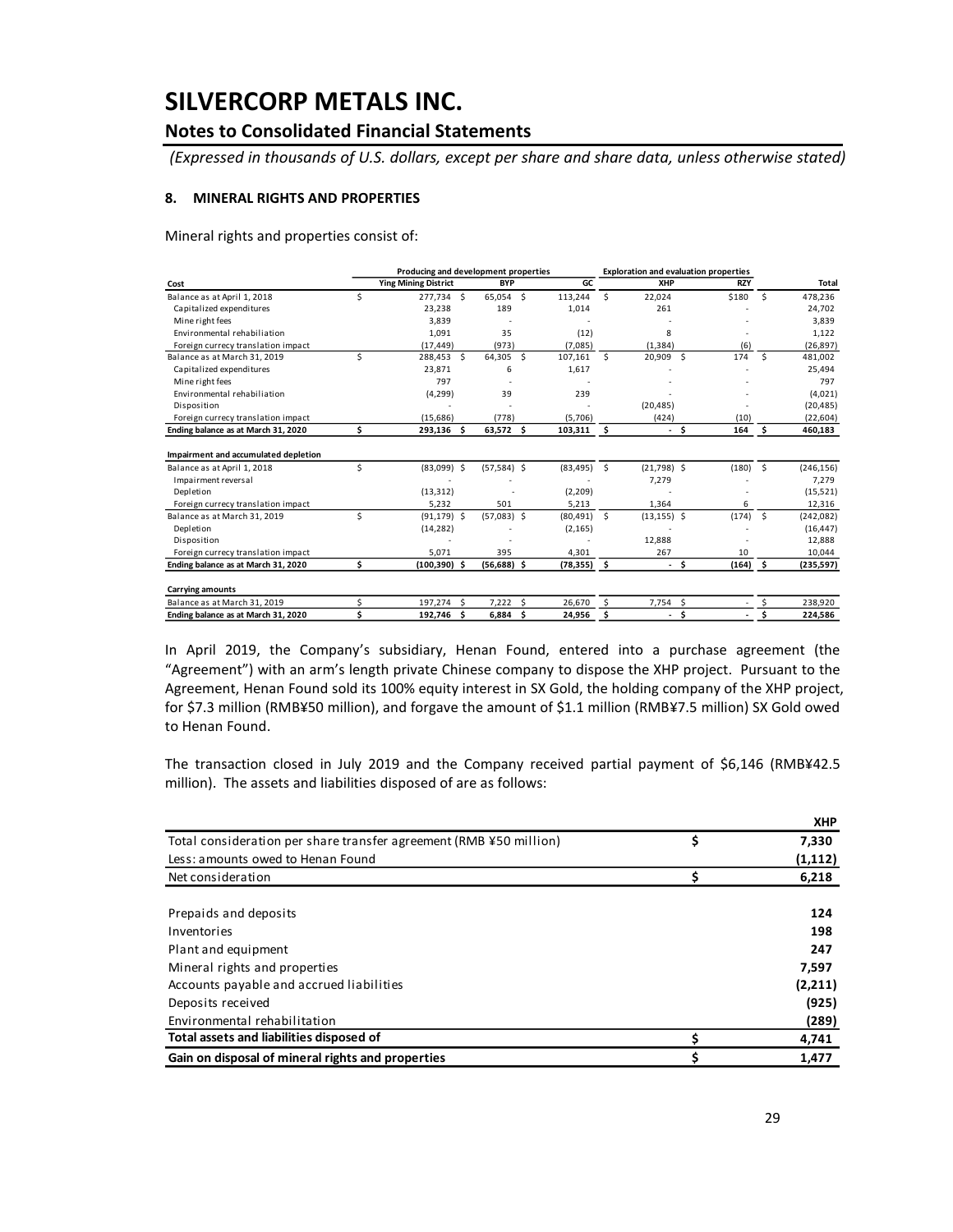### **Notes to Consolidated Financial Statements**

*(Expressed in thousands of U.S. dollars, except per share and share data, unless otherwise stated)*

#### **8. MINERAL RIGHTS AND PROPERTIES**

Mineral rights and properties consist of:

|                                      |    | Producing and development properties |     |               |              |           | <b>Exploration and evaluation properties</b> |                          |     |            |     |              |
|--------------------------------------|----|--------------------------------------|-----|---------------|--------------|-----------|----------------------------------------------|--------------------------|-----|------------|-----|--------------|
| Cost                                 |    | <b>Ying Mining District</b>          |     | <b>BYP</b>    |              | GC        |                                              | <b>XHP</b>               |     | <b>RZY</b> |     | <b>Total</b> |
| Balance as at April 1, 2018          | Ś  | 277,734 \$                           |     | 65.054        | - \$         | 113,244   | Ś                                            | 22,024                   |     | \$180      | \$. | 478,236      |
| Capitalized expenditures             |    | 23,238                               |     | 189           |              | 1,014     |                                              | 261                      |     |            |     | 24,702       |
| Mine right fees                      |    | 3.839                                |     |               |              |           |                                              |                          |     |            |     | 3,839        |
| Environmental rehabiliation          |    | 1,091                                |     | 35            |              | (12)      |                                              | 8                        |     |            |     | 1,122        |
| Foreign currecy translation impact   |    | (17, 449)                            |     | (973)         |              | (7,085)   |                                              | (1, 384)                 |     | (6)        |     | (26, 897)    |
| Balance as at March 31, 2019         | Ś  | 288,453 \$                           |     | 64,305 \$     |              | 107,161   | Ŝ.                                           | 20,909                   | Ŝ.  | 174        | Ŝ.  | 481,002      |
| Capitalized expenditures             |    | 23,871                               |     | 6             |              | 1,617     |                                              |                          |     |            |     | 25,494       |
| Mine right fees                      |    | 797                                  |     |               |              |           |                                              |                          |     |            |     | 797          |
| Environmental rehabiliation          |    | (4, 299)                             |     | 39            |              | 239       |                                              |                          |     |            |     | (4,021)      |
| Disposition                          |    |                                      |     |               |              |           |                                              | (20, 485)                |     |            |     | (20, 485)    |
| Foreign currecy translation impact   |    | (15,686)                             |     | (778)         |              | (5,706)   |                                              | (424)                    |     | (10)       |     | (22, 604)    |
| Ending balance as at March 31, 2020  | Ś  | 293,136                              | \$. | 63,572 \$     |              | 103,311   | \$.                                          |                          | \$. | 164        | \$. | 460,183      |
| Impairment and accumulated depletion |    |                                      |     |               |              |           |                                              |                          |     |            |     |              |
| Balance as at April 1, 2018          | \$ | $(83,099)$ \$                        |     | $(57,584)$ \$ |              | (83, 495) | -Ś                                           | $(21,798)$ \$            |     | (180)      | \$. | (246, 156)   |
| Impairment reversal                  |    |                                      |     |               |              |           |                                              | 7,279                    |     |            |     | 7,279        |
| Depletion                            |    | (13, 312)                            |     |               |              | (2,209)   |                                              |                          |     |            |     | (15, 521)    |
| Foreign currecy translation impact   |    | 5,232                                |     | 501           |              | 5,213     |                                              | 1,364                    |     | 6          |     | 12,316       |
| Balance as at March 31, 2019         | Ś  | $(91, 179)$ \$                       |     | $(57,083)$ \$ |              | (80, 491) | s.                                           | $(13, 155)$ \$           |     | (174)      | Ś.  | (242,082)    |
| Depletion                            |    | (14, 282)                            |     |               |              | (2, 165)  |                                              |                          |     |            |     | (16, 447)    |
| Disposition                          |    |                                      |     |               |              |           |                                              | 12,888                   |     |            |     | 12,888       |
| Foreign currecy translation impact   |    | 5,071                                |     | 395           |              | 4,301     |                                              | 267                      |     | 10         |     | 10.044       |
| Ending balance as at March 31, 2020  | \$ | $(100, 390)$ \$                      |     | $(56,688)$ \$ |              | (78, 355) | - \$                                         | $\sim$                   | Ŝ.  | (164)      | -\$ | (235, 597)   |
| <b>Carrying amounts</b>              |    |                                      |     |               |              |           |                                              |                          |     |            |     |              |
| Balance as at March 31, 2019         | ς  | 197.274                              | Ŝ.  | 7.222         | $\mathsf{S}$ | 26.670    | Ś                                            | 7.754                    | Ŝ.  |            | Ś   | 238,920      |
| Ending balance as at March 31, 2020  | Ś  | 192,746 \$                           |     | 6,884         | - \$         | 24,956    | \$                                           | $\overline{\phantom{a}}$ | \$. |            | Ś   | 224,586      |

In April 2019, the Company's subsidiary, Henan Found, entered into a purchase agreement (the "Agreement") with an arm's length private Chinese company to dispose the XHP project. Pursuant to the Agreement, Henan Found sold its 100% equity interest in SX Gold, the holding company of the XHP project, for \$7.3 million (RMB¥50 million), and forgave the amount of \$1.1 million (RMB¥7.5 million) SX Gold owed to Henan Found.

The transaction closed in July 2019 and the Company received partial payment of \$6,146 (RMB¥42.5 million). The assets and liabilities disposed of are as follows:

|                                                                    |    | <b>XHP</b> |
|--------------------------------------------------------------------|----|------------|
| Total consideration per share transfer agreement (RMB ¥50 million) | \$ | 7,330      |
| Less: amounts owed to Henan Found                                  |    | (1, 112)   |
| Net consideration                                                  | \$ | 6,218      |
|                                                                    |    |            |
| Prepaids and deposits                                              |    | 124        |
| Inventories                                                        |    | 198        |
| Plant and equipment                                                |    | 247        |
| Mineral rights and properties                                      |    | 7,597      |
| Accounts payable and accrued liabilities                           |    | (2,211)    |
| Deposits received                                                  |    | (925)      |
| Environmental rehabilitation                                       |    | (289)      |
| Total assets and liabilities disposed of                           | Ś  | 4,741      |
| Gain on disposal of mineral rights and properties                  |    | 1,477      |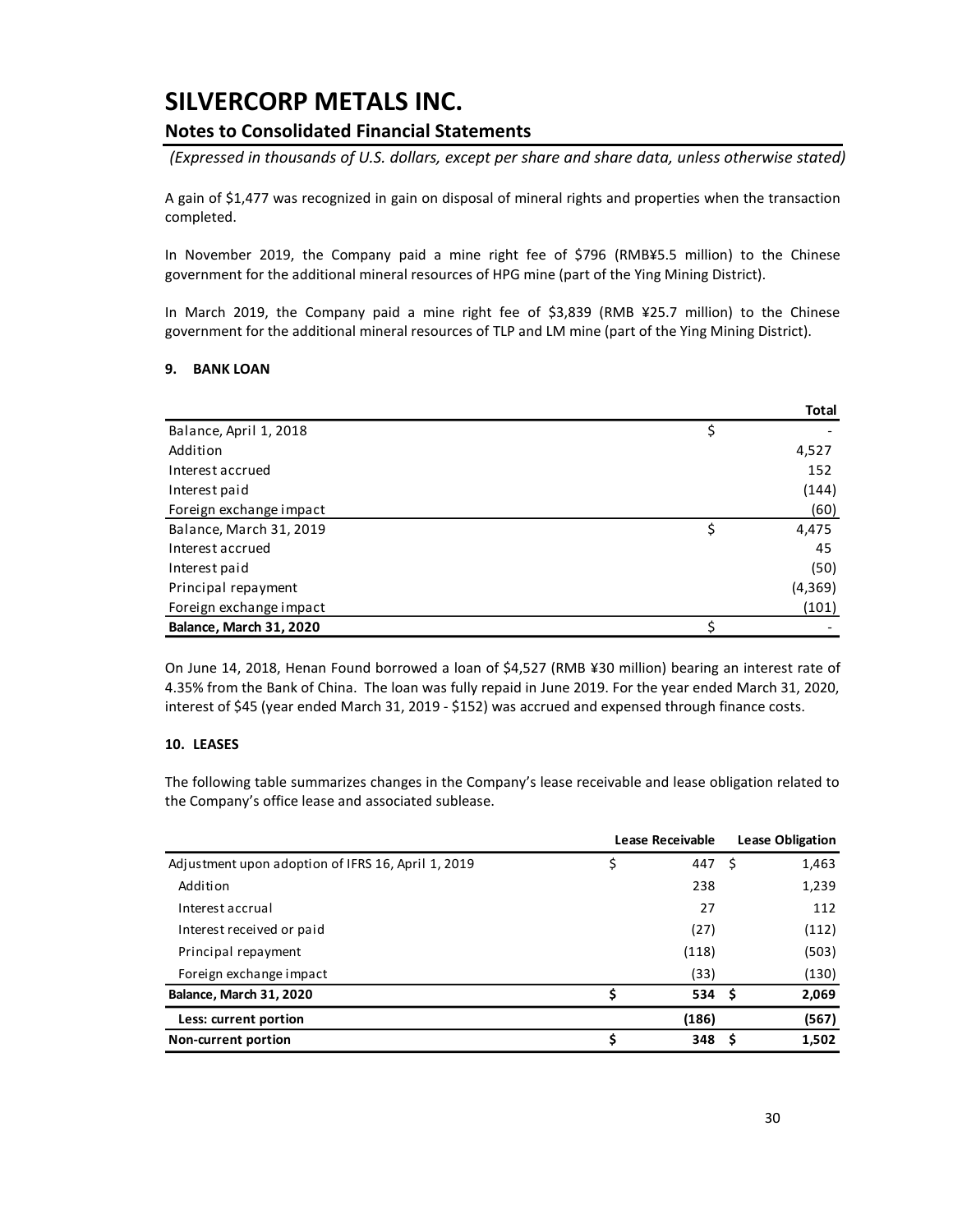### **Notes to Consolidated Financial Statements**

*(Expressed in thousands of U.S. dollars, except per share and share data, unless otherwise stated)*

A gain of \$1,477 was recognized in gain on disposal of mineral rights and properties when the transaction completed.

In November 2019, the Company paid a mine right fee of \$796 (RMB¥5.5 million) to the Chinese government for the additional mineral resources of HPG mine (part of the Ying Mining District).

In March 2019, the Company paid a mine right fee of \$3,839 (RMB ¥25.7 million) to the Chinese government for the additional mineral resources of TLP and LM mine (part of the Ying Mining District).

#### **9. BANK LOAN**

|                         | Total       |
|-------------------------|-------------|
| Balance, April 1, 2018  | \$          |
| Addition                | 4,527       |
| Interest accrued        | 152         |
| Interest paid           | (144)       |
| Foreign exchange impact | (60)        |
| Balance, March 31, 2019 | \$<br>4,475 |
| Interest accrued        | 45          |
| Interest paid           | (50)        |
| Principal repayment     | (4,369)     |
| Foreign exchange impact | (101)       |
| Balance, March 31, 2020 |             |

On June 14, 2018, Henan Found borrowed a loan of \$4,527 (RMB ¥30 million) bearing an interest rate of 4.35% from the Bank of China. The loan was fully repaid in June 2019. For the year ended March 31, 2020, interest of \$45 (year ended March 31, 2019 - \$152) was accrued and expensed through finance costs.

#### **10. LEASES**

The following table summarizes changes in the Company's lease receivable and lease obligation related to the Company's office lease and associated sublease.

|                                                    |    | <b>Lease Receivable</b> |    | <b>Lease Obligation</b> |
|----------------------------------------------------|----|-------------------------|----|-------------------------|
| Adjustment upon adoption of IFRS 16, April 1, 2019 | \$ | 447                     | -S | 1,463                   |
| Addition                                           |    | 238                     |    | 1,239                   |
| Interest accrual                                   |    | 27                      |    | 112                     |
| Interest received or paid                          |    | (27)                    |    | (112)                   |
| Principal repayment                                |    | (118)                   |    | (503)                   |
| Foreign exchange impact                            |    | (33)                    |    | (130)                   |
| Balance, March 31, 2020                            | \$ | $534 \quad $5$          |    | 2,069                   |
| Less: current portion                              |    | (186)                   |    | (567)                   |
| Non-current portion                                | Ś  | 348                     |    | 1,502                   |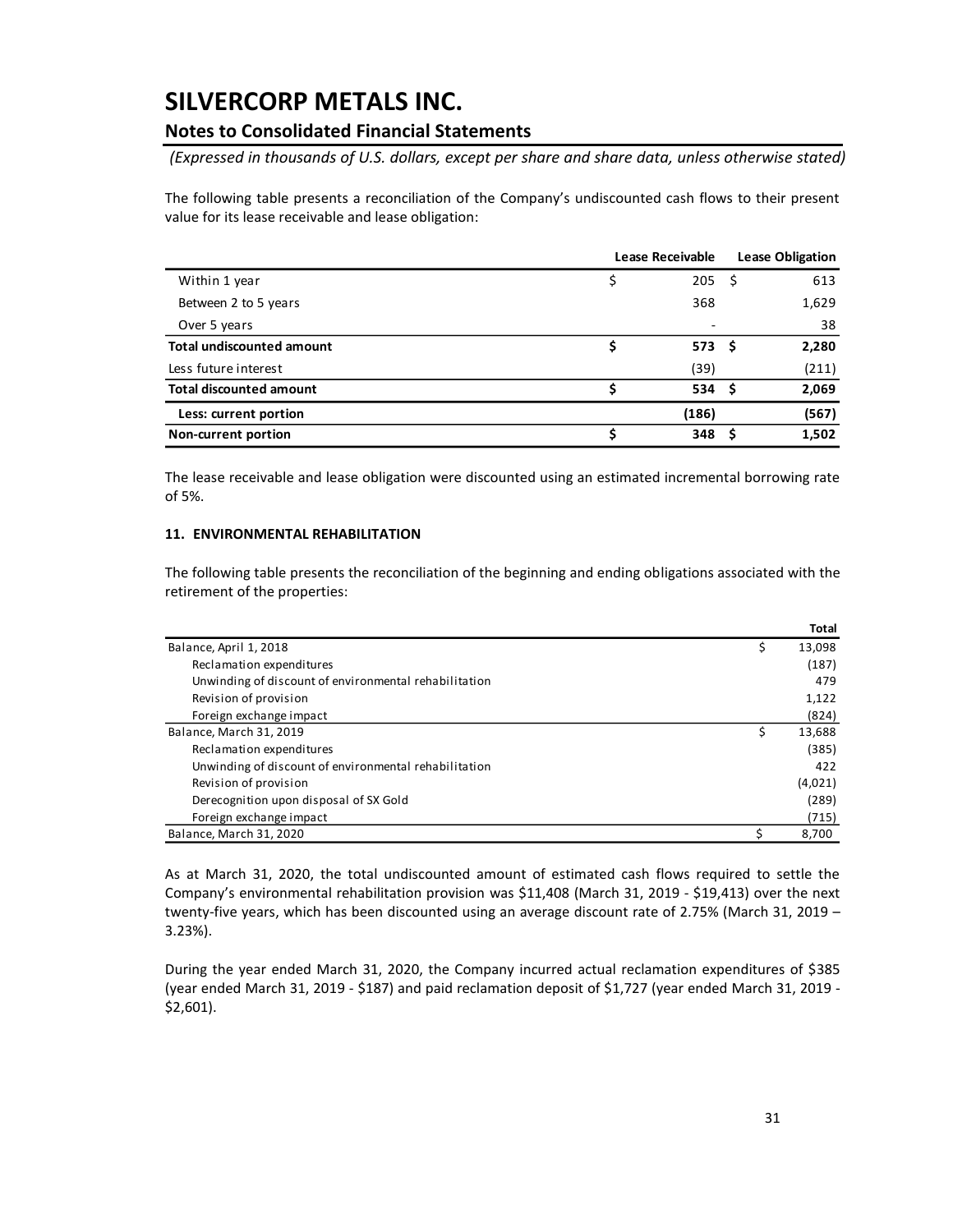### **Notes to Consolidated Financial Statements**

*(Expressed in thousands of U.S. dollars, except per share and share data, unless otherwise stated)*

The following table presents a reconciliation of the Company's undiscounted cash flows to their present value for its lease receivable and lease obligation:

|                                  | Lease Receivable |     | <b>Lease Obligation</b> |
|----------------------------------|------------------|-----|-------------------------|
| Within 1 year                    | 205              | - S | 613                     |
| Between 2 to 5 years             | 368              |     | 1,629                   |
| Over 5 years                     |                  |     | 38                      |
| <b>Total undiscounted amount</b> | 573S             |     | 2,280                   |
| Less future interest             | (39)             |     | (211)                   |
| <b>Total discounted amount</b>   | 534 \$           |     | 2,069                   |
| Less: current portion            | (186)            |     | (567)                   |
| Non-current portion              | 348              |     | 1,502                   |

The lease receivable and lease obligation were discounted using an estimated incremental borrowing rate of 5%.

#### **11. ENVIRONMENTAL REHABILITATION**

The following table presents the reconciliation of the beginning and ending obligations associated with the retirement of the properties:

|                                                       | Total        |
|-------------------------------------------------------|--------------|
| Balance, April 1, 2018                                | \$<br>13,098 |
| Reclamation expenditures                              | (187)        |
| Unwinding of discount of environmental rehabilitation | 479          |
| Revision of provision                                 | 1,122        |
| Foreign exchange impact                               | (824)        |
| Balance, March 31, 2019                               | \$<br>13,688 |
| Reclamation expenditures                              | (385)        |
| Unwinding of discount of environmental rehabilitation | 422          |
| Revision of provision                                 | (4,021)      |
| Derecognition upon disposal of SX Gold                | (289)        |
| Foreign exchange impact                               | (715)        |
| Balance, March 31, 2020                               | 8,700        |

As at March 31, 2020, the total undiscounted amount of estimated cash flows required to settle the Company's environmental rehabilitation provision was \$11,408 (March 31, 2019 - \$19,413) over the next twenty-five years, which has been discounted using an average discount rate of 2.75% (March 31, 2019 – 3.23%).

During the year ended March 31, 2020, the Company incurred actual reclamation expenditures of \$385 (year ended March 31, 2019 - \$187) and paid reclamation deposit of \$1,727 (year ended March 31, 2019 - \$2,601).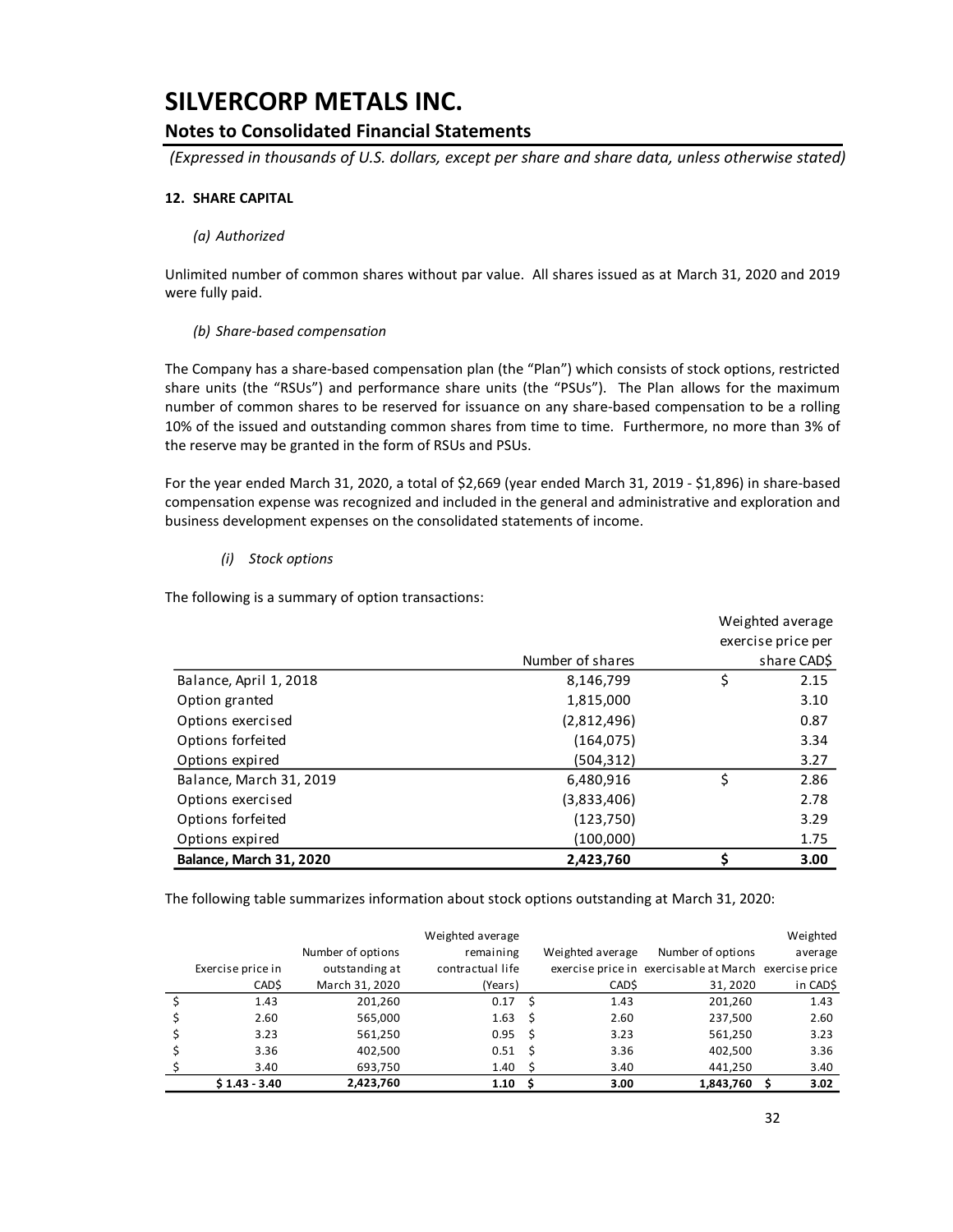### **Notes to Consolidated Financial Statements**

*(Expressed in thousands of U.S. dollars, except per share and share data, unless otherwise stated)*

#### **12. SHARE CAPITAL**

#### *(a) Authorized*

Unlimited number of common shares without par value. All shares issued as at March 31, 2020 and 2019 were fully paid.

#### *(b) Share-based compensation*

The Company has a share-based compensation plan (the "Plan") which consists of stock options, restricted share units (the "RSUs") and performance share units (the "PSUs"). The Plan allows for the maximum number of common shares to be reserved for issuance on any share-based compensation to be a rolling 10% of the issued and outstanding common shares from time to time. Furthermore, no more than 3% of the reserve may be granted in the form of RSUs and PSUs.

For the year ended March 31, 2020, a total of \$2,669 (year ended March 31, 2019 - \$1,896) in share-based compensation expense was recognized and included in the general and administrative and exploration and business development expenses on the consolidated statements of income.

#### *(i) Stock options*

The following is a summary of option transactions:

|                         |                  | Weighted average   |
|-------------------------|------------------|--------------------|
|                         |                  | exercise price per |
|                         | Number of shares | share CAD\$        |
| Balance, April 1, 2018  | 8,146,799        | \$<br>2.15         |
| Option granted          | 1,815,000        | 3.10               |
| Options exercised       | (2,812,496)      | 0.87               |
| Options forfeited       | (164, 075)       | 3.34               |
| Options expired         | (504, 312)       | 3.27               |
| Balance, March 31, 2019 | 6,480,916        | \$<br>2.86         |
| Options exercised       | (3,833,406)      | 2.78               |
| Options forfeited       | (123, 750)       | 3.29               |
| Options expired         | (100,000)        | 1.75               |
| Balance, March 31, 2020 | 2,423,760        | \$<br>3.00         |

The following table summarizes information about stock options outstanding at March 31, 2020:

|                   |                   | Weighted average |      |                  |                                                       | Weighted |
|-------------------|-------------------|------------------|------|------------------|-------------------------------------------------------|----------|
|                   | Number of options | remaining        |      | Weighted average | Number of options                                     | average  |
| Exercise price in | outstanding at    | contractual life |      |                  | exercise price in exercisable at March exercise price |          |
| CAD\$             | March 31, 2020    | (Years)          |      | CAD\$            | 31, 2020                                              | in CAD\$ |
| 1.43              | 201,260           | 0.17             | - S  | 1.43             | 201.260                                               | 1.43     |
| 2.60              | 565,000           | 1.63             | - S  | 2.60             | 237,500                                               | 2.60     |
| 3.23              | 561,250           | 0.95             | - \$ | 3.23             | 561,250                                               | 3.23     |
| 3.36              | 402,500           | 0.51             | - S  | 3.36             | 402,500                                               | 3.36     |
| 3.40              | 693,750           | 1.40             | - S  | 3.40             | 441,250                                               | 3.40     |
| $$1.43 - 3.40$    | 2,423,760         | 1.10             | S    | 3.00             | 1,843,760                                             | 3.02     |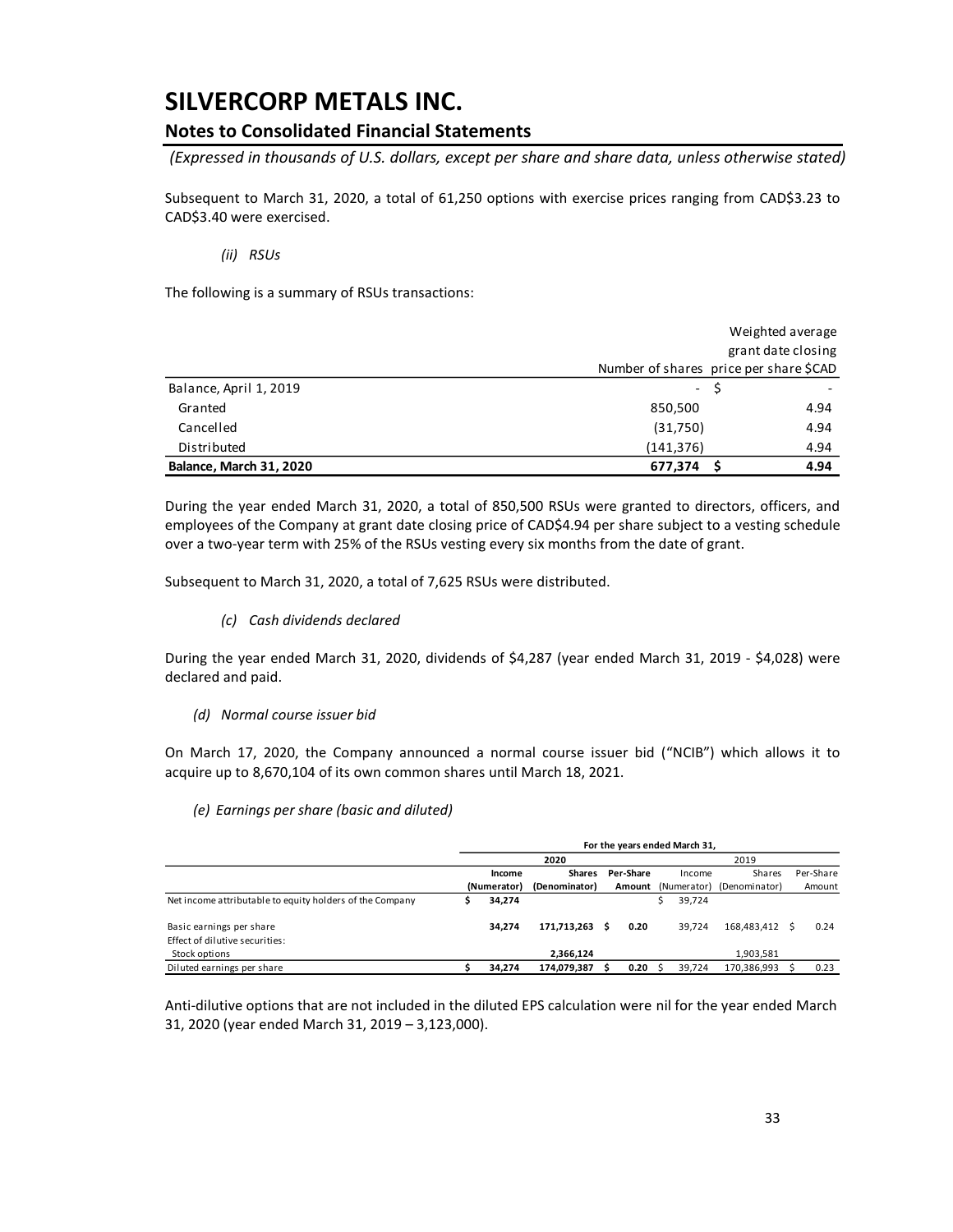### **Notes to Consolidated Financial Statements**

*(Expressed in thousands of U.S. dollars, except per share and share data, unless otherwise stated)*

Subsequent to March 31, 2020, a total of 61,250 options with exercise prices ranging from CAD\$3.23 to CAD\$3.40 were exercised.

*(ii) RSUs*

The following is a summary of RSUs transactions:

|                         |            | Weighted average                       |
|-------------------------|------------|----------------------------------------|
|                         |            | grant date closing                     |
|                         |            | Number of shares price per share \$CAD |
| Balance, April 1, 2019  | - \$       |                                        |
| Granted                 | 850,500    | 4.94                                   |
| Cancelled               | (31,750)   | 4.94                                   |
| Distributed             | (141, 376) | 4.94                                   |
| Balance, March 31, 2020 | 677,374    | 4.94                                   |

During the year ended March 31, 2020, a total of 850,500 RSUs were granted to directors, officers, and employees of the Company at grant date closing price of CAD\$4.94 per share subject to a vesting schedule over a two-year term with 25% of the RSUs vesting every six months from the date of grant.

Subsequent to March 31, 2020, a total of 7,625 RSUs were distributed.

*(c) Cash dividends declared*

During the year ended March 31, 2020, dividends of \$4,287 (year ended March 31, 2019 - \$4,028) were declared and paid.

*(d) Normal course issuer bid*

On March 17, 2020, the Company announced a normal course issuer bid ("NCIB") which allows it to acquire up to 8,670,104 of its own common shares until March 18, 2021.

*(e) Earnings per share (basic and diluted)* 

|                                                          | For the years ended March 31, |               |  |           |      |             |               |  |           |
|----------------------------------------------------------|-------------------------------|---------------|--|-----------|------|-------------|---------------|--|-----------|
|                                                          |                               | 2020          |  |           | 2019 |             |               |  |           |
|                                                          | Income                        | <b>Shares</b> |  | Per-Share |      | Income      | <b>Shares</b> |  | Per-Share |
|                                                          | (Numerator)                   | (Denominator) |  | Amount    |      | (Numerator) | (Denominator) |  | Amount    |
| Net income attributable to equity holders of the Company | 34.274                        |               |  |           |      | 39,724      |               |  |           |
| Basic earnings per share                                 | 34.274                        | 171,713,263   |  | 0.20      |      | 39.724      | 168.483.412   |  | 0.24      |
| Effect of dilutive securities:                           |                               |               |  |           |      |             |               |  |           |
| Stock options                                            |                               | 2.366.124     |  |           |      |             | 1,903,581     |  |           |
| Diluted earnings per share                               | 34.274                        | 174.079.387   |  | 0.20      |      | 39.724      | 170.386.993   |  | 0.23      |

Anti-dilutive options that are not included in the diluted EPS calculation were nil for the year ended March 31, 2020 (year ended March 31, 2019 – 3,123,000).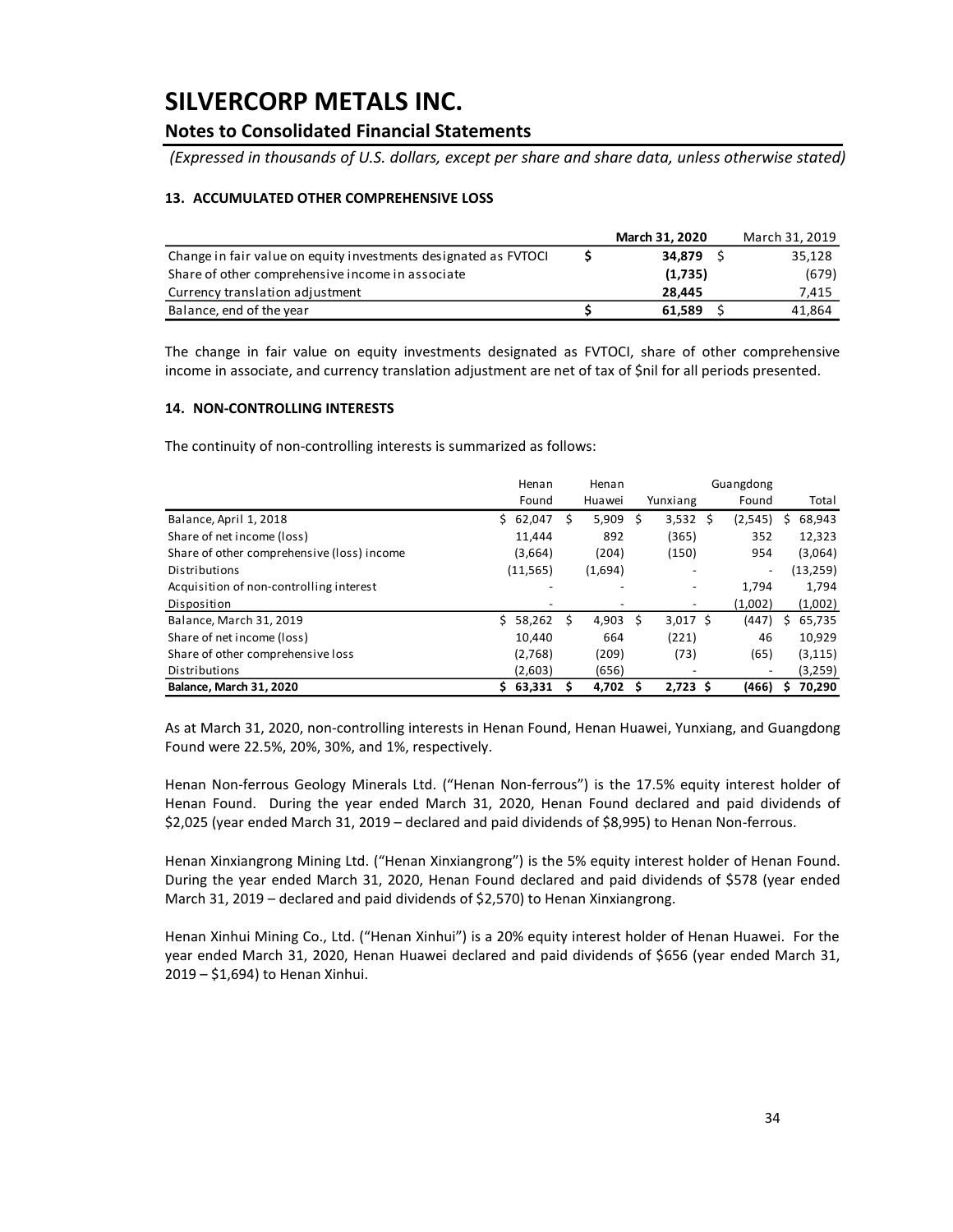### **Notes to Consolidated Financial Statements**

*(Expressed in thousands of U.S. dollars, except per share and share data, unless otherwise stated)*

#### **13. ACCUMULATED OTHER COMPREHENSIVE LOSS**

|                                                                 | March 31, 2020 | March 31, 2019 |
|-----------------------------------------------------------------|----------------|----------------|
| Change in fair value on equity investments designated as FVTOCI | 34.879         | 35,128         |
| Share of other comprehensive income in associate                | (1,735)        | (679)          |
| Currency translation adjustment                                 | 28.445         | 7,415          |
| Balance, end of the year                                        | 61.589         | 41,864         |

The change in fair value on equity investments designated as FVTOCI, share of other comprehensive income in associate, and currency translation adjustment are net of tax of \$nil for all periods presented.

#### **14. NON-CONTROLLING INTERESTS**

The continuity of non-controlling interests is summarized as follows:

|                                            | Henan        |   | Henan   |    |                          | Guangdong                    |    |           |
|--------------------------------------------|--------------|---|---------|----|--------------------------|------------------------------|----|-----------|
|                                            | Found        |   | Huawei  |    | Yunxiang                 | Found                        |    | Total     |
| Balance, April 1, 2018                     | 62,047<br>Ś. |   | 5,909   | \$ | 3,532                    | (2,545)<br>S                 |    | 68.943    |
| Share of net income (loss)                 | 11.444       |   | 892     |    | (365)                    | 352                          |    | 12,323    |
| Share of other comprehensive (loss) income | (3,664)      |   | (204)   |    | (150)                    | 954                          |    | (3,064)   |
| Distributions                              | (11, 565)    |   | (1,694) |    | $\overline{\phantom{0}}$ | $\qquad \qquad \blacksquare$ |    | (13, 259) |
| Acquisition of non-controlling interest    |              |   |         |    |                          | 1.794                        |    | 1,794     |
| Disposition                                |              |   |         |    |                          | (1,002)                      |    | (1,002)   |
| Balance, March 31, 2019                    | Ś.<br>58,262 | s | 4,903   | S  | $3,017$ \$               | (447)                        | Ś. | 65,735    |
| Share of net income (loss)                 | 10.440       |   | 664     |    | (221)                    | 46                           |    | 10,929    |
| Share of other comprehensive loss          | (2,768)      |   | (209)   |    | (73)                     | (65)                         |    | (3, 115)  |
| Distributions                              | (2,603)      |   | (656)   |    |                          |                              |    | (3,259)   |
| <b>Balance, March 31, 2020</b>             | 63,331<br>Ś  |   | 4.702   | s  | $2,723$ \$               | (466)                        |    | 70.290    |

As at March 31, 2020, non-controlling interests in Henan Found, Henan Huawei, Yunxiang, and Guangdong Found were 22.5%, 20%, 30%, and 1%, respectively.

Henan Non-ferrous Geology Minerals Ltd. ("Henan Non-ferrous") is the 17.5% equity interest holder of Henan Found. During the year ended March 31, 2020, Henan Found declared and paid dividends of \$2,025 (year ended March 31, 2019 – declared and paid dividends of \$8,995) to Henan Non-ferrous.

Henan Xinxiangrong Mining Ltd. ("Henan Xinxiangrong") is the 5% equity interest holder of Henan Found. During the year ended March 31, 2020, Henan Found declared and paid dividends of \$578 (year ended March 31, 2019 – declared and paid dividends of \$2,570) to Henan Xinxiangrong.

Henan Xinhui Mining Co., Ltd. ("Henan Xinhui") is a 20% equity interest holder of Henan Huawei. For the year ended March 31, 2020, Henan Huawei declared and paid dividends of \$656 (year ended March 31, 2019 – \$1,694) to Henan Xinhui.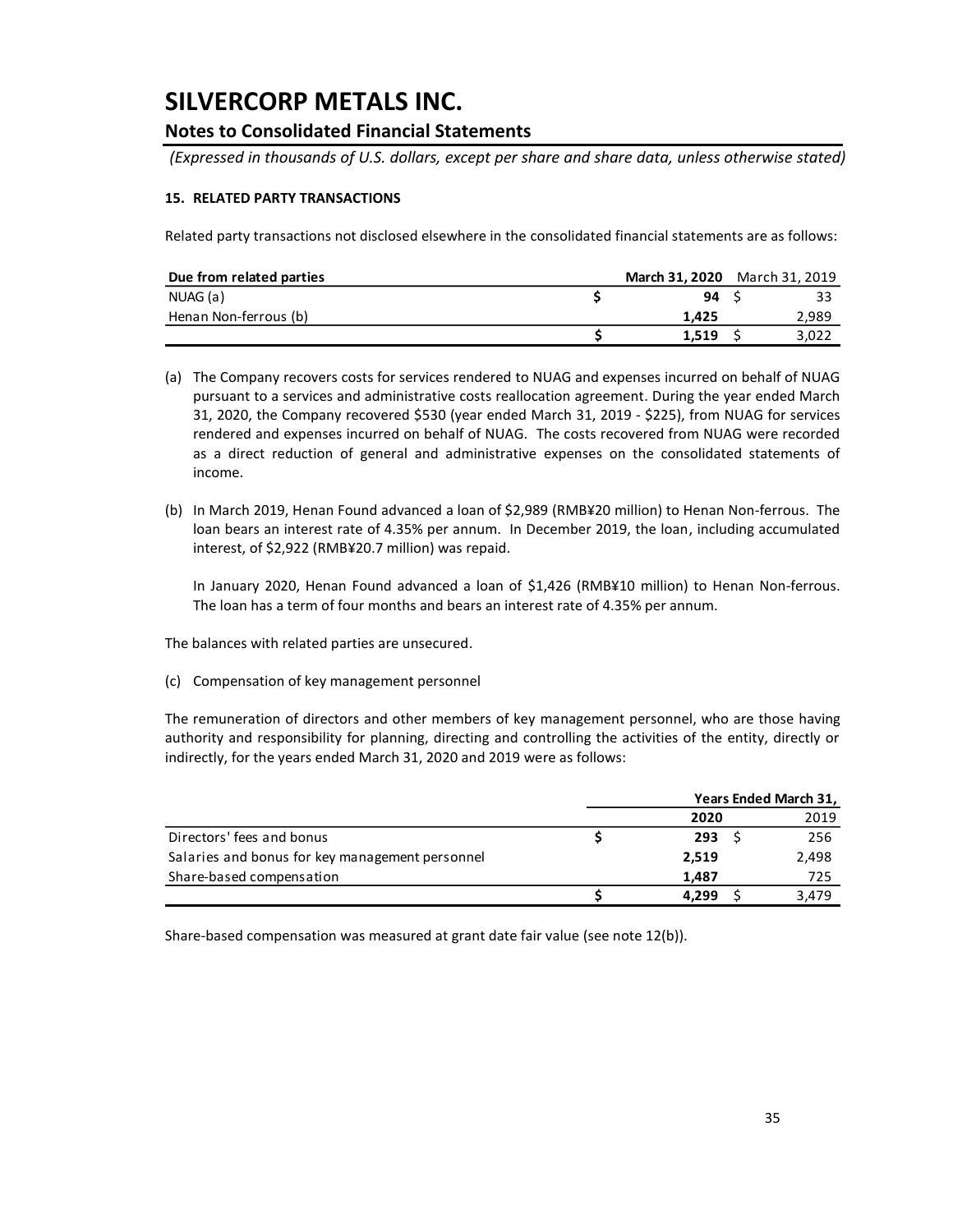### **Notes to Consolidated Financial Statements**

*(Expressed in thousands of U.S. dollars, except per share and share data, unless otherwise stated)*

#### **15. RELATED PARTY TRANSACTIONS**

Related party transactions not disclosed elsewhere in the consolidated financial statements are as follows:

| Due from related parties | March 31, 2020 | March 31, 2019 |
|--------------------------|----------------|----------------|
| NUAG (a)                 | 94             |                |
| Henan Non-ferrous (b)    | 1.425          | 2.989          |
|                          | 1.519          | 3.022          |

- (a) The Company recovers costs for services rendered to NUAG and expenses incurred on behalf of NUAG pursuant to a services and administrative costs reallocation agreement. During the year ended March 31, 2020, the Company recovered \$530 (year ended March 31, 2019 - \$225), from NUAG for services rendered and expenses incurred on behalf of NUAG. The costs recovered from NUAG were recorded as a direct reduction of general and administrative expenses on the consolidated statements of income.
- (b) In March 2019, Henan Found advanced a loan of \$2,989 (RMB¥20 million) to Henan Non-ferrous. The loan bears an interest rate of 4.35% per annum. In December 2019, the loan, including accumulated interest, of \$2,922 (RMB¥20.7 million) was repaid.

In January 2020, Henan Found advanced a loan of \$1,426 (RMB¥10 million) to Henan Non-ferrous. The loan has a term of four months and bears an interest rate of 4.35% per annum.

The balances with related parties are unsecured.

(c) Compensation of key management personnel

The remuneration of directors and other members of key management personnel, who are those having authority and responsibility for planning, directing and controlling the activities of the entity, directly or indirectly, for the years ended March 31, 2020 and 2019 were as follows:

|                                                 | Years Ended March 31, |       |
|-------------------------------------------------|-----------------------|-------|
|                                                 | 2020                  | 2019  |
| Directors' fees and bonus                       | 293                   | 256   |
| Salaries and bonus for key management personnel | 2,519                 | 2,498 |
| Share-based compensation                        | 1.487                 | 725   |
|                                                 | 4.299                 | 3.479 |

Share-based compensation was measured at grant date fair value (see note 12(b)).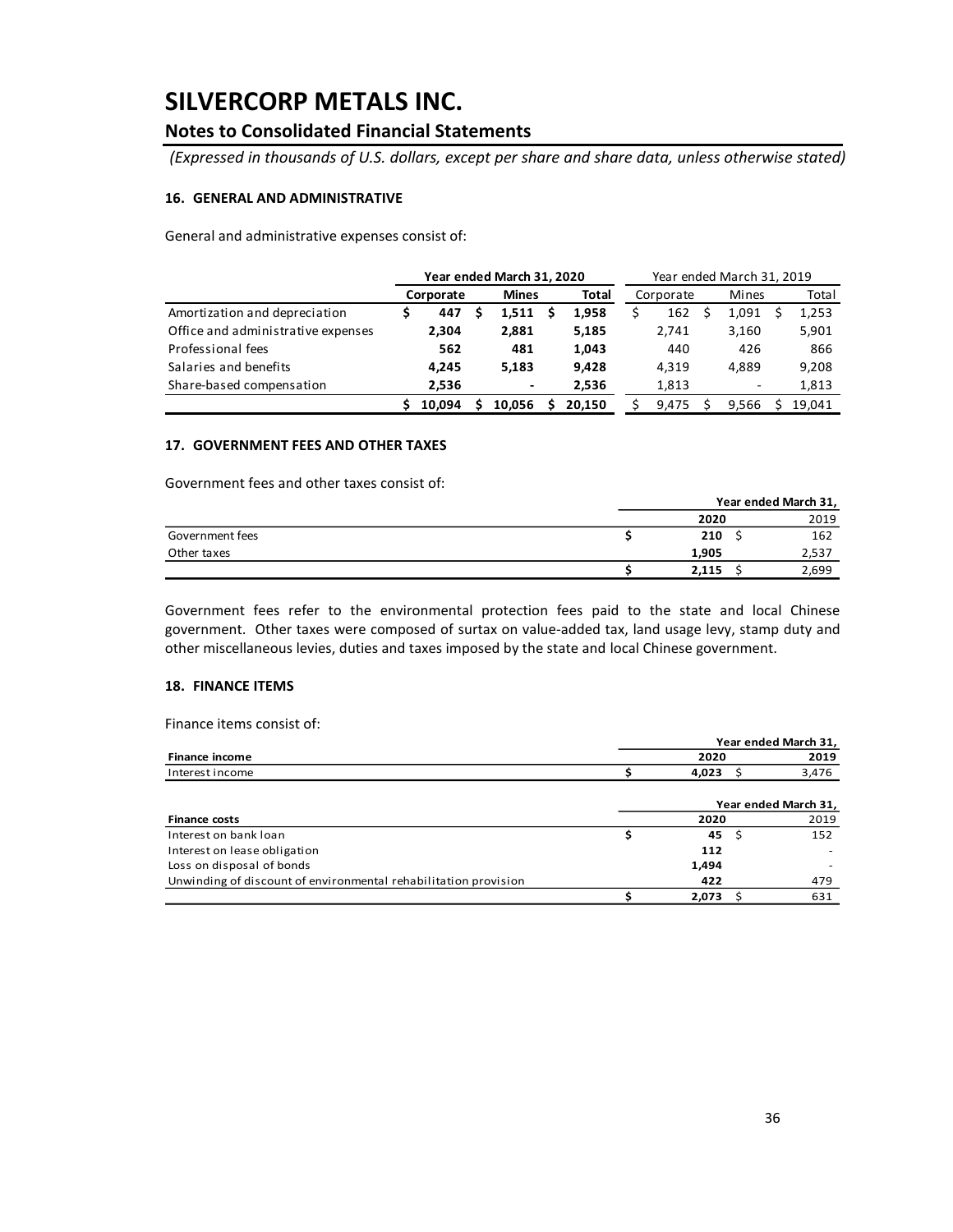### **Notes to Consolidated Financial Statements**

*(Expressed in thousands of U.S. dollars, except per share and share data, unless otherwise stated)*

#### **16. GENERAL AND ADMINISTRATIVE**

General and administrative expenses consist of:

|                                    | Year ended March 31, 2020 |           |  |                          |        |           | Year ended March 31, 2019 |  |       |  |        |  |
|------------------------------------|---------------------------|-----------|--|--------------------------|--------|-----------|---------------------------|--|-------|--|--------|--|
|                                    |                           | Corporate |  | <b>Mines</b>             | Total  | Corporate |                           |  | Mines |  | Total  |  |
| Amortization and depreciation      |                           | 447       |  | 1.511                    | 1.958  |           | 162                       |  | 1,091 |  | 1,253  |  |
| Office and administrative expenses |                           | 2.304     |  | 2.881                    | 5,185  |           | 2,741                     |  | 3,160 |  | 5,901  |  |
| Professional fees                  |                           | 562       |  | 481                      | 1.043  |           | 440                       |  | 426   |  | 866    |  |
| Salaries and benefits              |                           | 4.245     |  | 5.183                    | 9.428  |           | 4.319                     |  | 4.889 |  | 9,208  |  |
| Share-based compensation           |                           | 2.536     |  | $\overline{\phantom{a}}$ | 2.536  |           | 1,813                     |  | ۰     |  | 1,813  |  |
|                                    |                           | 10.094    |  | 10.056                   | 20.150 |           | 9.475                     |  | 9.566 |  | 19.041 |  |

#### **17. GOVERNMENT FEES AND OTHER TAXES**

Government fees and other taxes consist of:

|                 |       | Year ended March 31, |
|-----------------|-------|----------------------|
|                 | 2020  | 2019                 |
| Government fees | 210   | 162                  |
| Other taxes     | 1.905 | 2,537                |
|                 | 2,115 | 2,699                |

Government fees refer to the environmental protection fees paid to the state and local Chinese government. Other taxes were composed of surtax on value-added tax, land usage levy, stamp duty and other miscellaneous levies, duties and taxes imposed by the state and local Chinese government.

#### **18. FINANCE ITEMS**

Finance items consist of:

|                                                                 |       |   | Year ended March 31, |
|-----------------------------------------------------------------|-------|---|----------------------|
| <b>Finance income</b>                                           | 2020  |   | 2019                 |
| Interest income                                                 | 4,023 |   | 3,476                |
|                                                                 |       |   | Year ended March 31, |
| <b>Finance costs</b>                                            | 2020  |   | 2019                 |
| Interest on bank loan                                           | 45    | S | 152                  |
| Interest on lease obligation                                    | 112   |   |                      |
| Loss on disposal of bonds                                       | 1,494 |   |                      |
| Unwinding of discount of environmental rehabilitation provision | 422   |   | 479                  |
|                                                                 | 2,073 |   | 631                  |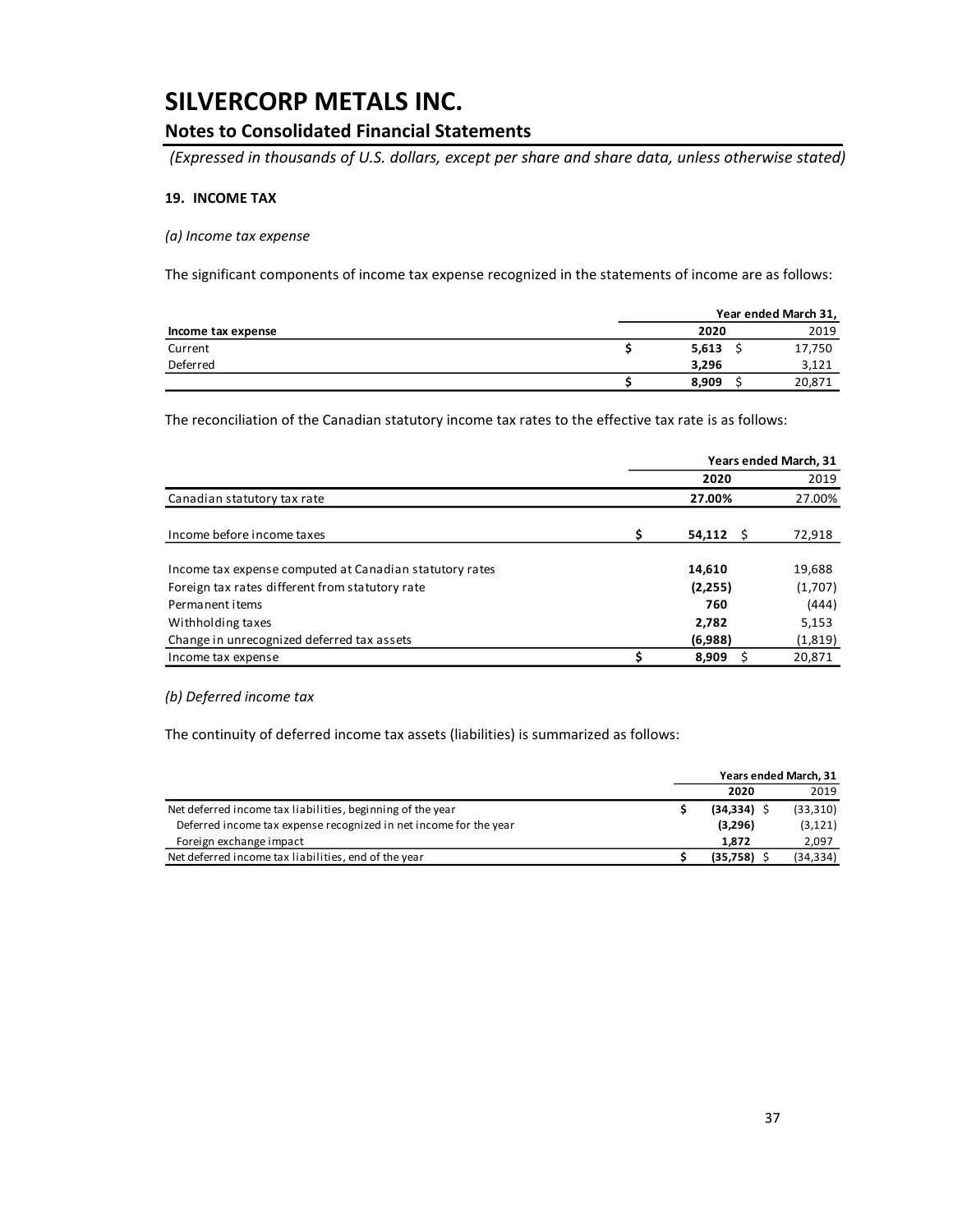### **Notes to Consolidated Financial Statements**

*(Expressed in thousands of U.S. dollars, except per share and share data, unless otherwise stated)*

#### **19. INCOME TAX**

*(a) Income tax expense*

The significant components of income tax expense recognized in the statements of income are as follows:

|                    |       | Year ended March 31, |
|--------------------|-------|----------------------|
| Income tax expense | 2020  | 2019                 |
| Current            | 5,613 | 17,750               |
| Deferred           | 3.296 | 3,121                |
|                    | 8,909 | 20,871               |

The reconciliation of the Canadian statutory income tax rates to the effective tax rate is as follows:

|                                                         |   |             | Years ended March. 31 |
|---------------------------------------------------------|---|-------------|-----------------------|
|                                                         |   | 2020        | 2019                  |
| Canadian statutory tax rate                             |   | 27.00%      | 27.00%                |
| Income before income taxes                              | Ś | $54,112$ \$ | 72,918                |
| Income tax expense computed at Canadian statutory rates |   | 14,610      | 19,688                |
| Foreign tax rates different from statutory rate         |   | (2,255)     | (1,707)               |
| Permanent items                                         |   | 760         | (444)                 |
| Withholding taxes                                       |   | 2,782       | 5,153                 |
| Change in unrecognized deferred tax assets              |   | (6,988)     | (1,819)               |
| Income tax expense                                      |   | 8.909       | 20,871                |

#### *(b) Deferred income tax*

The continuity of deferred income tax assets (liabilities) is summarized as follows:

|                                                                   | Years ended March, 31 |           |
|-------------------------------------------------------------------|-----------------------|-----------|
|                                                                   | 2020                  | 2019      |
| Net deferred income tax liabilities, beginning of the year        | $(34,334)$ \$         | (33,310)  |
| Deferred income tax expense recognized in net income for the year | (3,296)               | (3, 121)  |
| Foreign exchange impact                                           | 1.872                 | 2,097     |
| Net deferred income tax liabilities, end of the year              | (35,758)              | (34, 334) |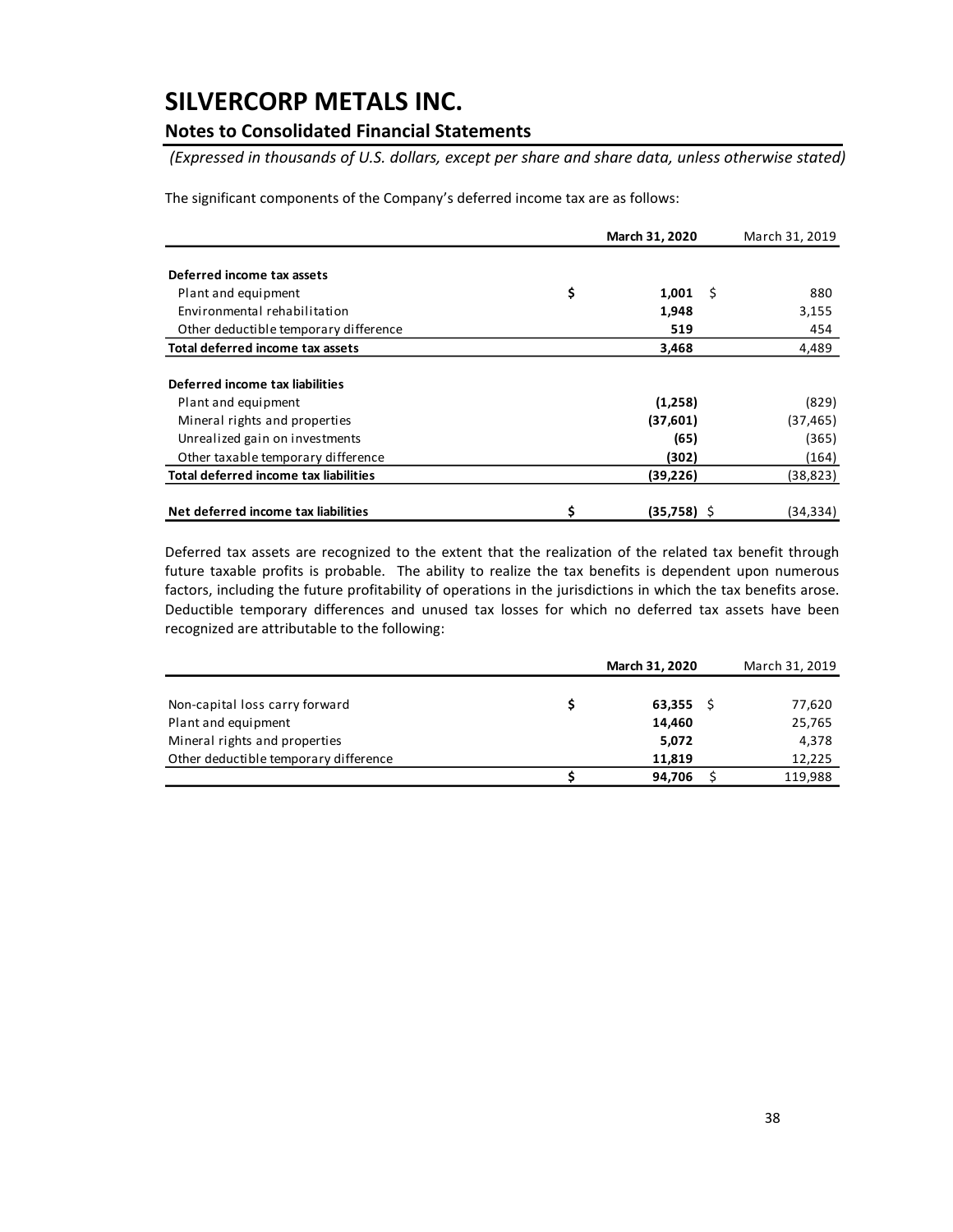### **Notes to Consolidated Financial Statements**

*(Expressed in thousands of U.S. dollars, except per share and share data, unless otherwise stated)*

The significant components of the Company's deferred income tax are as follows:

|                                       | March 31, 2020      | March 31, 2019 |
|---------------------------------------|---------------------|----------------|
| Deferred income tax assets            |                     |                |
| Plant and equipment                   | \$<br>-\$<br>1,001  | 880            |
| Environmental rehabilitation          | 1,948               | 3,155          |
| Other deductible temporary difference | 519                 | 454            |
| Total deferred income tax assets      | 3,468               | 4,489          |
|                                       |                     |                |
| Deferred income tax liabilities       |                     |                |
| Plant and equipment                   | (1,258)             | (829)          |
| Mineral rights and properties         | (37,601)            | (37, 465)      |
| Unrealized gain on investments        | (65)                | (365)          |
| Other taxable temporary difference    | (302)               | (164)          |
| Total deferred income tax liabilities | (39,226)            | (38,823)       |
| Net deferred income tax liabilities   | \$<br>$(35,758)$ \$ | (34,334)       |

Deferred tax assets are recognized to the extent that the realization of the related tax benefit through future taxable profits is probable. The ability to realize the tax benefits is dependent upon numerous factors, including the future profitability of operations in the jurisdictions in which the tax benefits arose. Deductible temporary differences and unused tax losses for which no deferred tax assets have been recognized are attributable to the following:

|                                       | March 31, 2020 | March 31, 2019 |
|---------------------------------------|----------------|----------------|
|                                       |                |                |
| Non-capital loss carry forward        | 63.355         | 77,620         |
| Plant and equipment                   | 14.460         | 25,765         |
| Mineral rights and properties         | 5.072          | 4.378          |
| Other deductible temporary difference | 11.819         | 12,225         |
|                                       | 94.706         | 119,988        |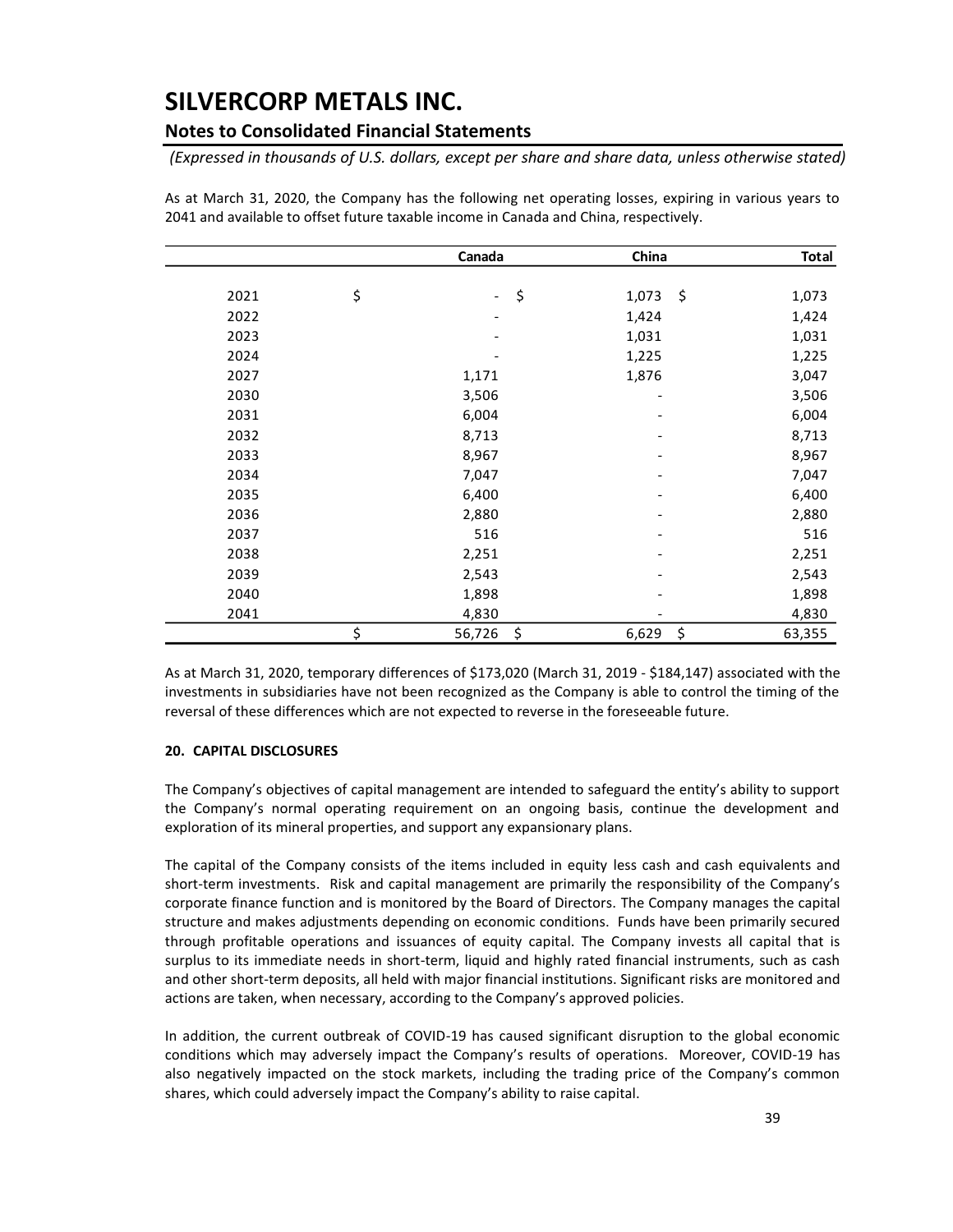### **Notes to Consolidated Financial Statements**

*(Expressed in thousands of U.S. dollars, except per share and share data, unless otherwise stated)*

As at March 31, 2020, the Company has the following net operating losses, expiring in various years to 2041 and available to offset future taxable income in Canada and China, respectively.

|      | Canada                               | China                        | <b>Total</b> |
|------|--------------------------------------|------------------------------|--------------|
|      |                                      |                              |              |
| 2021 | \$<br>\$<br>$\overline{\phantom{a}}$ | $\zeta$<br>1,073             | 1,073        |
| 2022 |                                      | 1,424                        | 1,424        |
| 2023 |                                      | 1,031                        | 1,031        |
| 2024 |                                      | 1,225                        | 1,225        |
| 2027 | 1,171                                | 1,876                        | 3,047        |
| 2030 | 3,506                                | -                            | 3,506        |
| 2031 | 6,004                                | $\qquad \qquad \blacksquare$ | 6,004        |
| 2032 | 8,713                                |                              | 8,713        |
| 2033 | 8,967                                |                              | 8,967        |
| 2034 | 7,047                                |                              | 7,047        |
| 2035 | 6,400                                | -                            | 6,400        |
| 2036 | 2,880                                | $\qquad \qquad \blacksquare$ | 2,880        |
| 2037 | 516                                  | -                            | 516          |
| 2038 | 2,251                                |                              | 2,251        |
| 2039 | 2,543                                |                              | 2,543        |
| 2040 | 1,898                                |                              | 1,898        |
| 2041 | 4,830                                | -                            | 4,830        |
|      | \$<br>\$<br>56,726                   | \$<br>6,629                  | 63,355       |

As at March 31, 2020, temporary differences of \$173,020 (March 31, 2019 - \$184,147) associated with the investments in subsidiaries have not been recognized as the Company is able to control the timing of the reversal of these differences which are not expected to reverse in the foreseeable future.

#### **20. CAPITAL DISCLOSURES**

The Company's objectives of capital management are intended to safeguard the entity's ability to support the Company's normal operating requirement on an ongoing basis, continue the development and exploration of its mineral properties, and support any expansionary plans.

The capital of the Company consists of the items included in equity less cash and cash equivalents and short-term investments. Risk and capital management are primarily the responsibility of the Company's corporate finance function and is monitored by the Board of Directors. The Company manages the capital structure and makes adjustments depending on economic conditions. Funds have been primarily secured through profitable operations and issuances of equity capital. The Company invests all capital that is surplus to its immediate needs in short-term, liquid and highly rated financial instruments, such as cash and other short-term deposits, all held with major financial institutions. Significant risks are monitored and actions are taken, when necessary, according to the Company's approved policies.

In addition, the current outbreak of COVID-19 has caused significant disruption to the global economic conditions which may adversely impact the Company's results of operations. Moreover, COVID-19 has also negatively impacted on the stock markets, including the trading price of the Company's common shares, which could adversely impact the Company's ability to raise capital.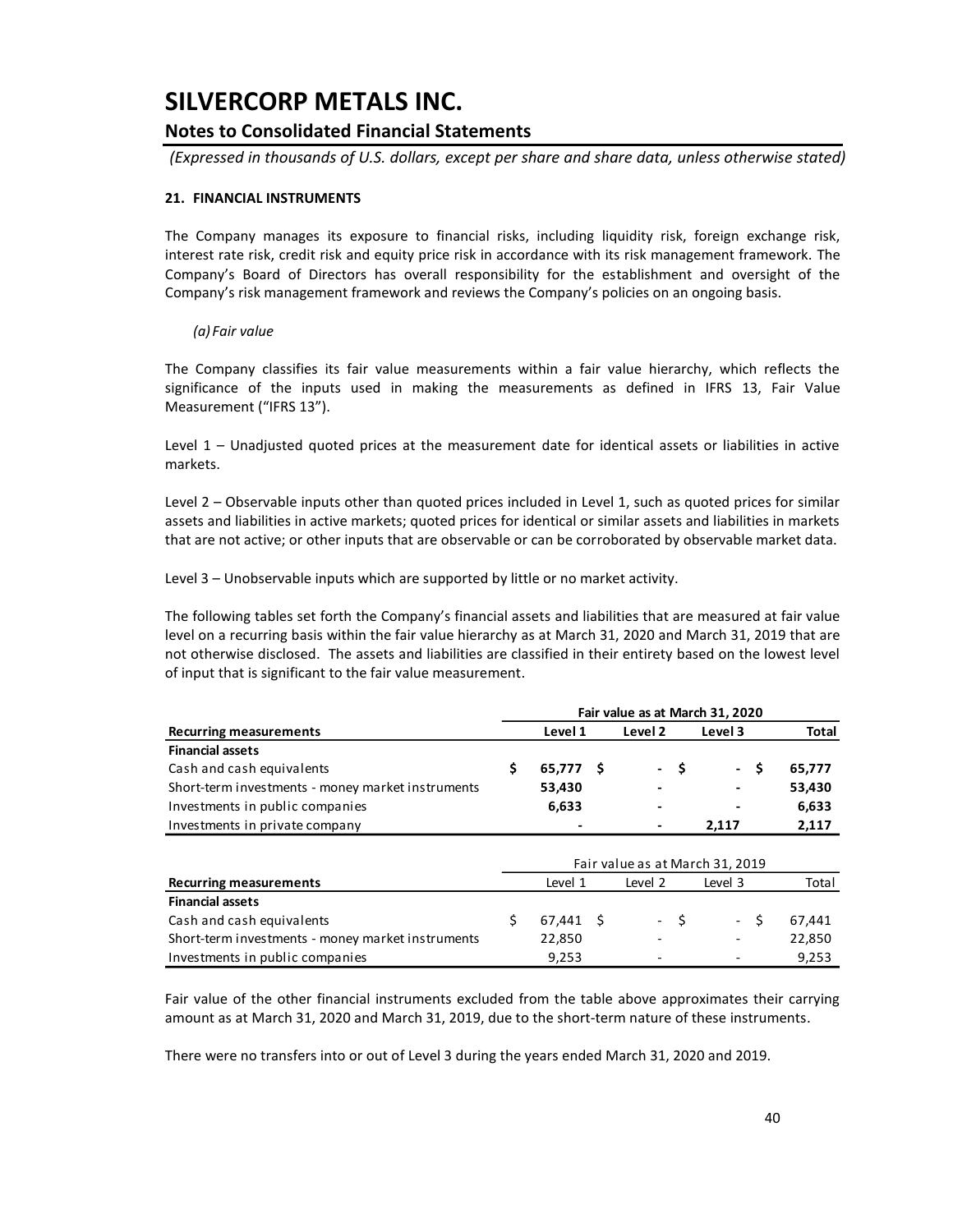### **Notes to Consolidated Financial Statements**

*(Expressed in thousands of U.S. dollars, except per share and share data, unless otherwise stated)*

#### **21. FINANCIAL INSTRUMENTS**

The Company manages its exposure to financial risks, including liquidity risk, foreign exchange risk, interest rate risk, credit risk and equity price risk in accordance with its risk management framework. The Company's Board of Directors has overall responsibility for the establishment and oversight of the Company's risk management framework and reviews the Company's policies on an ongoing basis.

#### *(a) Fair value*

The Company classifies its fair value measurements within a fair value hierarchy, which reflects the significance of the inputs used in making the measurements as defined in IFRS 13, Fair Value Measurement ("IFRS 13").

Level 1 – Unadjusted quoted prices at the measurement date for identical assets or liabilities in active markets.

Level 2 – Observable inputs other than quoted prices included in Level 1, such as quoted prices for similar assets and liabilities in active markets; quoted prices for identical or similar assets and liabilities in markets that are not active; or other inputs that are observable or can be corroborated by observable market data.

Level 3 – Unobservable inputs which are supported by little or no market activity.

The following tables set forth the Company's financial assets and liabilities that are measured at fair value level on a recurring basis within the fair value hierarchy as at March 31, 2020 and March 31, 2019 that are not otherwise disclosed. The assets and liabilities are classified in their entirety based on the lowest level of input that is significant to the fair value measurement.

|                                                   | Fair value as at March 31, 2020 |           |  |                          |                          |        |  |  |  |  |  |  |  |  |
|---------------------------------------------------|---------------------------------|-----------|--|--------------------------|--------------------------|--------|--|--|--|--|--|--|--|--|
| <b>Recurring measurements</b>                     |                                 | Level 1   |  | Level 2                  | Level 3                  | Total  |  |  |  |  |  |  |  |  |
| <b>Financial assets</b>                           |                                 |           |  |                          |                          |        |  |  |  |  |  |  |  |  |
| Cash and cash equivalents                         |                                 | 65,777 \$ |  | $-S$                     | - \$                     | 65,777 |  |  |  |  |  |  |  |  |
| Short-term investments - money market instruments |                                 | 53,430    |  | $\overline{\phantom{a}}$ | $\blacksquare$           | 53,430 |  |  |  |  |  |  |  |  |
| Investments in public companies                   |                                 | 6,633     |  | $\overline{\phantom{a}}$ | $\overline{\phantom{0}}$ | 6,633  |  |  |  |  |  |  |  |  |
| Investments in private company                    |                                 |           |  | $\overline{\phantom{a}}$ | 2.117                    | 2,117  |  |  |  |  |  |  |  |  |

|                                                   | Fair value as at March 31, 2019 |  |                          |         |        |  |  |  |  |
|---------------------------------------------------|---------------------------------|--|--------------------------|---------|--------|--|--|--|--|
| Recurring measurements                            | Level 1                         |  | Level 2                  | Level 3 | Total  |  |  |  |  |
| <b>Financial assets</b>                           |                                 |  |                          |         |        |  |  |  |  |
| Cash and cash equivalents                         | 67.441 \$                       |  | $-S$                     | $-5$    | 67.441 |  |  |  |  |
| Short-term investments - money market instruments | 22,850                          |  | $\overline{\phantom{a}}$ | -       | 22,850 |  |  |  |  |
| Investments in public companies                   | 9.253                           |  |                          | -       | 9,253  |  |  |  |  |

Fair value of the other financial instruments excluded from the table above approximates their carrying amount as at March 31, 2020 and March 31, 2019, due to the short-term nature of these instruments.

There were no transfers into or out of Level 3 during the years ended March 31, 2020 and 2019.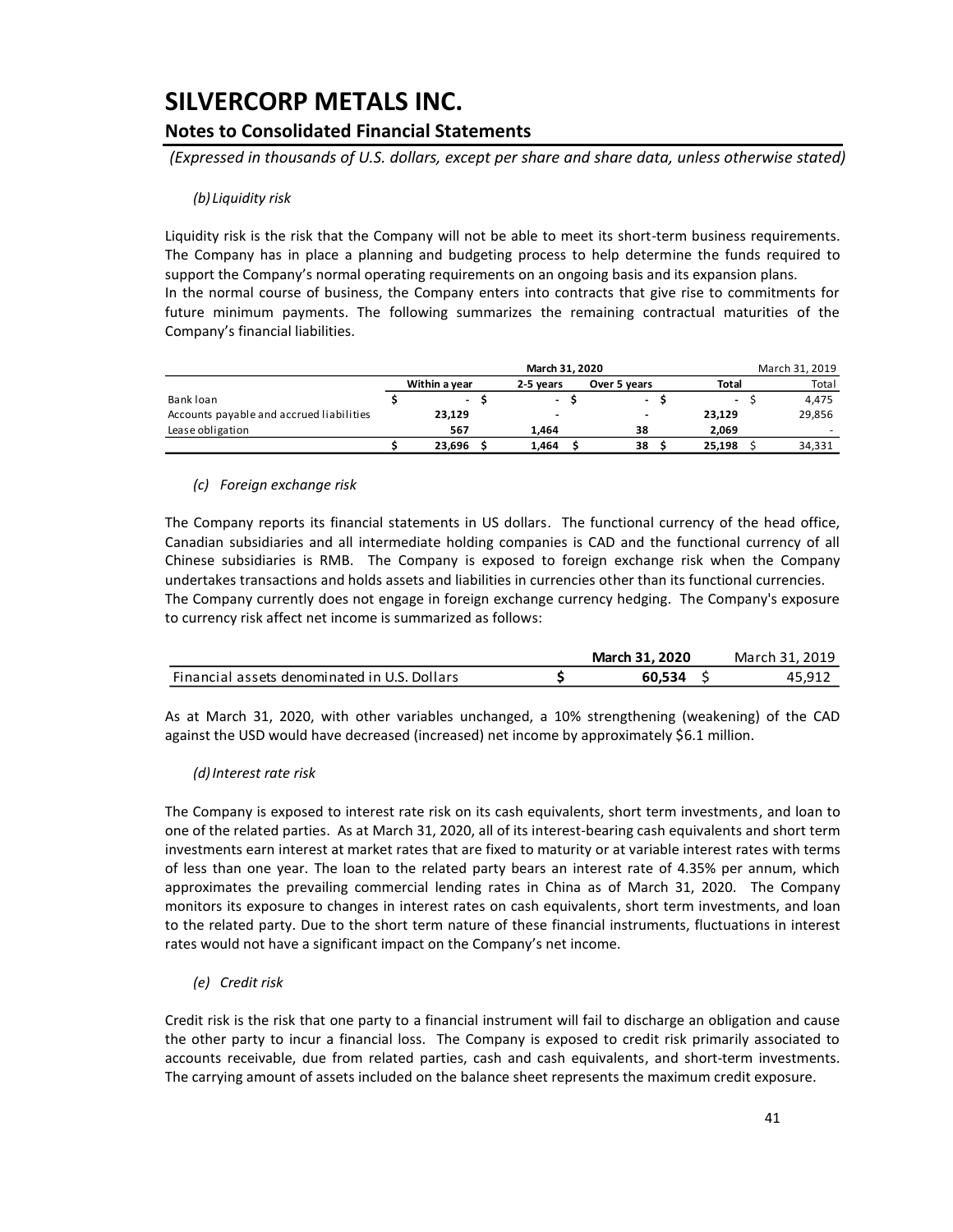*(Expressed in thousands of U.S. dollars, except per share and share data, unless otherwise stated)*

#### *(b) Liquidity risk*

Liquidity risk is the risk that the Company will not be able to meet its short-term business requirements. The Company has in place a planning and budgeting process to help determine the funds required to support the Company's normal operating requirements on an ongoing basis and its expansion plans. In the normal course of business, the Company enters into contracts that give rise to commitments for future minimum payments. The following summarizes the remaining contractual maturities of the Company's financial liabilities.

|                                          |               |                          |           | March 31, 2019           |              |                          |                          |  |                          |
|------------------------------------------|---------------|--------------------------|-----------|--------------------------|--------------|--------------------------|--------------------------|--|--------------------------|
|                                          | Within a vear |                          | 2-5 vears |                          | Over 5 years | Total                    |                          |  |                          |
| Bank loan                                |               | $\overline{\phantom{a}}$ |           | $\overline{\phantom{0}}$ |              | $\overline{\phantom{0}}$ | $\overline{\phantom{0}}$ |  | 4,475                    |
| Accounts payable and accrued liabilities |               | 23,129                   |           | ٠                        |              | $\overline{\phantom{a}}$ | 23,129                   |  | 29,856                   |
| Lease obligation                         |               | 567                      |           | 1.464                    |              | 38                       | 2.069                    |  | $\overline{\phantom{a}}$ |
|                                          |               | 23.696                   |           | 1.464                    |              | 38                       | 25.198                   |  | 34,331                   |

#### *(c) Foreign exchange risk*

The Company reports its financial statements in US dollars. The functional currency of the head office, Canadian subsidiaries and all intermediate holding companies is CAD and the functional currency of all Chinese subsidiaries is RMB. The Company is exposed to foreign exchange risk when the Company undertakes transactions and holds assets and liabilities in currencies other than its functional currencies. The Company currently does not engage in foreign exchange currency hedging. The Company's exposure to currency risk affect net income is summarized as follows:

|                                              | March 31, 2020 | March 31, 2019 |
|----------------------------------------------|----------------|----------------|
| Financial assets denominated in U.S. Dollars | 60.534         | 45.912         |

As at March 31, 2020, with other variables unchanged, a 10% strengthening (weakening) of the CAD against the USD would have decreased (increased) net income by approximately \$6.1 million.

#### *(d)Interest rate risk*

The Company is exposed to interest rate risk on its cash equivalents, short term investments, and loan to one of the related parties. As at March 31, 2020, all of its interest-bearing cash equivalents and short term investments earn interest at market rates that are fixed to maturity or at variable interest rates with terms of less than one year. The loan to the related party bears an interest rate of 4.35% per annum, which approximates the prevailing commercial lending rates in China as of March 31, 2020. The Company monitors its exposure to changes in interest rates on cash equivalents, short term investments, and loan to the related party. Due to the short term nature of these financial instruments, fluctuations in interest rates would not have a significant impact on the Company's net income.

*(e) Credit risk*

Credit risk is the risk that one party to a financial instrument will fail to discharge an obligation and cause the other party to incur a financial loss. The Company is exposed to credit risk primarily associated to accounts receivable, due from related parties, cash and cash equivalents, and short-term investments. The carrying amount of assets included on the balance sheet represents the maximum credit exposure.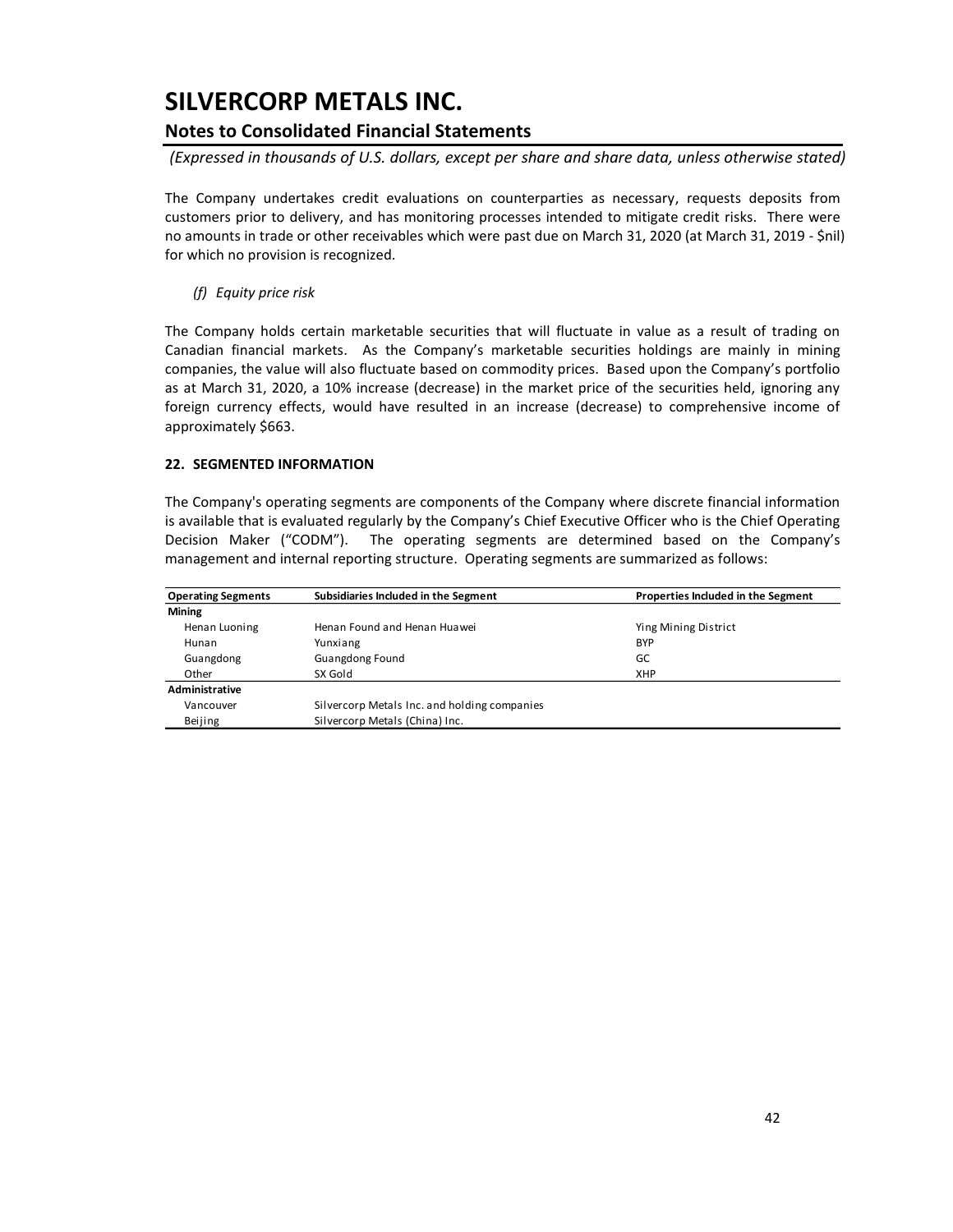### **Notes to Consolidated Financial Statements**

*(Expressed in thousands of U.S. dollars, except per share and share data, unless otherwise stated)*

The Company undertakes credit evaluations on counterparties as necessary, requests deposits from customers prior to delivery, and has monitoring processes intended to mitigate credit risks. There were no amounts in trade or other receivables which were past due on March 31, 2020 (at March 31, 2019 - \$nil) for which no provision is recognized.

*(f) Equity price risk*

The Company holds certain marketable securities that will fluctuate in value as a result of trading on Canadian financial markets. As the Company's marketable securities holdings are mainly in mining companies, the value will also fluctuate based on commodity prices. Based upon the Company's portfolio as at March 31, 2020, a 10% increase (decrease) in the market price of the securities held, ignoring any foreign currency effects, would have resulted in an increase (decrease) to comprehensive income of approximately \$663.

#### **22. SEGMENTED INFORMATION**

The Company's operating segments are components of the Company where discrete financial information is available that is evaluated regularly by the Company's Chief Executive Officer who is the Chief Operating Decision Maker ("CODM"). The operating segments are determined based on the Company's management and internal reporting structure. Operating segments are summarized as follows:

| <b>Operating Segments</b> | Subsidiaries Included in the Segment         | Properties Included in the Segment |
|---------------------------|----------------------------------------------|------------------------------------|
| <b>Mining</b>             |                                              |                                    |
| Henan Luoning             | Henan Found and Henan Huawei                 | Ying Mining District               |
| Hunan                     | Yunxiang                                     | <b>BYP</b>                         |
| Guangdong                 | Guangdong Found                              | GC                                 |
| Other                     | SX Gold                                      | XHP                                |
| Administrative            |                                              |                                    |
| Vancouver                 | Silvercorp Metals Inc. and holding companies |                                    |
| Beijing                   | Silvercorp Metals (China) Inc.               |                                    |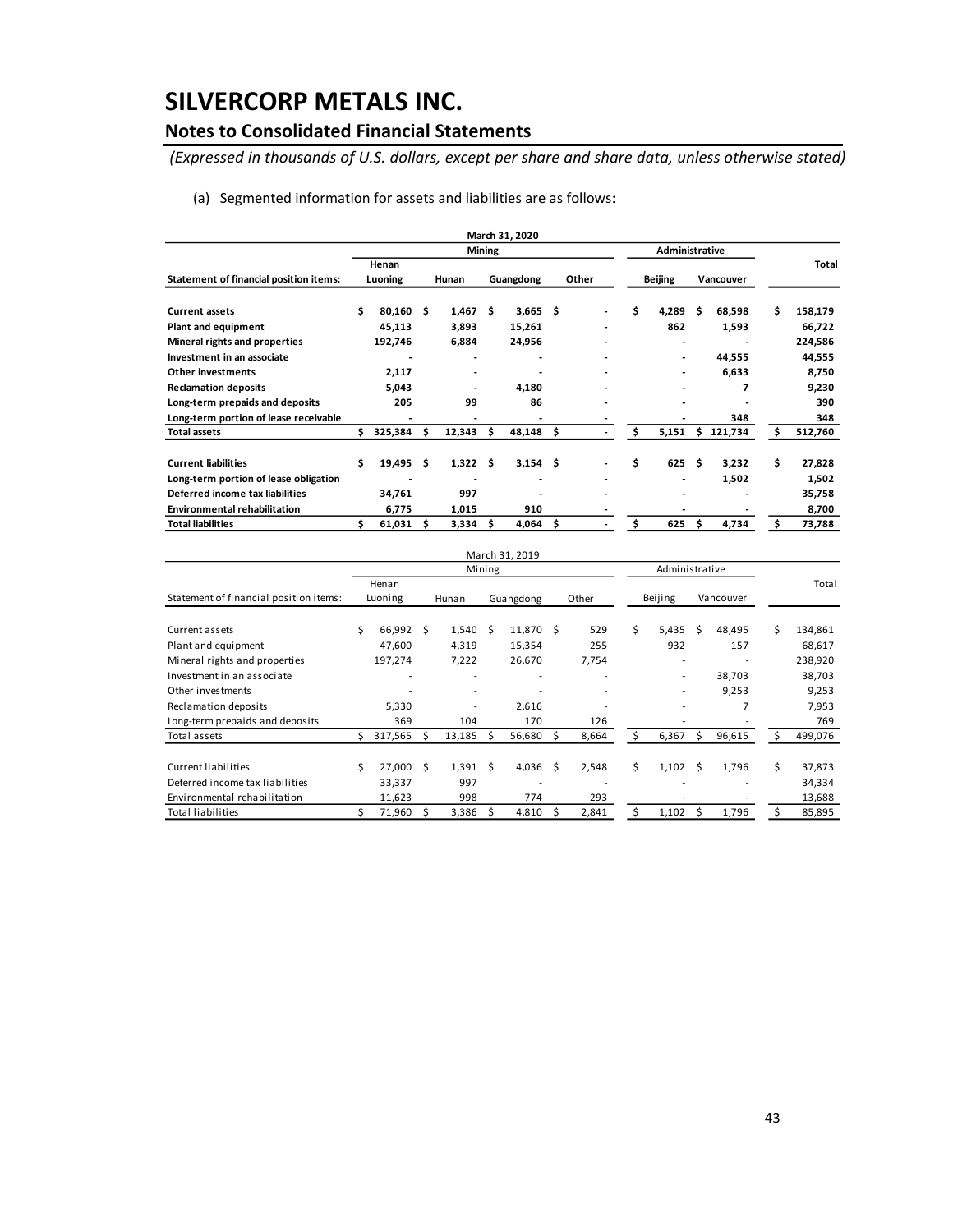### **Notes to Consolidated Financial Statements**

*(Expressed in thousands of U.S. dollars, except per share and share data, unless otherwise stated)*

(a) Segmented information for assets and liabilities are as follows:

|                                        |   |                  |   |            |               | March 31, 2020 |     |       |                |                          |    |           |    |         |
|----------------------------------------|---|------------------|---|------------|---------------|----------------|-----|-------|----------------|--------------------------|----|-----------|----|---------|
|                                        |   |                  |   |            | <b>Mining</b> |                |     |       | Administrative |                          |    |           |    |         |
| Statement of financial position items: |   | Henan<br>Luoning |   | Hunan      |               | Guangdong      |     | Other |                | <b>Beijing</b>           |    | Vancouver |    | Total   |
| <b>Current assets</b>                  | Ś | $80,160$ \$      |   | 1,467      | Ŝ             | 3,665          | Ŝ.  |       | Ś              | 4,289                    | S  | 68,598    | Ś  | 158,179 |
| <b>Plant and equipment</b>             |   | 45,113           |   | 3,893      |               | 15,261         |     |       |                | 862                      |    | 1,593     |    | 66,722  |
| Mineral rights and properties          |   | 192,746          |   | 6,884      |               | 24,956         |     |       |                | $\overline{\phantom{0}}$ |    |           |    | 224,586 |
| Investment in an associate             |   |                  |   |            |               | ٠              |     |       |                | $\overline{\phantom{0}}$ |    | 44,555    |    | 44,555  |
| Other investments                      |   | 2,117            |   |            |               |                |     |       |                |                          |    | 6,633     |    | 8,750   |
| <b>Reclamation deposits</b>            |   | 5,043            |   |            |               | 4,180          |     |       |                |                          |    | 7         |    | 9,230   |
| Long-term prepaids and deposits        |   | 205              |   | 99         |               | 86             |     |       |                |                          |    |           |    | 390     |
| Long-term portion of lease receivable  |   |                  |   |            |               |                |     |       |                |                          |    | 348       |    | 348     |
| <b>Total assets</b>                    | Ś | 325,384          | s | 12,343     | Ś             | 48,148         | \$. |       | \$             | 5,151                    | Ś  | 121,734   | Ś  | 512,760 |
| <b>Current liabilities</b>             | Ś | $19,495$ \$      |   | $1,322$ \$ |               | $3,154$ \$     |     |       | \$.            | 625                      | Ŝ  | 3,232     | \$ | 27,828  |
| Long-term portion of lease obligation  |   |                  |   |            |               |                |     |       |                |                          |    | 1,502     |    | 1,502   |
| Deferred income tax liabilities        |   | 34,761           |   | 997        |               |                |     |       |                |                          |    |           |    | 35,758  |
| <b>Environmental rehabilitation</b>    |   | 6,775            |   | 1,015      |               | 910            |     |       |                |                          |    |           |    | 8,700   |
| <b>Total liabilities</b>               | Ś | 61,031           | S | 3,334      | Ś             | 4,064          | \$. |       | \$             | 625                      | \$ | 4,734     | Ś  | 73,788  |

|                                        |    |                  |          |                          |        | March 31, 2019 |                |       |    |                          |     |           |    |         |
|----------------------------------------|----|------------------|----------|--------------------------|--------|----------------|----------------|-------|----|--------------------------|-----|-----------|----|---------|
|                                        |    |                  |          |                          | Mining |                | Administrative |       |    |                          |     |           |    |         |
| Statement of financial position items: |    | Henan<br>Luoning |          | Hunan                    |        | Guangdong      |                | Other |    | Beijing                  |     | Vancouver |    | Total   |
| Current assets                         | \$ | 66,992           | -S       | 1,540                    | Ŝ.     | 11,870         | Ŝ.             | 529   | Ś. | 5,435                    | Ŝ   | 48,495    | Ś  | 134,861 |
| Plant and equipment                    |    | 47,600           |          | 4,319                    |        | 15,354         |                | 255   |    | 932                      |     | 157       |    | 68,617  |
| Mineral rights and properties          |    | 197,274          |          | 7,222                    |        | 26,670         |                | 7,754 |    | ۰                        |     |           |    | 238,920 |
| Investment in an associate             |    |                  |          |                          |        |                |                |       |    | $\overline{\phantom{a}}$ |     | 38,703    |    | 38,703  |
| Other investments                      |    |                  |          |                          |        |                |                |       |    |                          |     | 9,253     |    | 9,253   |
| Reclamation deposits                   |    | 5,330            |          | $\overline{\phantom{a}}$ |        | 2,616          |                |       |    |                          |     | 7         |    | 7,953   |
| Long-term prepaids and deposits        |    | 369              |          | 104                      |        | 170            |                | 126   |    | ۰                        |     |           |    | 769     |
| Total assets                           | S  | 317,565          | Ś.       | 13,185                   | S      | 56,680         | Ś.             | 8,664 | Ś  | 6,367                    | Ś   | 96,615    | Ś  | 499,076 |
| Current liabilities                    | \$ | 27,000           | $\sim$ 5 | 1,391                    | Ŝ      | 4,036          | Ś.             | 2,548 | Ś. | 1,102                    | - Ś | 1,796     | \$ | 37,873  |
| Deferred income tax liabilities        |    | 33,337           |          | 997                      |        | ۰              |                |       |    |                          |     |           |    | 34,334  |
| Environmental rehabilitation           |    | 11,623           |          | 998                      |        | 774            |                | 293   |    |                          |     |           |    | 13,688  |
| Total liabilities                      | S  | 71,960           |          | 3,386                    |        | 4,810          | Ś              | 2,841 | Ś  | 1,102                    | Ś   | 1,796     | Ś  | 85,895  |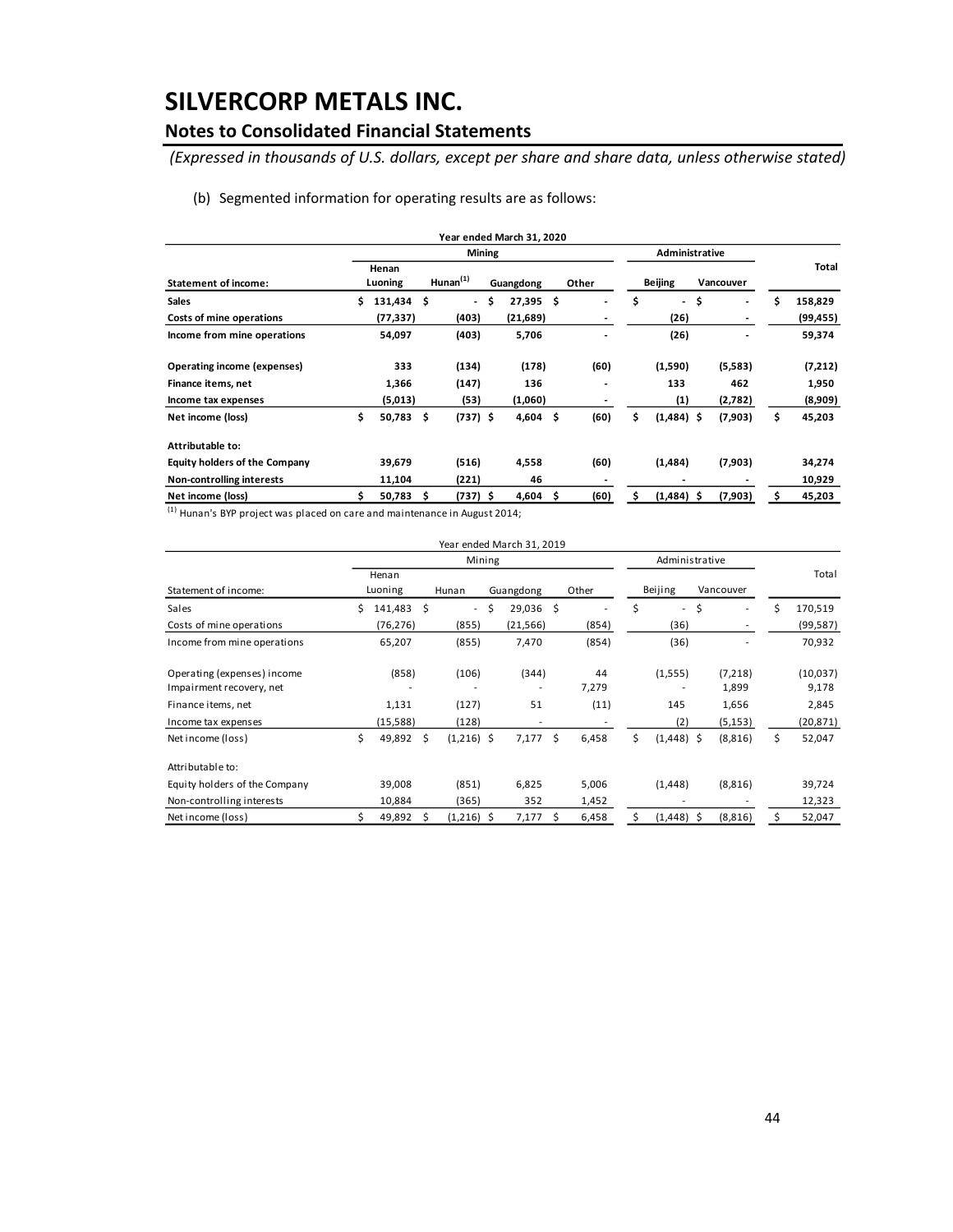### **Notes to Consolidated Financial Statements**

*(Expressed in thousands of U.S. dollars, except per share and share data, unless otherwise stated)*

(b) Segmented information for operating results are as follows:

|                                      |                  |                          | Year ended March 31, 2020 |                          |                                |           |              |
|--------------------------------------|------------------|--------------------------|---------------------------|--------------------------|--------------------------------|-----------|--------------|
|                                      |                  |                          | <b>Mining</b>             | Administrative           |                                |           |              |
| <b>Statement of income:</b>          | Henan<br>Luoning | Hunan <sup>(1)</sup>     | Guangdong                 | Other                    | <b>Beijing</b>                 | Vancouver | Total        |
| <b>Sales</b>                         | Ś<br>131,434 \$  | $\overline{\phantom{a}}$ | \$<br>$27,395$ \$         | $\overline{\phantom{a}}$ | \$<br>$\overline{\phantom{a}}$ | \$<br>٠   | Ś<br>158,829 |
| Costs of mine operations             | (77,337)         | (403)                    | (21,689)                  |                          | (26)                           | ٠         | (99,455)     |
| Income from mine operations          | 54,097           | (403)                    | 5,706                     |                          | (26)                           |           | 59,374       |
| Operating income (expenses)          | 333              | (134)                    | (178)                     | (60)                     | (1,590)                        | (5,583)   | (7,212)      |
| Finance items, net                   | 1,366            | (147)                    | 136                       |                          | 133                            | 462       | 1,950        |
| Income tax expenses                  | (5,013)          | (53)                     | (1,060)                   |                          | (1)                            | (2,782)   | (8,909)      |
| Net income (loss)                    | \$<br>50,783     | - \$<br>$(737)$ \$       | 4,604                     | \$.<br>(60)              | \$.<br>$(1,484)$ \$            | (7,903)   | \$<br>45,203 |
| Attributable to:                     |                  |                          |                           |                          |                                |           |              |
| <b>Equity holders of the Company</b> | 39,679           | (516)                    | 4,558                     | (60)                     | (1,484)                        | (7,903)   | 34,274       |
| Non-controlling interests            | 11,104           | (221)                    | 46                        | $\overline{\phantom{a}}$ |                                |           | 10,929       |
| Net income (loss)                    | 50,783           | $(737)$ \$<br>s          | 4,604                     | (60)<br>\$               | $(1,484)$ \$<br>Ś              | (7,903)   | 45,203       |
|                                      |                  |                          |                           |                          |                                |           |              |

 $^{(1)}$  Hunan's BYP project was placed on care and maintenance in August 2014;

|                                                         |    |                  |    |                          |    | Year ended March 31, 2019 |                |                          |    |                |    |                          |                   |
|---------------------------------------------------------|----|------------------|----|--------------------------|----|---------------------------|----------------|--------------------------|----|----------------|----|--------------------------|-------------------|
|                                                         |    | Mining           |    |                          |    |                           | Administrative |                          |    |                |    |                          |                   |
| Statement of income:                                    |    | Henan<br>Luoning |    | Hunan                    |    | Guangdong                 |                | Other                    |    | Beijing        |    | Vancouver                | Total             |
| Sales                                                   | Ś. | 141,483          | Ŝ. | $\overline{\phantom{a}}$ | \$ | 29,036                    | \$             | $\overline{\phantom{a}}$ | \$ | $\overline{a}$ | \$ | $\overline{\phantom{0}}$ | \$<br>170,519     |
| Costs of mine operations                                |    | (76, 276)        |    | (855)                    |    | (21, 566)                 |                | (854)                    |    | (36)           |    |                          | (99,587)          |
| Income from mine operations                             |    | 65,207           |    | (855)                    |    | 7,470                     |                | (854)                    |    | (36)           |    |                          | 70,932            |
| Operating (expenses) income<br>Impairment recovery, net |    | (858)            |    | (106)                    |    | (344)                     |                | 44<br>7,279              |    | (1, 555)       |    | (7, 218)<br>1,899        | (10,037)<br>9,178 |
| Finance items, net                                      |    | 1,131            |    | (127)                    |    | 51                        |                | (11)                     |    | 145            |    | 1,656                    | 2,845             |
| Income tax expenses                                     |    | (15, 588)        |    | (128)                    |    | ٠                         |                |                          |    | (2)            |    | (5, 153)                 | (20,871)          |
| Net income (loss)                                       | \$ | 49,892           | \$ | $(1,216)$ \$             |    | 7,177                     | \$             | 6,458                    | \$ | $(1,448)$ \$   |    | (8, 816)                 | \$<br>52,047      |
| Attributable to:                                        |    |                  |    |                          |    |                           |                |                          |    |                |    |                          |                   |
| Equity holders of the Company                           |    | 39,008           |    | (851)                    |    | 6,825                     |                | 5,006                    |    | (1, 448)       |    | (8, 816)                 | 39,724            |
| Non-controlling interests                               |    | 10,884           |    | (365)                    |    | 352                       |                | 1,452                    |    |                |    |                          | 12,323            |
| Net income (loss)                                       | \$ | 49,892           | Ś. | $(1,216)$ \$             |    | 7,177                     | Ŝ.             | 6,458                    | \$ | $(1,448)$ \$   |    | (8, 816)                 | \$<br>52,047      |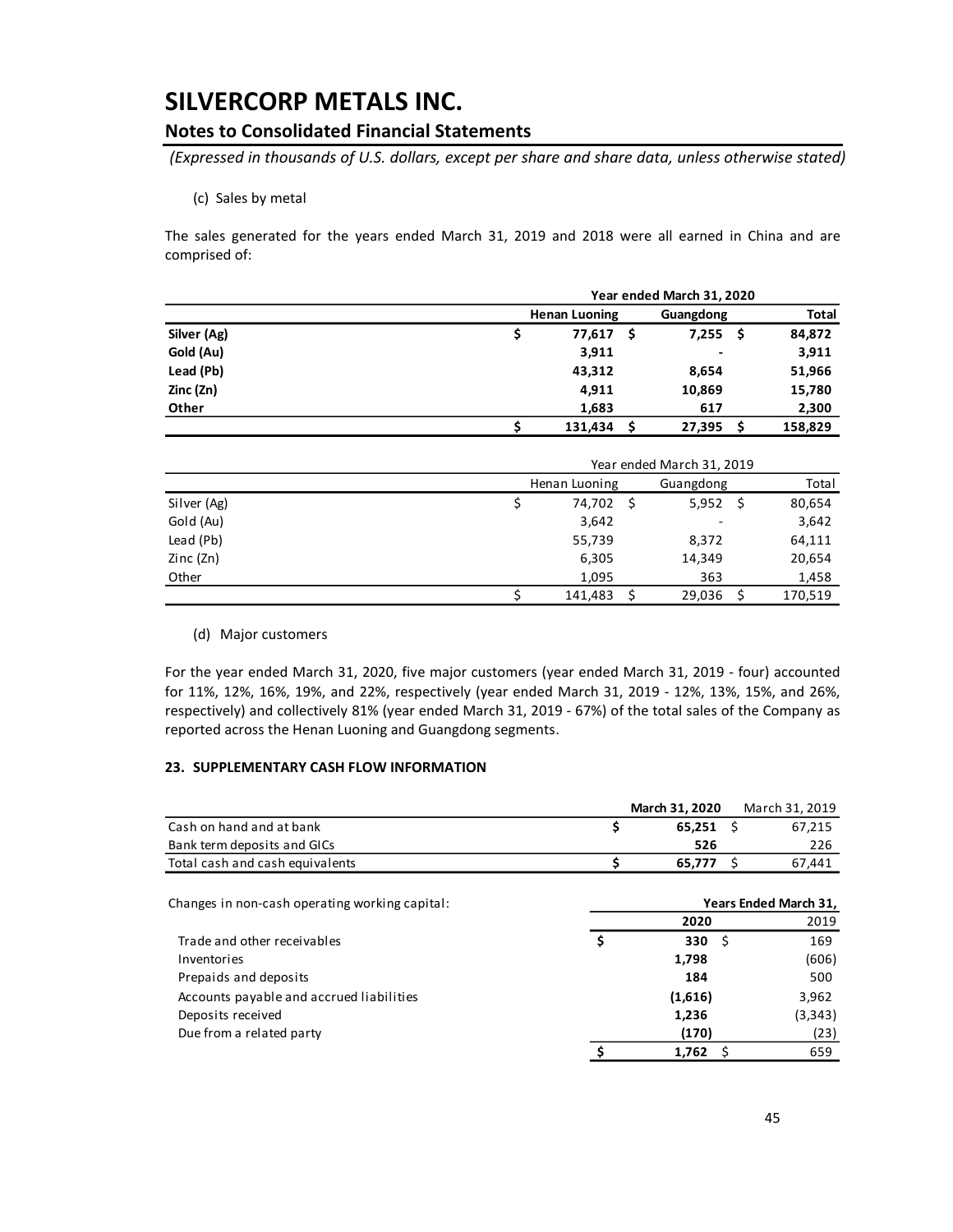### **Notes to Consolidated Financial Statements**

*(Expressed in thousands of U.S. dollars, except per share and share data, unless otherwise stated)*

(c) Sales by metal

The sales generated for the years ended March 31, 2019 and 2018 were all earned in China and are comprised of:

|             | Year ended March 31, 2020 |    |                          |     |              |  |  |  |  |
|-------------|---------------------------|----|--------------------------|-----|--------------|--|--|--|--|
|             | <b>Henan Luoning</b>      |    | Guangdong                |     | <b>Total</b> |  |  |  |  |
| Silver (Ag) | 77,617                    | .S | 7,255                    | -\$ | 84,872       |  |  |  |  |
| Gold (Au)   | 3,911                     |    | $\overline{\phantom{a}}$ |     | 3,911        |  |  |  |  |
| Lead (Pb)   | 43,312                    |    | 8,654                    |     | 51,966       |  |  |  |  |
| Zinc (Zn)   | 4,911                     |    | 10,869                   |     | 15,780       |  |  |  |  |
| Other       | 1,683                     |    | 617                      |     | 2,300        |  |  |  |  |
|             | 131,434                   |    | 27,395                   |     | 158,829      |  |  |  |  |

|             | Year ended March 31, 2019 |    |                          |     |         |  |  |  |  |
|-------------|---------------------------|----|--------------------------|-----|---------|--|--|--|--|
|             | Henan Luoning             |    | Guangdong                |     | Total   |  |  |  |  |
| Silver (Ag) | 74,702                    | -S | 5,952                    | -\$ | 80,654  |  |  |  |  |
| Gold (Au)   | 3,642                     |    | $\overline{\phantom{0}}$ |     | 3,642   |  |  |  |  |
| Lead (Pb)   | 55,739                    |    | 8,372                    |     | 64,111  |  |  |  |  |
| Zinc (Zn)   | 6,305                     |    | 14,349                   |     | 20,654  |  |  |  |  |
| Other       | 1,095                     |    | 363                      |     | 1,458   |  |  |  |  |
|             | 141,483                   |    | 29,036                   |     | 170,519 |  |  |  |  |

#### (d) Major customers

For the year ended March 31, 2020, five major customers (year ended March 31, 2019 - four) accounted for 11%, 12%, 16%, 19%, and 22%, respectively (year ended March 31, 2019 - 12%, 13%, 15%, and 26%, respectively) and collectively 81% (year ended March 31, 2019 - 67%) of the total sales of the Company as reported across the Henan Luoning and Guangdong segments.

#### **23. SUPPLEMENTARY CASH FLOW INFORMATION**

|                                 | March 31, 2020 | March 31. 2019 |
|---------------------------------|----------------|----------------|
| Cash on hand and at bank        | 65.251         | 67.215         |
| Bank term deposits and GICs     | 526            | 226            |
| Total cash and cash equivalents | 65.777         | 67.441         |

| Changes in non-cash operating working capital: | Years Ended March 31, |         |
|------------------------------------------------|-----------------------|---------|
|                                                | 2020                  | 2019    |
| Trade and other receivables                    | \$<br>330<br>- S      | 169     |
| Inventories                                    | 1,798                 | (606)   |
| Prepaids and deposits                          | 184                   | 500     |
| Accounts payable and accrued liabilities       | (1,616)               | 3,962   |
| Deposits received                              | 1,236                 | (3,343) |
| Due from a related party                       | (170)                 | (23)    |
|                                                | 1.762                 | 659     |